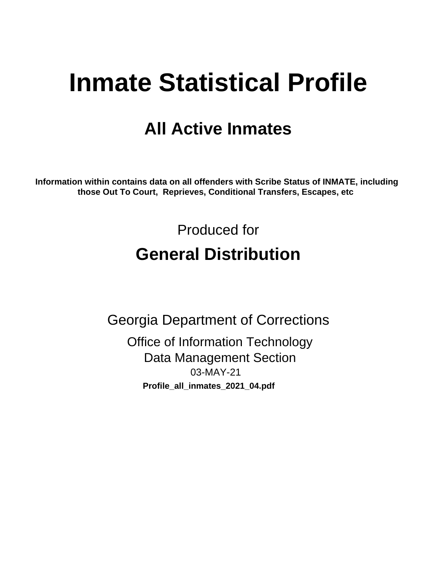# **Inmate Statistical Profile**

## **All Active Inmates**

Information within contains data on all offenders with Scribe Status of INMATE, including those Out To Court, Reprieves, Conditional Transfers, Escapes, etc

> Produced for **General Distribution**

**Georgia Department of Corrections Office of Information Technology** 

**Data Management Section** 03-MAY-21 Profile\_all\_inmates\_2021\_04.pdf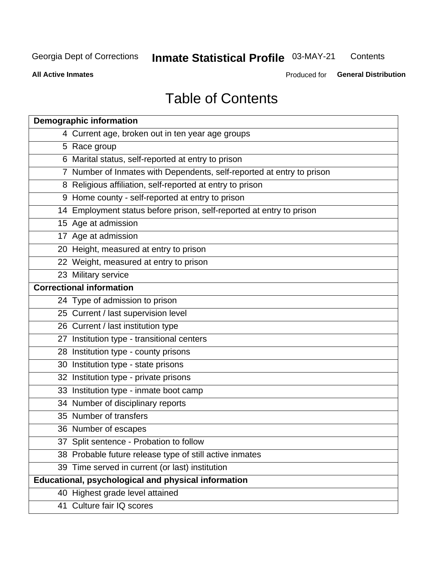#### **Inmate Statistical Profile 03-MAY-21** Contents

**All Active Inmates** 

Produced for General Distribution

## **Table of Contents**

| <b>Demographic information</b>                                        |
|-----------------------------------------------------------------------|
| 4 Current age, broken out in ten year age groups                      |
| 5 Race group                                                          |
| 6 Marital status, self-reported at entry to prison                    |
| 7 Number of Inmates with Dependents, self-reported at entry to prison |
| 8 Religious affiliation, self-reported at entry to prison             |
| 9 Home county - self-reported at entry to prison                      |
| 14 Employment status before prison, self-reported at entry to prison  |
| 15 Age at admission                                                   |
| 17 Age at admission                                                   |
| 20 Height, measured at entry to prison                                |
| 22 Weight, measured at entry to prison                                |
| 23 Military service                                                   |
| <b>Correctional information</b>                                       |
| 24 Type of admission to prison                                        |
| 25 Current / last supervision level                                   |
| 26 Current / last institution type                                    |
| 27 Institution type - transitional centers                            |
| 28 Institution type - county prisons                                  |
| 30 Institution type - state prisons                                   |
| 32 Institution type - private prisons                                 |
| 33 Institution type - inmate boot camp                                |
| 34 Number of disciplinary reports                                     |
| 35 Number of transfers                                                |
| 36 Number of escapes                                                  |
| 37 Split sentence - Probation to follow                               |
| 38 Probable future release type of still active inmates               |
| 39 Time served in current (or last) institution                       |
| <b>Educational, psychological and physical information</b>            |
| 40 Highest grade level attained                                       |
| 41 Culture fair IQ scores                                             |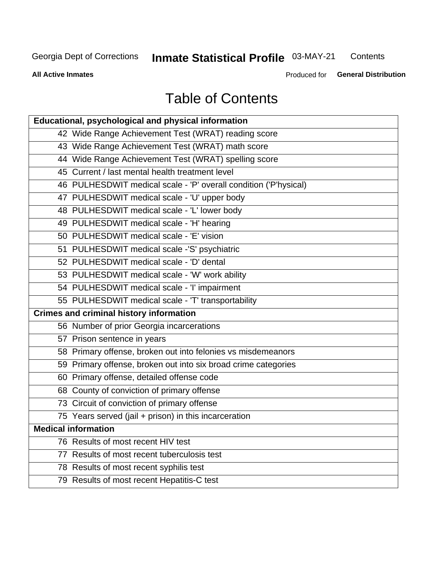## **Inmate Statistical Profile 03-MAY-21**

Contents

**All Active Inmates** 

Produced for General Distribution

## **Table of Contents**

| Educational, psychological and physical information              |
|------------------------------------------------------------------|
| 42 Wide Range Achievement Test (WRAT) reading score              |
| 43 Wide Range Achievement Test (WRAT) math score                 |
| 44 Wide Range Achievement Test (WRAT) spelling score             |
| 45 Current / last mental health treatment level                  |
| 46 PULHESDWIT medical scale - 'P' overall condition ('P'hysical) |
| 47 PULHESDWIT medical scale - 'U' upper body                     |
| 48 PULHESDWIT medical scale - 'L' lower body                     |
| 49 PULHESDWIT medical scale - 'H' hearing                        |
| 50 PULHESDWIT medical scale - 'E' vision                         |
| 51 PULHESDWIT medical scale -'S' psychiatric                     |
| 52 PULHESDWIT medical scale - 'D' dental                         |
| 53 PULHESDWIT medical scale - 'W' work ability                   |
| 54 PULHESDWIT medical scale - 'I' impairment                     |
| 55 PULHESDWIT medical scale - 'T' transportability               |
| <b>Crimes and criminal history information</b>                   |
| 56 Number of prior Georgia incarcerations                        |
| 57 Prison sentence in years                                      |
| 58 Primary offense, broken out into felonies vs misdemeanors     |
| 59 Primary offense, broken out into six broad crime categories   |
| 60 Primary offense, detailed offense code                        |
| 68 County of conviction of primary offense                       |
| 73 Circuit of conviction of primary offense                      |
| 75 Years served (jail + prison) in this incarceration            |
| <b>Medical information</b>                                       |
| 76 Results of most recent HIV test                               |
| 77 Results of most recent tuberculosis test                      |
| 78 Results of most recent syphilis test                          |
| 79 Results of most recent Hepatitis-C test                       |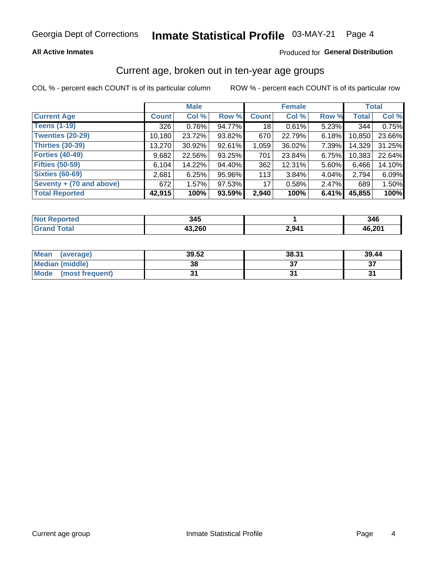### **All Active Inmates**

### Produced for General Distribution

### Current age, broken out in ten-year age groups

COL % - percent each COUNT is of its particular column

|                          |              | <b>Male</b> |        |                 | <b>Female</b> | <b>Total</b> |              |        |
|--------------------------|--------------|-------------|--------|-----------------|---------------|--------------|--------------|--------|
| <b>Current Age</b>       | <b>Count</b> | Col %       | Row %  | <b>Count</b>    | Col %         | Row %        | <b>Total</b> | Col %  |
| <b>Teens (1-19)</b>      | 326          | 0.76%       | 94.77% | 18 <sup>1</sup> | 0.61%         | 5.23%        | 344          | 0.75%  |
| <b>Twenties (20-29)</b>  | 10,180       | 23.72%      | 93.82% | 670             | 22.79%        | $6.18\%$     | 10,850       | 23.66% |
| <b>Thirties (30-39)</b>  | 13,270       | 30.92%      | 92.61% | 1,059           | 36.02%        | 7.39%        | 14,329       | 31.25% |
| <b>Forties (40-49)</b>   | 9,682        | 22.56%      | 93.25% | 701             | 23.84%        | 6.75%        | 10,383       | 22.64% |
| <b>Fifties (50-59)</b>   | 6,104        | 14.22%      | 94.40% | 362             | 12.31%        | 5.60%        | 6,466        | 14.10% |
| <b>Sixties (60-69)</b>   | 2,681        | 6.25%       | 95.96% | 113             | 3.84%         | 4.04%        | 2,794        | 6.09%  |
| Seventy + (70 and above) | 672          | 1.57%       | 97.53% | 17              | 0.58%         | $2.47\%$     | 689          | 1.50%  |
| <b>Total Reported</b>    | 42,915       | 100%        | 93.59% | 2,940           | 100%          | 6.41%        | 45,855       | 100%   |

| <b>Not Repo</b><br>prted | , ,    |              | 346    |
|--------------------------|--------|--------------|--------|
|                          | 43,260 | 2941<br>∸,∪⊤ | 46,201 |

| <b>Mean</b><br>(average)       | 39.52 | 38.31 | 39.44    |
|--------------------------------|-------|-------|----------|
| Median (middle)                | 38    |       | ^¬<br>o. |
| <b>Mode</b><br>(most frequent) |       |       |          |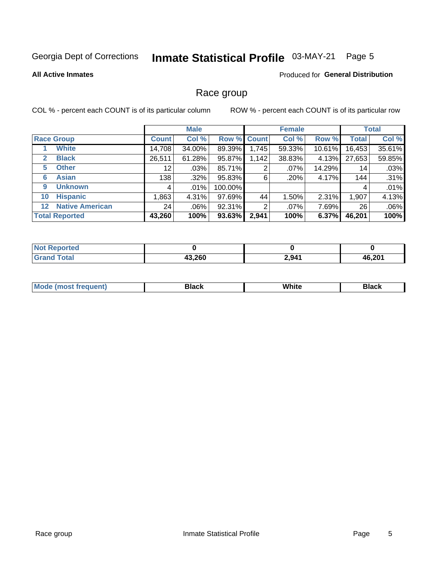#### Inmate Statistical Profile 03-MAY-21 Page 5

### **All Active Inmates**

### Produced for General Distribution

### Race group

COL % - percent each COUNT is of its particular column

|                                   |              | <b>Male</b> |             |       | <b>Female</b> |           |              | <b>Total</b> |  |
|-----------------------------------|--------------|-------------|-------------|-------|---------------|-----------|--------------|--------------|--|
| <b>Race Group</b>                 | <b>Count</b> | Col %       | Row % Count |       | Col %         | Row %     | <b>Total</b> | Col %        |  |
| <b>White</b>                      | 14,708       | 34.00%      | 89.39%      | 1,745 | 59.33%        | $10.61\%$ | 16,453       | 35.61%       |  |
| <b>Black</b><br>2                 | 26,511       | 61.28%      | 95.87%      | 1,142 | 38.83%        | 4.13%     | 27,653       | 59.85%       |  |
| <b>Other</b><br>5.                | 12           | $.03\%$     | 85.71%      | 2     | $.07\%$       | 14.29%    | 14           | .03%         |  |
| <b>Asian</b><br>6                 | 138          | $.32\%$     | 95.83%      | 6     | .20%          | 4.17%     | 144          | .31%         |  |
| <b>Unknown</b><br>9               | 4            | $.01\%$     | 100.00%     |       |               |           | 4            | .01%         |  |
| <b>Hispanic</b><br>10             | .863         | 4.31%       | 97.69%      | 44    | 1.50%         | 2.31%     | 1,907        | 4.13%        |  |
| <b>Native American</b><br>$12 \,$ | 24           | $.06\%$     | 92.31%      | 2     | $.07\%$       | 7.69%     | 26           | .06%         |  |
| <b>Total Reported</b>             | 43,260       | 100%        | 93.63%      | 2,941 | 100%          | 6.37%     | 46,201       | 100%         |  |

| ported<br>NO.   |        |       |        |
|-----------------|--------|-------|--------|
| `otal<br>'Grand | 43,260 | 2,941 | 46,201 |

| m | <br>w<br>$\sim$ $\sim$ $\sim$ $\sim$ |  |
|---|--------------------------------------|--|
|   |                                      |  |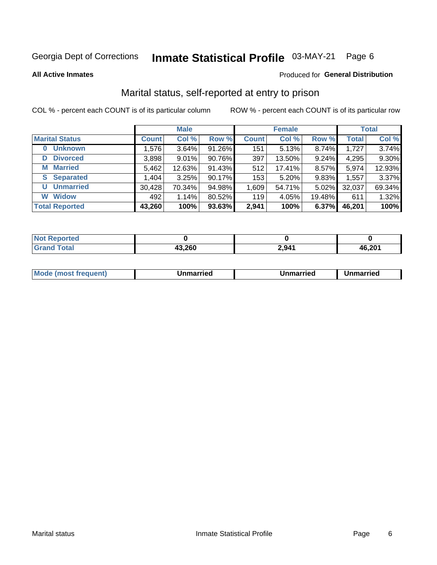#### Inmate Statistical Profile 03-MAY-21 Page 6

**All Active Inmates** 

### Produced for General Distribution

### Marital status, self-reported at entry to prison

COL % - percent each COUNT is of its particular column

|                            | <b>Male</b>  |        |        |              | <b>Female</b> | <b>Total</b> |              |        |
|----------------------------|--------------|--------|--------|--------------|---------------|--------------|--------------|--------|
| <b>Marital Status</b>      | <b>Count</b> | Col %  | Row %  | <b>Count</b> | Col %         | Row %        | <b>Total</b> | Col %  |
| <b>Unknown</b><br>$\bf{0}$ | 1,576        | 3.64%  | 91.26% | 151          | 5.13%         | 8.74%        | 1,727        | 3.74%  |
| <b>Divorced</b><br>D       | 3,898        | 9.01%  | 90.76% | 397          | 13.50%        | 9.24%        | 4,295        | 9.30%  |
| <b>Married</b><br>М        | 5,462        | 12.63% | 91.43% | 512          | 17.41%        | 8.57%        | 5,974        | 12.93% |
| <b>Separated</b><br>S.     | 1,404        | 3.25%  | 90.17% | 153          | 5.20%         | 9.83%        | 1,557        | 3.37%  |
| <b>Unmarried</b><br>U      | 30,428       | 70.34% | 94.98% | 1,609        | 54.71%        | 5.02%        | 32,037       | 69.34% |
| <b>Widow</b><br>W          | 492          | 1.14%  | 80.52% | 119          | 4.05%         | 19.48%       | 611          | 1.32%  |
| <b>Total Reported</b>      | 43,260       | 100%   | 93.63% | 2,941        | 100%          | 6.37%        | 46,201       | 100%   |

| Not F<br><b>Anorted</b> |       |       |        |
|-------------------------|-------|-------|--------|
| <b>Total</b>            | 3,260 | 2,941 | 46,201 |

|--|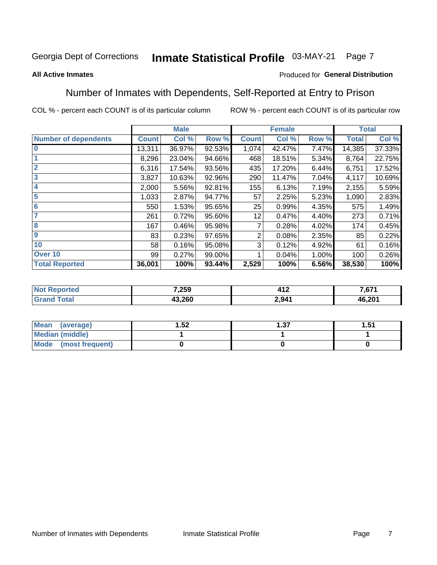#### Inmate Statistical Profile 03-MAY-21 Page 7

### **All Active Inmates**

### Produced for General Distribution

### Number of Inmates with Dependents, Self-Reported at Entry to Prison

COL % - percent each COUNT is of its particular column

|                             | <b>Male</b>  |        |        |              | <b>Female</b> | <b>Total</b> |              |        |
|-----------------------------|--------------|--------|--------|--------------|---------------|--------------|--------------|--------|
| <b>Number of dependents</b> | <b>Count</b> | Col %  | Row %  | <b>Count</b> | Col %         | Row %        | <b>Total</b> | Col %  |
| l 0                         | 13,311       | 36.97% | 92.53% | 1,074        | 42.47%        | 7.47%        | 14,385       | 37.33% |
|                             | 8,296        | 23.04% | 94.66% | 468          | 18.51%        | 5.34%        | 8,764        | 22.75% |
| $\overline{2}$              | 6,316        | 17.54% | 93.56% | 435          | 17.20%        | 6.44%        | 6,751        | 17.52% |
| $\overline{\mathbf{3}}$     | 3,827        | 10.63% | 92.96% | 290          | 11.47%        | 7.04%        | 4,117        | 10.69% |
| 4                           | 2,000        | 5.56%  | 92.81% | 155          | 6.13%         | 7.19%        | 2,155        | 5.59%  |
| 5                           | 1,033        | 2.87%  | 94.77% | 57           | 2.25%         | 5.23%        | 1,090        | 2.83%  |
| 6                           | 550          | 1.53%  | 95.65% | 25           | 0.99%         | 4.35%        | 575          | 1.49%  |
| 7                           | 261          | 0.72%  | 95.60% | 12           | 0.47%         | 4.40%        | 273          | 0.71%  |
| 8                           | 167          | 0.46%  | 95.98% |              | 0.28%         | 4.02%        | 174          | 0.45%  |
| 9                           | 83           | 0.23%  | 97.65% | 2            | 0.08%         | 2.35%        | 85           | 0.22%  |
| 10                          | 58           | 0.16%  | 95.08% | 3            | 0.12%         | 4.92%        | 61           | 0.16%  |
| Over 10                     | 99           | 0.27%  | 99.00% |              | 0.04%         | 1.00%        | 100          | 0.26%  |
| <b>Total Reported</b>       | 36,001       | 100%   | 93.44% | 2,529        | 100%          | 6.56%        | 38,530       | 100%   |

| 7,259  | 11'<br>7 I A | ' 674<br>ו וס, |
|--------|--------------|----------------|
| 13,260 | 2.941        | 46,201         |

| Mean (average)          | .52 | - 27<br>I .J 1 | -51<br>ا ت. ا |
|-------------------------|-----|----------------|---------------|
| Median (middle)         |     |                |               |
| Mode<br>(most frequent) |     |                |               |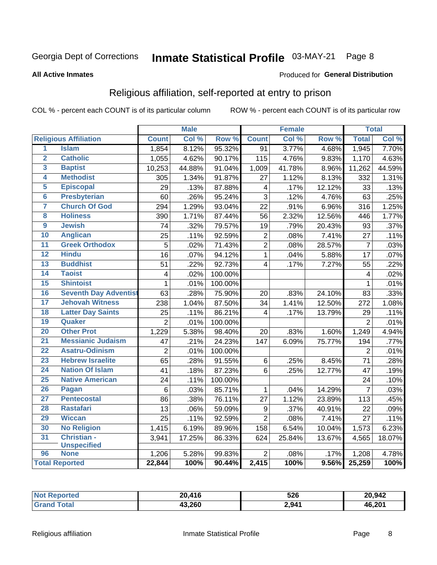#### Inmate Statistical Profile 03-MAY-21 Page 8

### **All Active Inmates**

### Produced for General Distribution

### Religious affiliation, self-reported at entry to prison

COL % - percent each COUNT is of its particular column

|                         |                              |                 | <b>Male</b> |                  |                  | <b>Female</b> |                  |                 | <b>Total</b> |
|-------------------------|------------------------------|-----------------|-------------|------------------|------------------|---------------|------------------|-----------------|--------------|
|                         | <b>Religious Affiliation</b> | <b>Count</b>    | Col %       | Row <sup>%</sup> | <b>Count</b>     | Col %         | Row <sup>%</sup> | <b>Total</b>    | Col %        |
| 1                       | <b>Islam</b>                 | 1,854           | 8.12%       | 95.32%           | $\overline{91}$  | 3.77%         | 4.68%            | 1,945           | 7.70%        |
| $\overline{\mathbf{2}}$ | <b>Catholic</b>              | 1,055           | 4.62%       | 90.17%           | 115              | 4.76%         | 9.83%            | 1,170           | 4.63%        |
| 3                       | <b>Baptist</b>               | 10,253          | 44.88%      | 91.04%           | 1,009            | 41.78%        | 8.96%            | 11,262          | 44.59%       |
| 4                       | <b>Methodist</b>             | 305             | 1.34%       | 91.87%           | 27               | 1.12%         | 8.13%            | 332             | 1.31%        |
| 5                       | <b>Episcopal</b>             | 29              | .13%        | 87.88%           | 4                | .17%          | 12.12%           | 33              | .13%         |
| $\overline{6}$          | <b>Presbyterian</b>          | 60              | .26%        | 95.24%           | 3                | .12%          | 4.76%            | 63              | .25%         |
| 7                       | <b>Church Of God</b>         | 294             | 1.29%       | 93.04%           | 22               | .91%          | 6.96%            | 316             | 1.25%        |
| 8                       | <b>Holiness</b>              | 390             | 1.71%       | 87.44%           | 56               | 2.32%         | 12.56%           | 446             | 1.77%        |
| $\overline{9}$          | <b>Jewish</b>                | 74              | .32%        | 79.57%           | 19               | .79%          | 20.43%           | 93              | .37%         |
| 10                      | <b>Anglican</b>              | 25              | .11%        | 92.59%           | $\mathbf 2$      | .08%          | 7.41%            | 27              | .11%         |
| 11                      | <b>Greek Orthodox</b>        | $\overline{5}$  | .02%        | 71.43%           | $\overline{2}$   | .08%          | 28.57%           | $\overline{7}$  | .03%         |
| 12                      | <b>Hindu</b>                 | $\overline{16}$ | .07%        | 94.12%           | $\mathbf{1}$     | .04%          | 5.88%            | $\overline{17}$ | .07%         |
| 13                      | <b>Buddhist</b>              | 51              | .22%        | 92.73%           | $\overline{4}$   | .17%          | 7.27%            | 55              | .22%         |
| $\overline{14}$         | <b>Taoist</b>                | $\overline{4}$  | .02%        | 100.00%          |                  |               |                  | 4               | .02%         |
| 15                      | <b>Shintoist</b>             | $\mathbf{1}$    | .01%        | 100.00%          |                  |               |                  | 1               | .01%         |
| 16                      | <b>Seventh Day Adventist</b> | 63              | .28%        | 75.90%           | 20               | .83%          | 24.10%           | 83              | .33%         |
| 17                      | <b>Jehovah Witness</b>       | 238             | 1.04%       | 87.50%           | 34               | 1.41%         | 12.50%           | 272             | 1.08%        |
| 18                      | <b>Latter Day Saints</b>     | 25              | .11%        | 86.21%           | 4                | .17%          | 13.79%           | 29              | .11%         |
| 19                      | Quaker                       | $\overline{2}$  | .01%        | 100.00%          |                  |               |                  | $\overline{2}$  | .01%         |
| 20                      | <b>Other Prot</b>            | 1,229           | 5.38%       | 98.40%           | 20               | .83%          | 1.60%            | 1,249           | 4.94%        |
| 21                      | <b>Messianic Judaism</b>     | 47              | .21%        | 24.23%           | 147              | 6.09%         | 75.77%           | 194             | .77%         |
| 22                      | <b>Asatru-Odinism</b>        | $\overline{2}$  | .01%        | 100.00%          |                  |               |                  | $\overline{2}$  | .01%         |
| 23                      | <b>Hebrew Israelite</b>      | 65              | .28%        | 91.55%           | 6                | .25%          | 8.45%            | 71              | .28%         |
| 24                      | <b>Nation Of Islam</b>       | 41              | .18%        | 87.23%           | 6                | .25%          | 12.77%           | 47              | .19%         |
| 25                      | <b>Native American</b>       | 24              | .11%        | 100.00%          |                  |               |                  | 24              | .10%         |
| 26                      | Pagan                        | $6\phantom{1}6$ | .03%        | 85.71%           | $\mathbf{1}$     | .04%          | 14.29%           | $\overline{7}$  | .03%         |
| 27                      | <b>Pentecostal</b>           | 86              | .38%        | 76.11%           | 27               | 1.12%         | 23.89%           | 113             | .45%         |
| 28                      | <b>Rastafari</b>             | 13              | .06%        | 59.09%           | $\boldsymbol{9}$ | .37%          | 40.91%           | 22              | .09%         |
| 29                      | <b>Wiccan</b>                | 25              | .11%        | 92.59%           | $\overline{2}$   | .08%          | 7.41%            | $\overline{27}$ | .11%         |
| 30                      | <b>No Religion</b>           | 1,415           | 6.19%       | 89.96%           | 158              | 6.54%         | 10.04%           | 1,573           | 6.23%        |
| 31                      | Christian -                  | 3,941           | 17.25%      | 86.33%           | 624              | 25.84%        | 13.67%           | 4,565           | 18.07%       |
|                         | <b>Unspecified</b>           |                 |             |                  |                  |               |                  |                 |              |
| 96                      | <b>None</b>                  | 1,206           | 5.28%       | 99.83%           | $\overline{2}$   | .08%          | .17%             | 1,208           | 4.78%        |
|                         | <b>Total Reported</b>        | 22,844          | 100%        | 90.44%           | 2,415            | 100%          | 9.56%            | 25,259          | 100%         |

| $\overline{A}$<br>ንስ<br>н. | 526   | 20,942 |
|----------------------------|-------|--------|
| 43,260                     | 2,941 | 46.201 |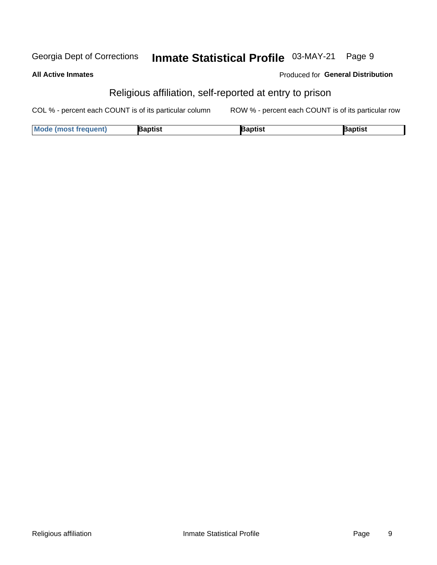#### Inmate Statistical Profile 03-MAY-21 Georgia Dept of Corrections Page 9

### **All Active Inmates**

### Produced for General Distribution

### Religious affiliation, self-reported at entry to prison

COL % - percent each COUNT is of its particular column ROW % - percent each COUNT is of its particular row

| <b>Mode (most frequent)</b> | 3aptist | aptist | Baptist |
|-----------------------------|---------|--------|---------|
|-----------------------------|---------|--------|---------|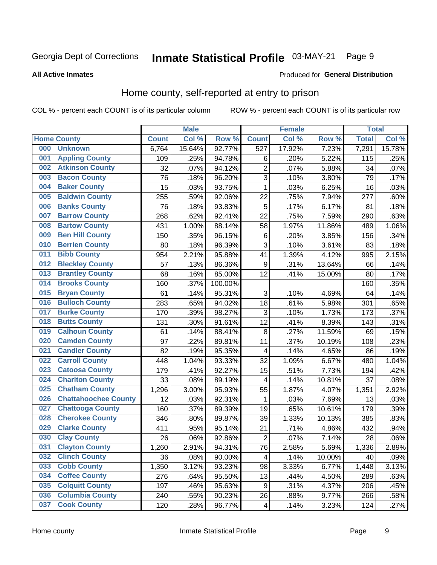#### Inmate Statistical Profile 03-MAY-21 Page 9

### **All Active Inmates**

### Produced for General Distribution

### Home county, self-reported at entry to prison

COL % - percent each COUNT is of its particular column

|     |                             |              | <b>Male</b> |                  |                         | <b>Female</b> |        | <b>Total</b> |        |
|-----|-----------------------------|--------------|-------------|------------------|-------------------------|---------------|--------|--------------|--------|
|     | <b>Home County</b>          | <b>Count</b> | Col %       | Row <sup>%</sup> | <b>Count</b>            | Col %         | Row %  | <b>Total</b> | Col %  |
| 000 | <b>Unknown</b>              | 6,764        | 15.64%      | 92.77%           | $\overline{527}$        | 17.92%        | 7.23%  | 7,291        | 15.78% |
| 001 | <b>Appling County</b>       | 109          | .25%        | 94.78%           | $\,6$                   | .20%          | 5.22%  | 115          | .25%   |
| 002 | <b>Atkinson County</b>      | 32           | .07%        | 94.12%           | $\overline{c}$          | .07%          | 5.88%  | 34           | .07%   |
| 003 | <b>Bacon County</b>         | 76           | .18%        | 96.20%           | 3                       | .10%          | 3.80%  | 79           | .17%   |
| 004 | <b>Baker County</b>         | 15           | .03%        | 93.75%           | $\mathbf{1}$            | .03%          | 6.25%  | 16           | .03%   |
| 005 | <b>Baldwin County</b>       | 255          | .59%        | 92.06%           | 22                      | .75%          | 7.94%  | 277          | .60%   |
| 006 | <b>Banks County</b>         | 76           | .18%        | 93.83%           | 5                       | .17%          | 6.17%  | 81           | .18%   |
| 007 | <b>Barrow County</b>        | 268          | .62%        | 92.41%           | 22                      | .75%          | 7.59%  | 290          | .63%   |
| 008 | <b>Bartow County</b>        | 431          | 1.00%       | 88.14%           | 58                      | 1.97%         | 11.86% | 489          | 1.06%  |
| 009 | <b>Ben Hill County</b>      | 150          | .35%        | 96.15%           | $\,6$                   | .20%          | 3.85%  | 156          | .34%   |
| 010 | <b>Berrien County</b>       | 80           | .18%        | 96.39%           | $\overline{3}$          | .10%          | 3.61%  | 83           | .18%   |
| 011 | <b>Bibb County</b>          | 954          | 2.21%       | 95.88%           | 41                      | 1.39%         | 4.12%  | 995          | 2.15%  |
| 012 | <b>Bleckley County</b>      | 57           | .13%        | 86.36%           | 9                       | .31%          | 13.64% | 66           | .14%   |
| 013 | <b>Brantley County</b>      | 68           | .16%        | 85.00%           | 12                      | .41%          | 15.00% | 80           | .17%   |
| 014 | <b>Brooks County</b>        | 160          | .37%        | 100.00%          |                         |               |        | 160          | .35%   |
| 015 | <b>Bryan County</b>         | 61           | .14%        | 95.31%           | 3                       | .10%          | 4.69%  | 64           | .14%   |
| 016 | <b>Bulloch County</b>       | 283          | .65%        | 94.02%           | 18                      | .61%          | 5.98%  | 301          | .65%   |
| 017 | <b>Burke County</b>         | 170          | .39%        | 98.27%           | $\mathbf{3}$            | .10%          | 1.73%  | 173          | .37%   |
| 018 | <b>Butts County</b>         | 131          | .30%        | 91.61%           | 12                      | .41%          | 8.39%  | 143          | .31%   |
| 019 | <b>Calhoun County</b>       | 61           | .14%        | 88.41%           | 8                       | .27%          | 11.59% | 69           | .15%   |
| 020 | <b>Camden County</b>        | 97           | .22%        | 89.81%           | 11                      | .37%          | 10.19% | 108          | .23%   |
| 021 | <b>Candler County</b>       | 82           | .19%        | 95.35%           | 4                       | .14%          | 4.65%  | 86           | .19%   |
| 022 | <b>Carroll County</b>       | 448          | 1.04%       | 93.33%           | 32                      | 1.09%         | 6.67%  | 480          | 1.04%  |
| 023 | <b>Catoosa County</b>       | 179          | .41%        | 92.27%           | 15                      | .51%          | 7.73%  | 194          | .42%   |
| 024 | <b>Charlton County</b>      | 33           | .08%        | 89.19%           | 4                       | .14%          | 10.81% | 37           | .08%   |
| 025 | <b>Chatham County</b>       | 1,296        | 3.00%       | 95.93%           | 55                      | 1.87%         | 4.07%  | 1,351        | 2.92%  |
| 026 | <b>Chattahoochee County</b> | 12           | .03%        | 92.31%           | 1                       | .03%          | 7.69%  | 13           | .03%   |
| 027 | <b>Chattooga County</b>     | 160          | .37%        | 89.39%           | 19                      | .65%          | 10.61% | 179          | .39%   |
| 028 | <b>Cherokee County</b>      | 346          | .80%        | 89.87%           | 39                      | 1.33%         | 10.13% | 385          | .83%   |
| 029 | <b>Clarke County</b>        | 411          | .95%        | 95.14%           | 21                      | .71%          | 4.86%  | 432          | .94%   |
| 030 | <b>Clay County</b>          | 26           | .06%        | 92.86%           | $\overline{2}$          | .07%          | 7.14%  | 28           | .06%   |
| 031 | <b>Clayton County</b>       | 1,260        | 2.91%       | 94.31%           | 76                      | 2.58%         | 5.69%  | 1,336        | 2.89%  |
| 032 | <b>Clinch County</b>        | 36           | .08%        | 90.00%           | 4                       | .14%          | 10.00% | 40           | .09%   |
| 033 | <b>Cobb County</b>          | 1,350        | 3.12%       | 93.23%           | 98                      | 3.33%         | 6.77%  | 1,448        | 3.13%  |
| 034 | <b>Coffee County</b>        | 276          | .64%        | 95.50%           | 13                      | .44%          | 4.50%  | 289          | .63%   |
| 035 | <b>Colquitt County</b>      | 197          | .46%        | 95.63%           | 9                       | .31%          | 4.37%  | 206          | .45%   |
| 036 | <b>Columbia County</b>      | 240          | .55%        | 90.23%           | 26                      | .88%          | 9.77%  | 266          | .58%   |
| 037 | <b>Cook County</b>          | 120          | .28%        | 96.77%           | $\overline{\mathbf{4}}$ | .14%          | 3.23%  | 124          | .27%   |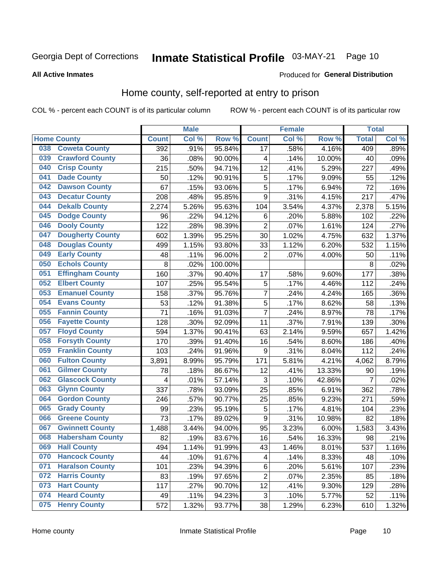## Inmate Statistical Profile 03-MAY-21 Page 10

**All Active Inmates** 

### Produced for General Distribution

### Home county, self-reported at entry to prison

COL % - percent each COUNT is of its particular column

|     |                         |              | <b>Male</b> |                  |                         | <b>Female</b> |        | <b>Total</b> |       |
|-----|-------------------------|--------------|-------------|------------------|-------------------------|---------------|--------|--------------|-------|
|     | <b>Home County</b>      | <b>Count</b> | Col%        | Row <sup>%</sup> | <b>Count</b>            | Col %         | Row %  | <b>Total</b> | Col % |
| 038 | <b>Coweta County</b>    | 392          | .91%        | 95.84%           | 17                      | .58%          | 4.16%  | 409          | .89%  |
| 039 | <b>Crawford County</b>  | 36           | .08%        | 90.00%           | 4                       | .14%          | 10.00% | 40           | .09%  |
| 040 | <b>Crisp County</b>     | 215          | .50%        | 94.71%           | 12                      | .41%          | 5.29%  | 227          | .49%  |
| 041 | <b>Dade County</b>      | 50           | .12%        | 90.91%           | 5                       | .17%          | 9.09%  | 55           | .12%  |
| 042 | <b>Dawson County</b>    | 67           | .15%        | 93.06%           | 5                       | .17%          | 6.94%  | 72           | .16%  |
| 043 | <b>Decatur County</b>   | 208          | .48%        | 95.85%           | 9                       | .31%          | 4.15%  | 217          | .47%  |
| 044 | <b>Dekalb County</b>    | 2,274        | 5.26%       | 95.63%           | 104                     | 3.54%         | 4.37%  | 2,378        | 5.15% |
| 045 | <b>Dodge County</b>     | 96           | .22%        | 94.12%           | 6                       | .20%          | 5.88%  | 102          | .22%  |
| 046 | <b>Dooly County</b>     | 122          | .28%        | 98.39%           | $\overline{2}$          | .07%          | 1.61%  | 124          | .27%  |
| 047 | <b>Dougherty County</b> | 602          | 1.39%       | 95.25%           | 30                      | 1.02%         | 4.75%  | 632          | 1.37% |
| 048 | <b>Douglas County</b>   | 499          | 1.15%       | 93.80%           | 33                      | 1.12%         | 6.20%  | 532          | 1.15% |
| 049 | <b>Early County</b>     | 48           | .11%        | 96.00%           | $\overline{2}$          | .07%          | 4.00%  | 50           | .11%  |
| 050 | <b>Echols County</b>    | 8            | .02%        | 100.00%          |                         |               |        | 8            | .02%  |
| 051 | <b>Effingham County</b> | 160          | .37%        | 90.40%           | 17                      | .58%          | 9.60%  | 177          | .38%  |
| 052 | <b>Elbert County</b>    | 107          | .25%        | 95.54%           | 5                       | .17%          | 4.46%  | 112          | .24%  |
| 053 | <b>Emanuel County</b>   | 158          | .37%        | 95.76%           | $\overline{7}$          | .24%          | 4.24%  | 165          | .36%  |
| 054 | <b>Evans County</b>     | 53           | .12%        | 91.38%           | 5                       | .17%          | 8.62%  | 58           | .13%  |
| 055 | <b>Fannin County</b>    | 71           | .16%        | 91.03%           | 7                       | .24%          | 8.97%  | 78           | .17%  |
| 056 | <b>Fayette County</b>   | 128          | .30%        | 92.09%           | 11                      | .37%          | 7.91%  | 139          | .30%  |
| 057 | <b>Floyd County</b>     | 594          | 1.37%       | 90.41%           | 63                      | 2.14%         | 9.59%  | 657          | 1.42% |
| 058 | <b>Forsyth County</b>   | 170          | .39%        | 91.40%           | 16                      | .54%          | 8.60%  | 186          | .40%  |
| 059 | <b>Franklin County</b>  | 103          | .24%        | 91.96%           | $\boldsymbol{9}$        | .31%          | 8.04%  | 112          | .24%  |
| 060 | <b>Fulton County</b>    | 3,891        | 8.99%       | 95.79%           | 171                     | 5.81%         | 4.21%  | 4,062        | 8.79% |
| 061 | <b>Gilmer County</b>    | 78           | .18%        | 86.67%           | 12                      | .41%          | 13.33% | 90           | .19%  |
| 062 | <b>Glascock County</b>  | 4            | .01%        | 57.14%           | 3                       | .10%          | 42.86% | 7            | .02%  |
| 063 | <b>Glynn County</b>     | 337          | .78%        | 93.09%           | 25                      | .85%          | 6.91%  | 362          | .78%  |
| 064 | <b>Gordon County</b>    | 246          | .57%        | 90.77%           | 25                      | .85%          | 9.23%  | 271          | .59%  |
| 065 | <b>Grady County</b>     | 99           | .23%        | 95.19%           | 5                       | .17%          | 4.81%  | 104          | .23%  |
| 066 | <b>Greene County</b>    | 73           | .17%        | 89.02%           | 9                       | .31%          | 10.98% | 82           | .18%  |
| 067 | <b>Gwinnett County</b>  | 1,488        | 3.44%       | 94.00%           | 95                      | 3.23%         | 6.00%  | 1,583        | 3.43% |
| 068 | <b>Habersham County</b> | 82           | .19%        | 83.67%           | 16                      | .54%          | 16.33% | 98           | .21%  |
| 069 | <b>Hall County</b>      | 494          | 1.14%       | 91.99%           | 43                      | 1.46%         | 8.01%  | 537          | 1.16% |
| 070 | <b>Hancock County</b>   | 44           | .10%        | 91.67%           | $\overline{\mathbf{4}}$ | .14%          | 8.33%  | 48           | .10%  |
| 071 | <b>Haralson County</b>  | 101          | .23%        | 94.39%           | $\,6$                   | .20%          | 5.61%  | 107          | .23%  |
| 072 | <b>Harris County</b>    | 83           | .19%        | 97.65%           | $\overline{2}$          | .07%          | 2.35%  | 85           | .18%  |
| 073 | <b>Hart County</b>      | 117          | .27%        | 90.70%           | 12                      | .41%          | 9.30%  | 129          | .28%  |
| 074 | <b>Heard County</b>     | 49           | .11%        | 94.23%           | $\sqrt{3}$              | .10%          | 5.77%  | 52           | .11%  |
| 075 | <b>Henry County</b>     | 572          | 1.32%       | 93.77%           | 38                      | 1.29%         | 6.23%  | 610          | 1.32% |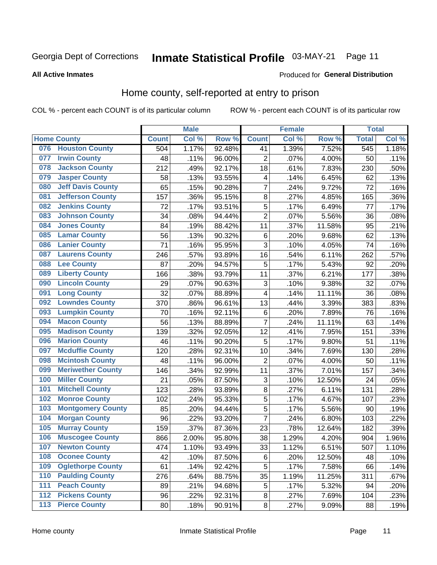#### Inmate Statistical Profile 03-MAY-21 Page 11

**All Active Inmates** 

### Produced for General Distribution

### Home county, self-reported at entry to prison

COL % - percent each COUNT is of its particular column

|     |                          |              | <b>Male</b> |        |                | <b>Female</b> |        | <b>Total</b>     |       |
|-----|--------------------------|--------------|-------------|--------|----------------|---------------|--------|------------------|-------|
|     | <b>Home County</b>       | <b>Count</b> | Col %       | Row %  | <b>Count</b>   | Col %         | Row %  | <b>Total</b>     | Col%  |
| 076 | <b>Houston County</b>    | 504          | 1.17%       | 92.48% | 41             | 1.39%         | 7.52%  | $\overline{545}$ | 1.18% |
| 077 | <b>Irwin County</b>      | 48           | .11%        | 96.00% | $\overline{2}$ | .07%          | 4.00%  | 50               | .11%  |
| 078 | <b>Jackson County</b>    | 212          | .49%        | 92.17% | 18             | .61%          | 7.83%  | 230              | .50%  |
| 079 | <b>Jasper County</b>     | 58           | .13%        | 93.55% | 4              | .14%          | 6.45%  | 62               | .13%  |
| 080 | <b>Jeff Davis County</b> | 65           | .15%        | 90.28% | $\overline{7}$ | .24%          | 9.72%  | 72               | .16%  |
| 081 | <b>Jefferson County</b>  | 157          | .36%        | 95.15% | 8              | .27%          | 4.85%  | 165              | .36%  |
| 082 | <b>Jenkins County</b>    | 72           | .17%        | 93.51% | $\overline{5}$ | .17%          | 6.49%  | 77               | .17%  |
| 083 | <b>Johnson County</b>    | 34           | .08%        | 94.44% | $\overline{2}$ | .07%          | 5.56%  | 36               | .08%  |
| 084 | <b>Jones County</b>      | 84           | .19%        | 88.42% | 11             | .37%          | 11.58% | 95               | .21%  |
| 085 | <b>Lamar County</b>      | 56           | .13%        | 90.32% | $\,6$          | .20%          | 9.68%  | 62               | .13%  |
| 086 | <b>Lanier County</b>     | 71           | .16%        | 95.95% | $\overline{3}$ | .10%          | 4.05%  | 74               | .16%  |
| 087 | <b>Laurens County</b>    | 246          | .57%        | 93.89% | 16             | .54%          | 6.11%  | 262              | .57%  |
| 088 | <b>Lee County</b>        | 87           | .20%        | 94.57% | 5              | .17%          | 5.43%  | 92               | .20%  |
| 089 | <b>Liberty County</b>    | 166          | .38%        | 93.79% | 11             | .37%          | 6.21%  | 177              | .38%  |
| 090 | <b>Lincoln County</b>    | 29           | .07%        | 90.63% | $\mathbf{3}$   | .10%          | 9.38%  | 32               | .07%  |
| 091 | <b>Long County</b>       | 32           | .07%        | 88.89% | 4              | .14%          | 11.11% | 36               | .08%  |
| 092 | <b>Lowndes County</b>    | 370          | .86%        | 96.61% | 13             | .44%          | 3.39%  | 383              | .83%  |
| 093 | <b>Lumpkin County</b>    | 70           | .16%        | 92.11% | $\,6$          | .20%          | 7.89%  | 76               | .16%  |
| 094 | <b>Macon County</b>      | 56           | .13%        | 88.89% | 7              | .24%          | 11.11% | 63               | .14%  |
| 095 | <b>Madison County</b>    | 139          | .32%        | 92.05% | 12             | .41%          | 7.95%  | 151              | .33%  |
| 096 | <b>Marion County</b>     | 46           | .11%        | 90.20% | 5              | .17%          | 9.80%  | 51               | .11%  |
| 097 | <b>Mcduffie County</b>   | 120          | .28%        | 92.31% | 10             | .34%          | 7.69%  | 130              | .28%  |
| 098 | <b>Mcintosh County</b>   | 48           | .11%        | 96.00% | $\overline{2}$ | .07%          | 4.00%  | 50               | .11%  |
| 099 | <b>Meriwether County</b> | 146          | .34%        | 92.99% | 11             | .37%          | 7.01%  | 157              | .34%  |
| 100 | <b>Miller County</b>     | 21           | .05%        | 87.50% | 3              | .10%          | 12.50% | 24               | .05%  |
| 101 | <b>Mitchell County</b>   | 123          | .28%        | 93.89% | 8              | .27%          | 6.11%  | 131              | .28%  |
| 102 | <b>Monroe County</b>     | 102          | .24%        | 95.33% | $\overline{5}$ | .17%          | 4.67%  | 107              | .23%  |
| 103 | <b>Montgomery County</b> | 85           | .20%        | 94.44% | 5              | .17%          | 5.56%  | 90               | .19%  |
| 104 | <b>Morgan County</b>     | 96           | .22%        | 93.20% | $\overline{7}$ | .24%          | 6.80%  | 103              | .22%  |
| 105 | <b>Murray County</b>     | 159          | .37%        | 87.36% | 23             | .78%          | 12.64% | 182              | .39%  |
| 106 | <b>Muscogee County</b>   | 866          | 2.00%       | 95.80% | 38             | 1.29%         | 4.20%  | 904              | 1.96% |
| 107 | <b>Newton County</b>     | 474          | 1.10%       | 93.49% | 33             | 1.12%         | 6.51%  | 507              | 1.10% |
| 108 | <b>Oconee County</b>     | 42           | .10%        | 87.50% | 6              | .20%          | 12.50% | 48               | .10%  |
| 109 | <b>Oglethorpe County</b> | 61           | .14%        | 92.42% | 5              | .17%          | 7.58%  | 66               | .14%  |
| 110 | <b>Paulding County</b>   | 276          | .64%        | 88.75% | 35             | 1.19%         | 11.25% | 311              | .67%  |
| 111 | <b>Peach County</b>      | 89           | .21%        | 94.68% | 5              | .17%          | 5.32%  | 94               | .20%  |
| 112 | <b>Pickens County</b>    | 96           | .22%        | 92.31% | 8              | .27%          | 7.69%  | 104              | .23%  |
| 113 | <b>Pierce County</b>     | 80           | .18%        | 90.91% | $\bf 8$        | .27%          | 9.09%  | 88               | .19%  |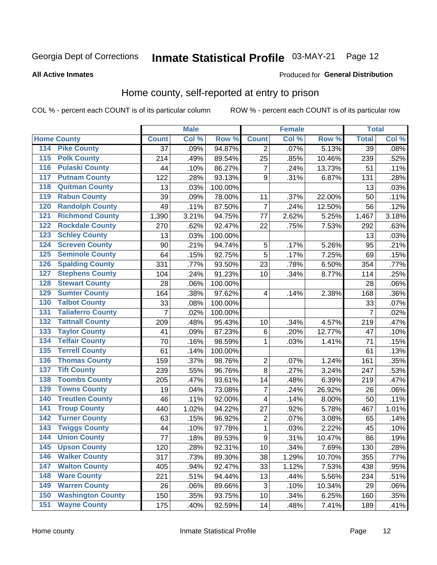## Inmate Statistical Profile 03-MAY-21 Page 12

### **All Active Inmates**

### Produced for General Distribution

### Home county, self-reported at entry to prison

COL % - percent each COUNT is of its particular column

|                    |                          |                 | <b>Male</b> |                  |                | <b>Female</b> |        | <b>Total</b>    |       |
|--------------------|--------------------------|-----------------|-------------|------------------|----------------|---------------|--------|-----------------|-------|
| <b>Home County</b> |                          | <b>Count</b>    | Col %       | Row <sup>%</sup> | <b>Count</b>   | Col %         | Row %  | <b>Total</b>    | Col % |
| 114                | <b>Pike County</b>       | $\overline{37}$ | .09%        | 94.87%           | 2              | .07%          | 5.13%  | $\overline{39}$ | .08%  |
| 115                | <b>Polk County</b>       | 214             | .49%        | 89.54%           | 25             | .85%          | 10.46% | 239             | .52%  |
| 116                | <b>Pulaski County</b>    | 44              | .10%        | 86.27%           | $\overline{7}$ | .24%          | 13.73% | 51              | .11%  |
| 117                | <b>Putnam County</b>     | 122             | .28%        | 93.13%           | 9              | .31%          | 6.87%  | 131             | .28%  |
| 118                | <b>Quitman County</b>    | 13              | .03%        | 100.00%          |                |               |        | 13              | .03%  |
| 119                | <b>Rabun County</b>      | 39              | .09%        | 78.00%           | 11             | .37%          | 22.00% | 50              | .11%  |
| 120                | <b>Randolph County</b>   | 49              | .11%        | 87.50%           | $\overline{7}$ | .24%          | 12.50% | 56              | .12%  |
| 121                | <b>Richmond County</b>   | 1,390           | 3.21%       | 94.75%           | 77             | 2.62%         | 5.25%  | 1,467           | 3.18% |
| 122                | <b>Rockdale County</b>   | 270             | .62%        | 92.47%           | 22             | .75%          | 7.53%  | 292             | .63%  |
| 123                | <b>Schley County</b>     | 13              | .03%        | 100.00%          |                |               |        | 13              | .03%  |
| 124                | <b>Screven County</b>    | 90              | .21%        | 94.74%           | 5              | .17%          | 5.26%  | 95              | .21%  |
| 125                | <b>Seminole County</b>   | 64              | .15%        | 92.75%           | 5              | .17%          | 7.25%  | 69              | .15%  |
| 126                | <b>Spalding County</b>   | 331             | .77%        | 93.50%           | 23             | .78%          | 6.50%  | 354             | .77%  |
| 127                | <b>Stephens County</b>   | 104             | .24%        | 91.23%           | 10             | .34%          | 8.77%  | 114             | .25%  |
| 128                | <b>Stewart County</b>    | 28              | .06%        | 100.00%          |                |               |        | 28              | .06%  |
| 129                | <b>Sumter County</b>     | 164             | .38%        | 97.62%           | 4              | .14%          | 2.38%  | 168             | .36%  |
| 130                | <b>Talbot County</b>     | 33              | .08%        | 100.00%          |                |               |        | 33              | .07%  |
| 131                | <b>Taliaferro County</b> | 7               | .02%        | 100.00%          |                |               |        | $\overline{7}$  | .02%  |
| 132                | <b>Tattnall County</b>   | 209             | .48%        | 95.43%           | 10             | .34%          | 4.57%  | 219             | .47%  |
| 133                | <b>Taylor County</b>     | 41              | .09%        | 87.23%           | $\,6$          | .20%          | 12.77% | 47              | .10%  |
| 134                | <b>Telfair County</b>    | 70              | .16%        | 98.59%           | 1              | .03%          | 1.41%  | 71              | .15%  |
| 135                | <b>Terrell County</b>    | 61              | .14%        | 100.00%          |                |               |        | 61              | .13%  |
| 136                | <b>Thomas County</b>     | 159             | .37%        | 98.76%           | $\overline{2}$ | .07%          | 1.24%  | 161             | .35%  |
| 137                | <b>Tift County</b>       | 239             | .55%        | 96.76%           | 8              | .27%          | 3.24%  | 247             | .53%  |
| 138                | <b>Toombs County</b>     | 205             | .47%        | 93.61%           | 14             | .48%          | 6.39%  | 219             | .47%  |
| 139                | <b>Towns County</b>      | 19              | .04%        | 73.08%           | $\overline{7}$ | .24%          | 26.92% | 26              | .06%  |
| 140                | <b>Treutlen County</b>   | 46              | .11%        | 92.00%           | $\overline{4}$ | .14%          | 8.00%  | 50              | .11%  |
| 141                | <b>Troup County</b>      | 440             | 1.02%       | 94.22%           | 27             | .92%          | 5.78%  | 467             | 1.01% |
| 142                | <b>Turner County</b>     | 63              | .15%        | 96.92%           | $\overline{2}$ | .07%          | 3.08%  | 65              | .14%  |
| 143                | <b>Twiggs County</b>     | 44              | .10%        | 97.78%           | $\mathbf{1}$   | .03%          | 2.22%  | 45              | .10%  |
| 144                | <b>Union County</b>      | 77              | .18%        | 89.53%           | $\overline{9}$ | .31%          | 10.47% | 86              | .19%  |
| 145                | <b>Upson County</b>      | 120             | .28%        | 92.31%           | 10             | .34%          | 7.69%  | 130             | .28%  |
| 146                | <b>Walker County</b>     | 317             | .73%        | 89.30%           | 38             | 1.29%         | 10.70% | 355             | .77%  |
| 147                | <b>Walton County</b>     | 405             | .94%        | 92.47%           | 33             | 1.12%         | 7.53%  | 438             | .95%  |
| 148                | <b>Ware County</b>       | 221             | .51%        | 94.44%           | 13             | .44%          | 5.56%  | 234             | .51%  |
| 149                | <b>Warren County</b>     | 26              | .06%        | 89.66%           | 3              | .10%          | 10.34% | 29              | .06%  |
| 150                | <b>Washington County</b> | 150             | .35%        | 93.75%           | 10             | .34%          | 6.25%  | 160             | .35%  |
| 151                | <b>Wayne County</b>      | 175             | .40%        | 92.59%           | 14             | .48%          | 7.41%  | 189             | .41%  |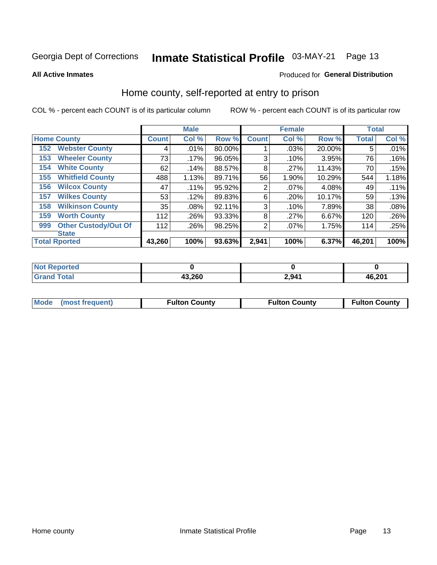## Inmate Statistical Profile 03-MAY-21 Page 13

**All Active Inmates** 

### Produced for General Distribution

### Home county, self-reported at entry to prison

COL % - percent each COUNT is of its particular column

|     |                             |              | <b>Male</b> |        |                | <b>Female</b> |        | <b>Total</b> |       |
|-----|-----------------------------|--------------|-------------|--------|----------------|---------------|--------|--------------|-------|
|     | <b>Home County</b>          | <b>Count</b> | Col %       | Row %  | <b>Count</b>   | Col %         | Row %  | <b>Total</b> | Col % |
| 152 | <b>Webster County</b>       | 4            | .01%        | 80.00% |                | .03%          | 20.00% | 5            | .01%  |
| 153 | <b>Wheeler County</b>       | 73           | $.17\%$     | 96.05% | 3              | .10%          | 3.95%  | 76           | .16%  |
| 154 | <b>White County</b>         | 62           | .14%        | 88.57% | 8              | .27%          | 11.43% | 70           | .15%  |
| 155 | <b>Whitfield County</b>     | 488          | 1.13%       | 89.71% | 56             | 1.90%         | 10.29% | 544          | 1.18% |
| 156 | <b>Wilcox County</b>        | 47           | .11%        | 95.92% | $\overline{2}$ | .07%          | 4.08%  | 49           | .11%  |
| 157 | <b>Wilkes County</b>        | 53           | .12%        | 89.83% | 6              | .20%          | 10.17% | 59           | .13%  |
| 158 | <b>Wilkinson County</b>     | 35           | $.08\%$     | 92.11% | 3              | .10%          | 7.89%  | 38           | .08%  |
| 159 | <b>Worth County</b>         | 112          | .26%        | 93.33% | 8              | .27%          | 6.67%  | 120          | .26%  |
| 999 | <b>Other Custody/Out Of</b> | 112          | .26%        | 98.25% | 2              | .07%          | 1.75%  | 114          | .25%  |
|     | <b>State</b>                |              |             |        |                |               |        |              |       |
|     | <b>Total Rported</b>        | 43,260       | 100%        | 93.63% | 2,941          | 100%          | 6.37%  | 46,201       | 100%  |

| <b>Not</b><br>Reported       |        |       |        |
|------------------------------|--------|-------|--------|
| <b>Total</b><br><b>Grand</b> | 43,260 | 2,941 | 46,201 |

|  | Mode (most frequent) | <b>Fulton County</b> | <b>Fulton County</b> | <b>Fulton County</b> |
|--|----------------------|----------------------|----------------------|----------------------|
|--|----------------------|----------------------|----------------------|----------------------|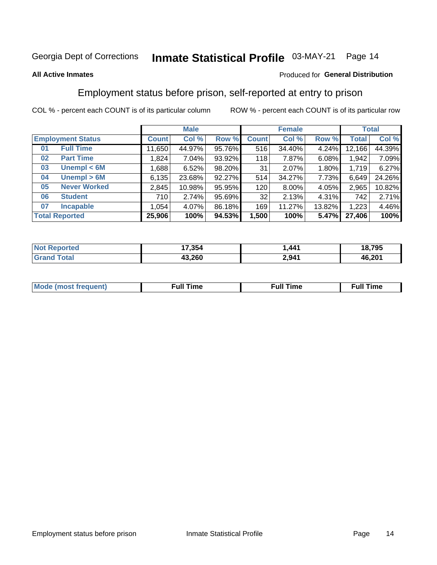#### Inmate Statistical Profile 03-MAY-21 Page 14

### **All Active Inmates**

### Produced for General Distribution

### Employment status before prison, self-reported at entry to prison

COL % - percent each COUNT is of its particular column

|                           | <b>Male</b> |        |        |              | <b>Female</b> |        |        | <b>Total</b> |
|---------------------------|-------------|--------|--------|--------------|---------------|--------|--------|--------------|
| <b>Employment Status</b>  | Count l     | Col %  | Row %  | <b>Count</b> | Col %         | Row %  | Total  | Col %        |
| <b>Full Time</b><br>01    | 11,650      | 44.97% | 95.76% | 516          | 34.40%        | 4.24%  | 12,166 | 44.39%       |
| <b>Part Time</b><br>02    | 1,824       | 7.04%  | 93.92% | 118          | 7.87%         | 6.08%  | 1,942  | 7.09%        |
| Unempl $<$ 6M<br>03       | ∣ 688. ا    | 6.52%  | 98.20% | 31           | 2.07%         | 1.80%  | 1,719  | 6.27%        |
| Unempl > 6M<br>04         | 6,135       | 23.68% | 92.27% | 514          | 34.27%        | 7.73%  | 6,649  | 24.26%       |
| <b>Never Worked</b><br>05 | 2,845       | 10.98% | 95.95% | 120          | $8.00\%$      | 4.05%  | 2,965  | 10.82%       |
| <b>Student</b><br>06      | 710         | 2.74%  | 95.69% | 32           | 2.13%         | 4.31%  | 742    | 2.71%        |
| <b>Incapable</b><br>07    | 1,054       | 4.07%  | 86.18% | 169          | 11.27%        | 13.82% | 1,223  | 4.46%        |
| <b>Total Reported</b>     | 25,906      | 100%   | 94.53% | 1,500        | 100%          | 5.47%  | 27,406 | 100%         |

| <b>Not</b><br><b>Enorted</b> | 17.354 | .441  | 18,795 |
|------------------------------|--------|-------|--------|
| <b>Total</b>                 | 43,260 | 2,941 | 46,201 |

| Mc | ----<br>me<br>ш | nc<br>. |
|----|-----------------|---------|
|    |                 |         |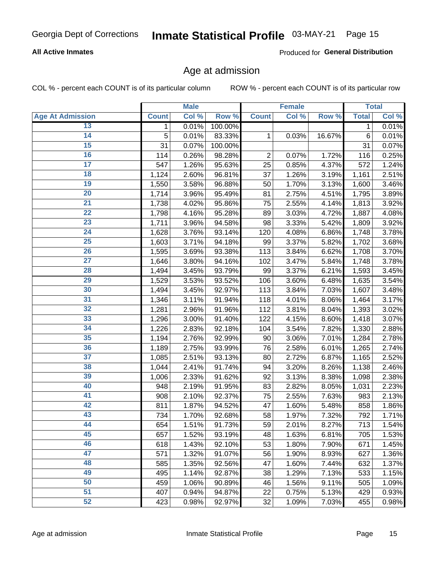### **All Active Inmates**

Produced for General Distribution

### Age at admission

COL % - percent each COUNT is of its particular column

|                         |              | <b>Male</b> |         |                | <b>Female</b> |        |              | <b>Total</b> |
|-------------------------|--------------|-------------|---------|----------------|---------------|--------|--------------|--------------|
| <b>Age At Admission</b> | <b>Count</b> | Col %       | Row %   | <b>Count</b>   | Col %         | Row %  | <b>Total</b> | Col %        |
| 13                      | 1            | 0.01%       | 100.00% |                |               |        | 1            | 0.01%        |
| $\overline{14}$         | 5            | 0.01%       | 83.33%  | 1              | 0.03%         | 16.67% | 6            | 0.01%        |
| 15                      | 31           | 0.07%       | 100.00% |                |               |        | 31           | 0.07%        |
| 16                      | 114          | 0.26%       | 98.28%  | $\overline{2}$ | 0.07%         | 1.72%  | 116          | 0.25%        |
| $\overline{17}$         | 547          | 1.26%       | 95.63%  | 25             | 0.85%         | 4.37%  | 572          | 1.24%        |
| 18                      | 1,124        | 2.60%       | 96.81%  | 37             | 1.26%         | 3.19%  | 1,161        | 2.51%        |
| 19                      | 1,550        | 3.58%       | 96.88%  | 50             | 1.70%         | 3.13%  | 1,600        | 3.46%        |
| 20                      | 1,714        | 3.96%       | 95.49%  | 81             | 2.75%         | 4.51%  | 1,795        | 3.89%        |
| $\overline{21}$         | 1,738        | 4.02%       | 95.86%  | 75             | 2.55%         | 4.14%  | 1,813        | 3.92%        |
| $\overline{22}$         | 1,798        | 4.16%       | 95.28%  | 89             | 3.03%         | 4.72%  | 1,887        | 4.08%        |
| 23                      | 1,711        | 3.96%       | 94.58%  | 98             | 3.33%         | 5.42%  | 1,809        | 3.92%        |
| 24                      | 1,628        | 3.76%       | 93.14%  | 120            | 4.08%         | 6.86%  | 1,748        | 3.78%        |
| $\overline{25}$         | 1,603        | 3.71%       | 94.18%  | 99             | 3.37%         | 5.82%  | 1,702        | 3.68%        |
| 26                      | 1,595        | 3.69%       | 93.38%  | 113            | 3.84%         | 6.62%  | 1,708        | 3.70%        |
| $\overline{27}$         | 1,646        | 3.80%       | 94.16%  | 102            | 3.47%         | 5.84%  | 1,748        | 3.78%        |
| 28                      | 1,494        | 3.45%       | 93.79%  | 99             | 3.37%         | 6.21%  | 1,593        | 3.45%        |
| 29                      | 1,529        | 3.53%       | 93.52%  | 106            | 3.60%         | 6.48%  | 1,635        | 3.54%        |
| 30                      | 1,494        | 3.45%       | 92.97%  | 113            | 3.84%         | 7.03%  | 1,607        | 3.48%        |
| 31                      | 1,346        | 3.11%       | 91.94%  | 118            | 4.01%         | 8.06%  | 1,464        | 3.17%        |
| 32                      | 1,281        | 2.96%       | 91.96%  | 112            | 3.81%         | 8.04%  | 1,393        | 3.02%        |
| 33                      | 1,296        | 3.00%       | 91.40%  | 122            | 4.15%         | 8.60%  | 1,418        | 3.07%        |
| 34                      | 1,226        | 2.83%       | 92.18%  | 104            | 3.54%         | 7.82%  | 1,330        | 2.88%        |
| 35                      | 1,194        | 2.76%       | 92.99%  | 90             | 3.06%         | 7.01%  | 1,284        | 2.78%        |
| 36                      | 1,189        | 2.75%       | 93.99%  | 76             | 2.58%         | 6.01%  | 1,265        | 2.74%        |
| $\overline{37}$         | 1,085        | 2.51%       | 93.13%  | 80             | 2.72%         | 6.87%  | 1,165        | 2.52%        |
| 38                      | 1,044        | 2.41%       | 91.74%  | 94             | 3.20%         | 8.26%  | 1,138        | 2.46%        |
| 39                      | 1,006        | 2.33%       | 91.62%  | 92             | 3.13%         | 8.38%  | 1,098        | 2.38%        |
| 40                      | 948          | 2.19%       | 91.95%  | 83             | 2.82%         | 8.05%  | 1,031        | 2.23%        |
| 41                      | 908          | 2.10%       | 92.37%  | 75             | 2.55%         | 7.63%  | 983          | 2.13%        |
| 42                      | 811          | 1.87%       | 94.52%  | 47             | 1.60%         | 5.48%  | 858          | 1.86%        |
| 43                      | 734          | 1.70%       | 92.68%  | 58             | 1.97%         | 7.32%  | 792          | 1.71%        |
| 44                      | 654          | 1.51%       | 91.73%  | 59             | 2.01%         | 8.27%  | 713          | 1.54%        |
| 45                      | 657          | 1.52%       | 93.19%  | 48             | 1.63%         | 6.81%  | 705          | 1.53%        |
| 46                      | 618          | 1.43%       | 92.10%  | 53             | 1.80%         | 7.90%  | 671          | 1.45%        |
| 47                      | 571          | 1.32%       | 91.07%  | 56             | 1.90%         | 8.93%  | 627          | 1.36%        |
| 48                      | 585          | 1.35%       | 92.56%  | 47             | 1.60%         | 7.44%  | 632          | 1.37%        |
| 49                      | 495          | 1.14%       | 92.87%  | 38             | 1.29%         | 7.13%  | 533          | 1.15%        |
| 50                      | 459          | 1.06%       | 90.89%  | 46             | 1.56%         | 9.11%  | 505          | 1.09%        |
| $\overline{51}$         | 407          | 0.94%       | 94.87%  | 22             | 0.75%         | 5.13%  | 429          | 0.93%        |
| 52                      | 423          | 0.98%       | 92.97%  | 32             | 1.09%         | 7.03%  | 455          | 0.98%        |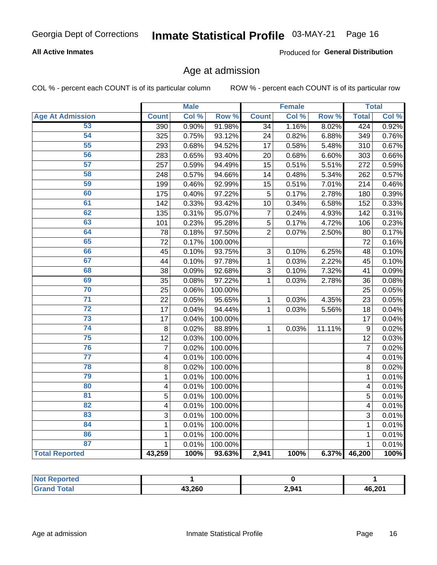### **All Active Inmates**

Produced for General Distribution

### Age at admission

COL % - percent each COUNT is of its particular column

|                         |                         | <b>Male</b> |         |                 | <b>Female</b> |        |              | <b>Total</b> |
|-------------------------|-------------------------|-------------|---------|-----------------|---------------|--------|--------------|--------------|
| <b>Age At Admission</b> | <b>Count</b>            | Col %       | Row %   | <b>Count</b>    | Col %         | Row %  | <b>Total</b> | Col %        |
| 53                      | 390                     | 0.90%       | 91.98%  | $\overline{34}$ | 1.16%         | 8.02%  | 424          | 0.92%        |
| 54                      | 325                     | 0.75%       | 93.12%  | 24              | 0.82%         | 6.88%  | 349          | 0.76%        |
| 55                      | 293                     | 0.68%       | 94.52%  | 17              | 0.58%         | 5.48%  | 310          | 0.67%        |
| 56                      | 283                     | 0.65%       | 93.40%  | 20              | 0.68%         | 6.60%  | 303          | 0.66%        |
| 57                      | 257                     | 0.59%       | 94.49%  | 15              | 0.51%         | 5.51%  | 272          | 0.59%        |
| 58                      | 248                     | 0.57%       | 94.66%  | 14              | 0.48%         | 5.34%  | 262          | 0.57%        |
| 59                      | 199                     | 0.46%       | 92.99%  | 15              | 0.51%         | 7.01%  | 214          | 0.46%        |
| 60                      | 175                     | 0.40%       | 97.22%  | 5               | 0.17%         | 2.78%  | 180          | 0.39%        |
| 61                      | 142                     | 0.33%       | 93.42%  | 10              | 0.34%         | 6.58%  | 152          | 0.33%        |
| 62                      | 135                     | 0.31%       | 95.07%  | 7               | 0.24%         | 4.93%  | 142          | 0.31%        |
| 63                      | 101                     | 0.23%       | 95.28%  | 5               | 0.17%         | 4.72%  | 106          | 0.23%        |
| 64                      | 78                      | 0.18%       | 97.50%  | $\overline{2}$  | 0.07%         | 2.50%  | 80           | 0.17%        |
| 65                      | 72                      | 0.17%       | 100.00% |                 |               |        | 72           | 0.16%        |
| 66                      | 45                      | 0.10%       | 93.75%  | 3               | 0.10%         | 6.25%  | 48           | 0.10%        |
| 67                      | 44                      | 0.10%       | 97.78%  | $\mathbf 1$     | 0.03%         | 2.22%  | 45           | 0.10%        |
| 68                      | 38                      | 0.09%       | 92.68%  | 3               | 0.10%         | 7.32%  | 41           | 0.09%        |
| 69                      | 35                      | 0.08%       | 97.22%  | 1               | 0.03%         | 2.78%  | 36           | 0.08%        |
| 70                      | 25                      | 0.06%       | 100.00% |                 |               |        | 25           | 0.05%        |
| $\overline{71}$         | 22                      | 0.05%       | 95.65%  | $\mathbf{1}$    | 0.03%         | 4.35%  | 23           | 0.05%        |
| $\overline{72}$         | 17                      | 0.04%       | 94.44%  | $\mathbf{1}$    | 0.03%         | 5.56%  | 18           | 0.04%        |
| $\overline{73}$         | 17                      | 0.04%       | 100.00% |                 |               |        | 17           | 0.04%        |
| $\overline{74}$         | 8                       | 0.02%       | 88.89%  | $\mathbf{1}$    | 0.03%         | 11.11% | 9            | 0.02%        |
| 75                      | 12                      | 0.03%       | 100.00% |                 |               |        | 12           | 0.03%        |
| 76                      | $\overline{7}$          | 0.02%       | 100.00% |                 |               |        | 7            | 0.02%        |
| $\overline{77}$         | $\overline{\mathbf{4}}$ | 0.01%       | 100.00% |                 |               |        | 4            | 0.01%        |
| 78                      | 8                       | 0.02%       | 100.00% |                 |               |        | 8            | 0.02%        |
| 79                      | $\mathbf{1}$            | 0.01%       | 100.00% |                 |               |        | 1            | 0.01%        |
| 80                      | $\overline{\mathbf{4}}$ | 0.01%       | 100.00% |                 |               |        | 4            | 0.01%        |
| $\overline{81}$         | 5                       | 0.01%       | 100.00% |                 |               |        | 5            | 0.01%        |
| 82                      | 4                       | 0.01%       | 100.00% |                 |               |        | 4            | 0.01%        |
| 83                      | 3                       | 0.01%       | 100.00% |                 |               |        | 3            | 0.01%        |
| 84                      | $\mathbf{1}$            | 0.01%       | 100.00% |                 |               |        | $\mathbf{1}$ | 0.01%        |
| 86                      | $\mathbf 1$             | 0.01%       | 100.00% |                 |               |        | 1            | 0.01%        |
| 87                      | $\mathbf{1}$            | 0.01%       | 100.00% |                 |               |        | 1            | 0.01%        |
| <b>Total Reported</b>   | 43,259                  | 100%        | 93.63%  | 2,941           | 100%          | 6.37%  | 46,200       | 100%         |

| <b>Not Reported</b> |        |       |        |
|---------------------|--------|-------|--------|
| <b>Total</b>        | 43,260 | 2,941 | 46,201 |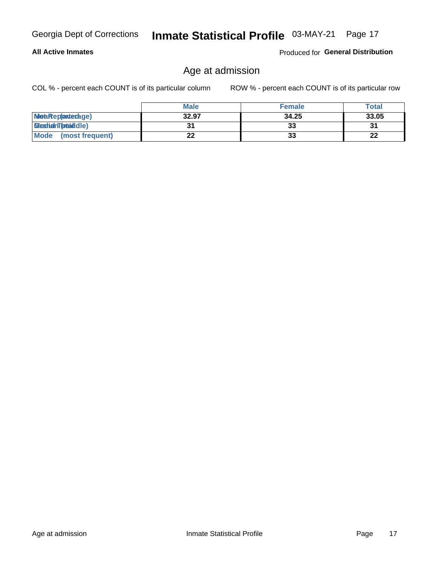### **All Active Inmates**

Produced for General Distribution

### Age at admission

COL % - percent each COUNT is of its particular column

|                         | <b>Male</b> | <b>Female</b> | <b>Total</b> |
|-------------------------|-------------|---------------|--------------|
| MetaRep(anterage)       | 32.97       | 34.25         | 33.05        |
| <b>MeatianTotaddle)</b> |             | 33            | 31           |
| Mode<br>(most frequent) | 22          | 33            | 22           |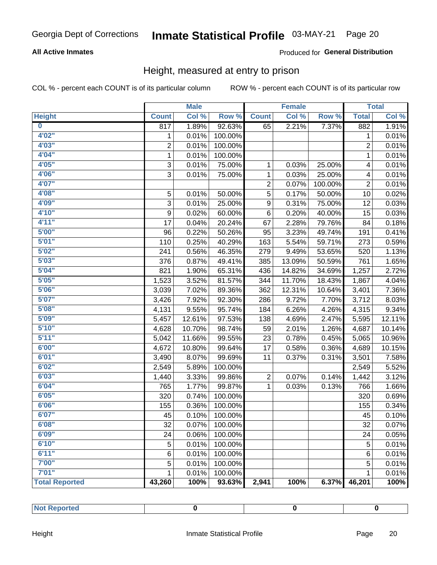### **All Active Inmates**

### Produced for General Distribution

### Height, measured at entry to prison

COL % - percent each COUNT is of its particular column

|                       |                | <b>Male</b> |         |                | <b>Female</b> |         |                | <b>Total</b> |
|-----------------------|----------------|-------------|---------|----------------|---------------|---------|----------------|--------------|
| <b>Height</b>         | <b>Count</b>   | Col %       | Row %   | <b>Count</b>   | Col %         | Row %   | <b>Total</b>   | Col %        |
| $\bf{0}$              | 817            | 1.89%       | 92.63%  | 65             | 2.21%         | 7.37%   | 882            | 1.91%        |
| 4'02''                | 1              | 0.01%       | 100.00% |                |               |         | 1              | 0.01%        |
| 4'03''                | $\overline{2}$ | 0.01%       | 100.00% |                |               |         | $\overline{2}$ | 0.01%        |
| 4'04"                 | $\mathbf 1$    | 0.01%       | 100.00% |                |               |         | $\mathbf 1$    | 0.01%        |
| 4'05"                 | 3              | 0.01%       | 75.00%  | 1              | 0.03%         | 25.00%  | 4              | 0.01%        |
| 4'06"                 | $\overline{3}$ | 0.01%       | 75.00%  | $\mathbf{1}$   | 0.03%         | 25.00%  | 4              | 0.01%        |
| 4'07"                 |                |             |         | $\overline{2}$ | 0.07%         | 100.00% | $\overline{2}$ | 0.01%        |
| 4'08"                 | 5              | 0.01%       | 50.00%  | 5              | 0.17%         | 50.00%  | 10             | 0.02%        |
| 4'09"                 | 3              | 0.01%       | 25.00%  | 9              | 0.31%         | 75.00%  | 12             | 0.03%        |
| 4'10"                 | 9              | 0.02%       | 60.00%  | 6              | 0.20%         | 40.00%  | 15             | 0.03%        |
| 4'11''                | 17             | 0.04%       | 20.24%  | 67             | 2.28%         | 79.76%  | 84             | 0.18%        |
| 5'00''                | 96             | 0.22%       | 50.26%  | 95             | 3.23%         | 49.74%  | 191            | 0.41%        |
| 5'01"                 | 110            | 0.25%       | 40.29%  | 163            | 5.54%         | 59.71%  | 273            | 0.59%        |
| 5'02"                 | 241            | 0.56%       | 46.35%  | 279            | 9.49%         | 53.65%  | 520            | 1.13%        |
| 5'03''                | 376            | 0.87%       | 49.41%  | 385            | 13.09%        | 50.59%  | 761            | 1.65%        |
| 5'04"                 | 821            | 1.90%       | 65.31%  | 436            | 14.82%        | 34.69%  | 1,257          | 2.72%        |
| 5'05"                 | 1,523          | 3.52%       | 81.57%  | 344            | 11.70%        | 18.43%  | 1,867          | 4.04%        |
| 5'06''                | 3,039          | 7.02%       | 89.36%  | 362            | 12.31%        | 10.64%  | 3,401          | 7.36%        |
| 5'07"                 | 3,426          | 7.92%       | 92.30%  | 286            | 9.72%         | 7.70%   | 3,712          | 8.03%        |
| 5'08''                | 4,131          | 9.55%       | 95.74%  | 184            | 6.26%         | 4.26%   | 4,315          | 9.34%        |
| 5'09''                | 5,457          | 12.61%      | 97.53%  | 138            | 4.69%         | 2.47%   | 5,595          | 12.11%       |
| 5'10''                | 4,628          | 10.70%      | 98.74%  | 59             | 2.01%         | 1.26%   | 4,687          | 10.14%       |
| 5'11''                | 5,042          | 11.66%      | 99.55%  | 23             | 0.78%         | 0.45%   | 5,065          | 10.96%       |
| 6'00''                | 4,672          | 10.80%      | 99.64%  | 17             | 0.58%         | 0.36%   | 4,689          | 10.15%       |
| 6'01''                | 3,490          | 8.07%       | 99.69%  | 11             | 0.37%         | 0.31%   | 3,501          | 7.58%        |
| 6'02"                 | 2,549          | 5.89%       | 100.00% |                |               |         | 2,549          | 5.52%        |
| 6'03''                | 1,440          | 3.33%       | 99.86%  | $\overline{c}$ | 0.07%         | 0.14%   | 1,442          | 3.12%        |
| 6'04"                 | 765            | 1.77%       | 99.87%  | $\mathbf{1}$   | 0.03%         | 0.13%   | 766            | 1.66%        |
| 6'05"                 | 320            | 0.74%       | 100.00% |                |               |         | 320            | 0.69%        |
| 6'06''                | 155            | 0.36%       | 100.00% |                |               |         | 155            | 0.34%        |
| 6'07''                | 45             | 0.10%       | 100.00% |                |               |         | 45             | 0.10%        |
| 6'08"                 | 32             | 0.07%       | 100.00% |                |               |         | 32             | 0.07%        |
| 6'09''                | 24             | 0.06%       | 100.00% |                |               |         | 24             | 0.05%        |
| 6'10''                | 5              | 0.01%       | 100.00% |                |               |         | $\mathbf 5$    | 0.01%        |
| 6'11''                | 6              | 0.01%       | 100.00% |                |               |         | 6              | 0.01%        |
| 7'00"                 | 5              | 0.01%       | 100.00% |                |               |         | 5              | 0.01%        |
| 7'01''                | 1              | 0.01%       | 100.00% |                |               |         | 1              | 0.01%        |
| <b>Total Reported</b> | 43,260         | 100%        | 93.63%  | 2,941          | 100%          | 6.37%   | 46,201         | 100%         |

| mer<br>$\sim$ $\sim$<br>------- |  |  |
|---------------------------------|--|--|
|                                 |  |  |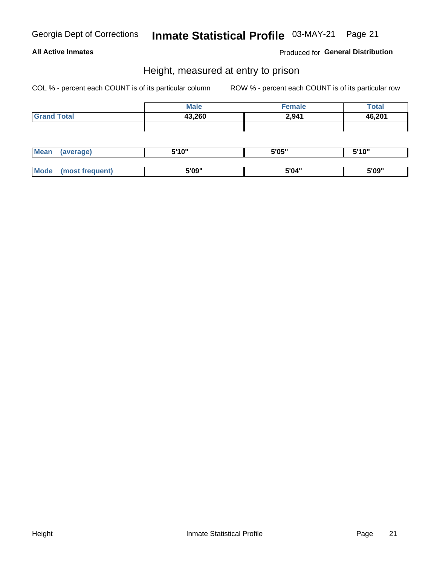### **All Active Inmates**

### Produced for General Distribution

### Height, measured at entry to prison

COL % - percent each COUNT is of its particular column

|                    | <b>Male</b> | <b>Female</b> | <b>Total</b> |
|--------------------|-------------|---------------|--------------|
| <b>Grand Total</b> | 43,260      | 2,941         | 46,201       |
|                    |             |               |              |
|                    |             |               |              |

| <b>Mean</b> | 5'10" | 5'05" | <b>E'4 O"</b><br><b>IV</b> |
|-------------|-------|-------|----------------------------|
|             |       |       |                            |
|             | 5'09" | 5'04" | 5'09"                      |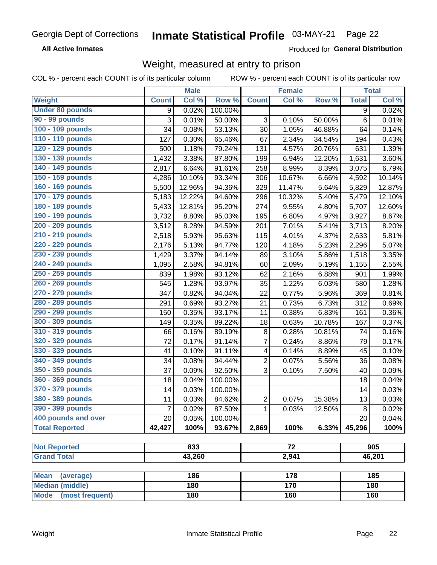**All Active Inmates** 

Produced for General Distribution

### Weight, measured at entry to prison

COL % - percent each COUNT is of its particular column

|                                |              | <b>Male</b> |         |                           | <b>Female</b>   |        |                | <b>Total</b> |
|--------------------------------|--------------|-------------|---------|---------------------------|-----------------|--------|----------------|--------------|
| Weight                         | <b>Count</b> | Col %       | Row %   | <b>Count</b>              | Col %           | Row %  | <b>Total</b>   | Col %        |
| <b>Under 80 pounds</b>         | 9            | 0.02%       | 100.00% |                           |                 |        | $\overline{9}$ | 0.02%        |
| 90 - 99 pounds                 | 3            | 0.01%       | 50.00%  | $\ensuremath{\mathsf{3}}$ | 0.10%           | 50.00% | 6              | 0.01%        |
| 100 - 109 pounds               | 34           | 0.08%       | 53.13%  | 30                        | 1.05%           | 46.88% | 64             | 0.14%        |
| 110 - 119 pounds               | 127          | 0.30%       | 65.46%  | 67                        | 2.34%           | 34.54% | 194            | 0.43%        |
| 120 - 129 pounds               | 500          | 1.18%       | 79.24%  | 131                       | 4.57%           | 20.76% | 631            | 1.39%        |
| 130 - 139 pounds               | 1,432        | 3.38%       | 87.80%  | 199                       | 6.94%           | 12.20% | 1,631          | 3.60%        |
| 140 - 149 pounds               | 2,817        | 6.64%       | 91.61%  | 258                       | 8.99%           | 8.39%  | 3,075          | 6.79%        |
| 150 - 159 pounds               | 4,286        | 10.10%      | 93.34%  | 306                       | 10.67%          | 6.66%  | 4,592          | 10.14%       |
| 160 - 169 pounds               | 5,500        | 12.96%      | 94.36%  | 329                       | 11.47%          | 5.64%  | 5,829          | 12.87%       |
| 170 - 179 pounds               | 5,183        | 12.22%      | 94.60%  | 296                       | 10.32%          | 5.40%  | 5,479          | 12.10%       |
| 180 - 189 pounds               | 5,433        | 12.81%      | 95.20%  | 274                       | 9.55%           | 4.80%  | 5,707          | 12.60%       |
| 190 - 199 pounds               | 3,732        | 8.80%       | 95.03%  | 195                       | 6.80%           | 4.97%  | 3,927          | 8.67%        |
| 200 - 209 pounds               | 3,512        | 8.28%       | 94.59%  | 201                       | 7.01%           | 5.41%  | 3,713          | 8.20%        |
| 210 - 219 pounds               | 2,518        | 5.93%       | 95.63%  | 115                       | 4.01%           | 4.37%  | 2,633          | 5.81%        |
| 220 - 229 pounds               | 2,176        | 5.13%       | 94.77%  | 120                       | 4.18%           | 5.23%  | 2,296          | 5.07%        |
| 230 - 239 pounds               | 1,429        | 3.37%       | 94.14%  | 89                        | 3.10%           | 5.86%  | 1,518          | 3.35%        |
| 240 - 249 pounds               | 1,095        | 2.58%       | 94.81%  | 60                        | 2.09%           | 5.19%  | 1,155          | 2.55%        |
| 250 - 259 pounds               | 839          | 1.98%       | 93.12%  | 62                        | 2.16%           | 6.88%  | 901            | 1.99%        |
| 260 - 269 pounds               | 545          | 1.28%       | 93.97%  | 35                        | 1.22%           | 6.03%  | 580            | 1.28%        |
| 270 - 279 pounds               | 347          | 0.82%       | 94.04%  | 22                        | 0.77%           | 5.96%  | 369            | 0.81%        |
| 280 - 289 pounds               | 291          | 0.69%       | 93.27%  | 21                        | 0.73%           | 6.73%  | 312            | 0.69%        |
| 290 - 299 pounds               | 150          | 0.35%       | 93.17%  | 11                        | 0.38%           | 6.83%  | 161            | 0.36%        |
| 300 - 309 pounds               | 149          | 0.35%       | 89.22%  | 18                        | 0.63%           | 10.78% | 167            | 0.37%        |
| 310 - 319 pounds               | 66           | 0.16%       | 89.19%  | $\bf 8$                   | 0.28%           | 10.81% | 74             | 0.16%        |
| 320 - 329 pounds               | 72           | 0.17%       | 91.14%  | $\overline{7}$            | 0.24%           | 8.86%  | 79             | 0.17%        |
| 330 - 339 pounds               | 41           | 0.10%       | 91.11%  | 4                         | 0.14%           | 8.89%  | 45             | 0.10%        |
| 340 - 349 pounds               | 34           | 0.08%       | 94.44%  | $\mathbf 2$               | 0.07%           | 5.56%  | 36             | 0.08%        |
| 350 - 359 pounds               | 37           | 0.09%       | 92.50%  | 3                         | 0.10%           | 7.50%  | 40             | 0.09%        |
| 360 - 369 pounds               | 18           | 0.04%       | 100.00% |                           |                 |        | 18             | 0.04%        |
| 370 - 379 pounds               | 14           | 0.03%       | 100.00% |                           |                 |        | 14             | 0.03%        |
| 380 - 389 pounds               | 11           | 0.03%       | 84.62%  | $\boldsymbol{2}$          | 0.07%           | 15.38% | 13             | 0.03%        |
| 390 - 399 pounds               | 7            | 0.02%       | 87.50%  | 1                         | 0.03%           | 12.50% | 8              | 0.02%        |
| 400 pounds and over            | 20           | 0.05%       | 100.00% |                           |                 |        | 20             | 0.04%        |
| <b>Total Reported</b>          | 42,427       | 100%        | 93.67%  | 2,869                     | 100%            | 6.33%  | 45,296         | 100%         |
|                                |              |             |         |                           |                 |        |                |              |
| <b>Not Reported</b>            |              | 833         |         |                           | $\overline{72}$ |        | 905            |              |
| <b>Grand Total</b>             |              | 43,260      |         |                           | 2,941           |        | 46,201         |              |
| <b>Mean</b><br>(average)       |              | 186         |         |                           | 178             |        |                | 185          |
| <b>Median (middle)</b>         |              | 180         |         |                           | 170             |        |                | 180          |
| <b>Mode</b><br>(most frequent) |              | 180         |         |                           | 160             |        |                | 160          |
|                                |              |             |         |                           |                 |        |                |              |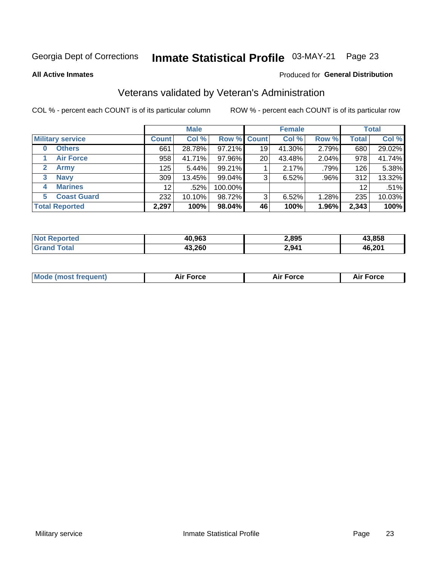#### Inmate Statistical Profile 03-MAY-21 Page 23

**All Active Inmates** 

### Produced for General Distribution

### Veterans validated by Veteran's Administration

COL % - percent each COUNT is of its particular column

|                          |                 | <b>Male</b> |                    |    | <b>Female</b> |       |              | <b>Total</b> |
|--------------------------|-----------------|-------------|--------------------|----|---------------|-------|--------------|--------------|
| <b>Military service</b>  | <b>Count</b>    | Col %       | <b>Row % Count</b> |    | Col %         | Row % | <b>Total</b> | Col %        |
| <b>Others</b><br>0       | 661             | 28.78%      | 97.21%             | 19 | 41.30%        | 2.79% | 680          | 29.02%       |
| <b>Air Force</b>         | 958             | 41.71%      | 97.96%             | 20 | 43.48%        | 2.04% | 978          | 41.74%       |
| <b>Army</b><br>2         | 125             | 5.44%       | 99.21%             |    | 2.17%         | .79%  | 126          | 5.38%        |
| <b>Navy</b><br>3         | 309             | 13.45%      | 99.04%             | 3  | 6.52%         | .96%  | 312          | 13.32%       |
| <b>Marines</b><br>4      | 12 <sup>2</sup> | .52%        | 100.00%            |    |               |       | 12           | .51%         |
| <b>Coast Guard</b><br>5. | 232             | 10.10%      | 98.72%             | 3  | 6.52%         | 1.28% | 235          | 10.03%       |
| <b>Total Reported</b>    | 2,297           | 100%        | 98.04%             | 46 | 100%          | 1.96% | 2,343        | 100%         |

| ported<br><b>Not</b><br>NH | 40,963 | 2,895 | 13.858 |
|----------------------------|--------|-------|--------|
| <sup>-</sup> otal          | 43,260 | 2,941 | 46,201 |

| <b>Mode (most frequent)</b> | <b>Force</b> | ™∩rra | <b>Force</b><br>- |
|-----------------------------|--------------|-------|-------------------|
|                             |              |       |                   |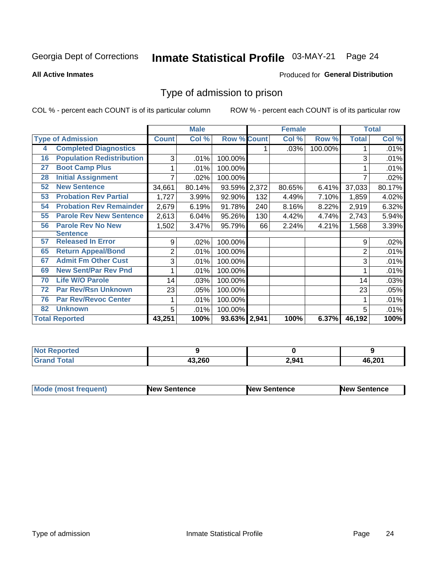#### Inmate Statistical Profile 03-MAY-21 Page 24

**All Active Inmates** 

### Produced for General Distribution

### Type of admission to prison

COL % - percent each COUNT is of its particular column

|    |                                  |              | <b>Male</b> |                    |     | <b>Female</b> |         |              | <b>Total</b> |
|----|----------------------------------|--------------|-------------|--------------------|-----|---------------|---------|--------------|--------------|
|    | <b>Type of Admission</b>         | <b>Count</b> | Col %       | <b>Row % Count</b> |     | Col %         | Row %   | <b>Total</b> | Col %        |
| 4  | <b>Completed Diagnostics</b>     |              |             |                    |     | .03%          | 100.00% |              | .01%         |
| 16 | <b>Population Redistribution</b> | 3            | .01%        | 100.00%            |     |               |         | 3            | .01%         |
| 27 | <b>Boot Camp Plus</b>            |              | .01%        | 100.00%            |     |               |         |              | .01%         |
| 28 | <b>Initial Assignment</b>        | 7            | .02%        | 100.00%            |     |               |         | 7            | .02%         |
| 52 | <b>New Sentence</b>              | 34,661       | 80.14%      | 93.59% 2,372       |     | 80.65%        | 6.41%   | 37,033       | 80.17%       |
| 53 | <b>Probation Rev Partial</b>     | 1,727        | 3.99%       | 92.90%             | 132 | 4.49%         | 7.10%   | 1,859        | 4.02%        |
| 54 | <b>Probation Rev Remainder</b>   | 2,679        | 6.19%       | 91.78%             | 240 | 8.16%         | 8.22%   | 2,919        | 6.32%        |
| 55 | <b>Parole Rev New Sentence</b>   | 2,613        | 6.04%       | 95.26%             | 130 | 4.42%         | 4.74%   | 2,743        | 5.94%        |
| 56 | <b>Parole Rev No New</b>         | 1,502        | 3.47%       | 95.79%             | 66  | 2.24%         | 4.21%   | 1,568        | 3.39%        |
|    | <b>Sentence</b>                  |              |             |                    |     |               |         |              |              |
| 57 | <b>Released In Error</b>         | 9            | .02%        | 100.00%            |     |               |         | 9            | .02%         |
| 65 | <b>Return Appeal/Bond</b>        | 2            | .01%        | 100.00%            |     |               |         | 2            | .01%         |
| 67 | <b>Admit Fm Other Cust</b>       | 3            | .01%        | 100.00%            |     |               |         | 3            | .01%         |
| 69 | <b>New Sent/Par Rev Pnd</b>      |              | .01%        | 100.00%            |     |               |         |              | .01%         |
| 70 | <b>Life W/O Parole</b>           | 14           | .03%        | 100.00%            |     |               |         | 14           | .03%         |
| 72 | <b>Par Rev/Rsn Unknown</b>       | 23           | .05%        | 100.00%            |     |               |         | 23           | .05%         |
| 76 | <b>Par Rev/Revoc Center</b>      |              | .01%        | 100.00%            |     |               |         |              | .01%         |
| 82 | <b>Unknown</b>                   | 5            | .01%        | 100.00%            |     |               |         | 5            | .01%         |
|    | <b>Total Reported</b>            | 43,251       | 100%        | 93.63% 2,941       |     | 100%          | 6.37%   | 46,192       | 100%         |

| <b>Not</b><br>orted |        |       |        |
|---------------------|--------|-------|--------|
| `otal               | חאר כו | 2,941 | 46,201 |

| <b>Mode (most frequent)</b> | New Sentence | <b>New Sentence</b> | <b>New Sentence</b> |
|-----------------------------|--------------|---------------------|---------------------|
|                             |              |                     |                     |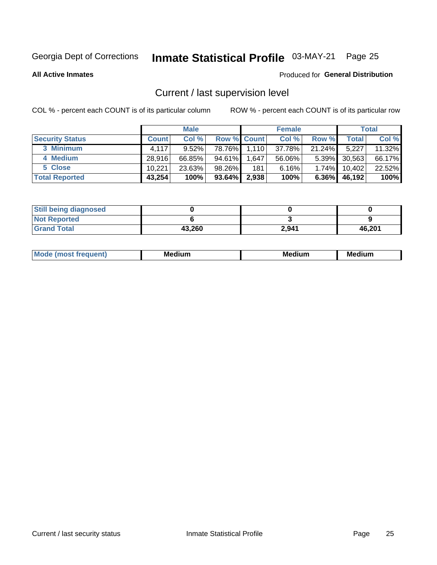## Inmate Statistical Profile 03-MAY-21 Page 25

**All Active Inmates** 

### Produced for General Distribution

### Current / last supervision level

COL % - percent each COUNT is of its particular column

|                        |              | <b>Male</b> |                    |       | <b>Female</b> |           |        | <b>Total</b> |
|------------------------|--------------|-------------|--------------------|-------|---------------|-----------|--------|--------------|
| <b>Security Status</b> | <b>Count</b> | Col %       | <b>Row % Count</b> |       | Col %         | Row %     | Total  | Col %        |
| 3 Minimum              | 4.117        | $9.52\%$    | 78.76%             | 1,110 | 37.78%        | $21.24\%$ | 5,227  | 11.32%       |
| 4 Medium               | 28.916       | 66.85%      | 94.61%             | 1,647 | 56.06%        | $5.39\%$  | 30,563 | 66.17%       |
| 5 Close                | 10.221       | 23.63%      | 98.26%             | 181   | 6.16%         | $1.74\%$  | 10,402 | 22.52%       |
| <b>Total Reported</b>  | 43,254       | 100%        | $93.64\%$          | 2,938 | 100%          | $6.36\%$  | 46,192 | 100%         |

| <b>Still being diagnosed</b> |        |       |        |
|------------------------------|--------|-------|--------|
| <b>Not Reported</b>          |        |       |        |
| <b>Grand Total</b>           | 43,260 | 2,941 | 46,201 |

| M | . | -- |
|---|---|----|
|   |   |    |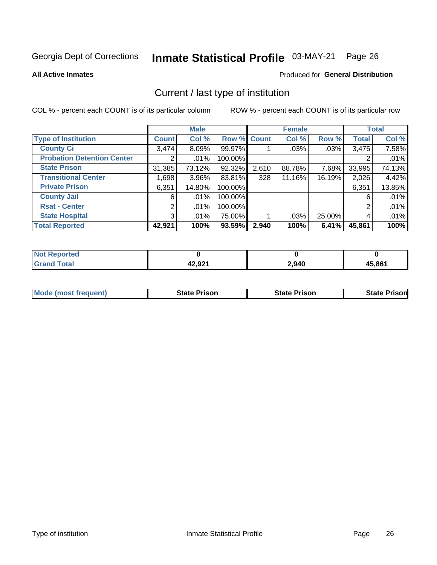## Inmate Statistical Profile 03-MAY-21 Page 26

**All Active Inmates** 

### Produced for General Distribution

### Current / last type of institution

COL % - percent each COUNT is of its particular column

|                                   |                | <b>Male</b> |             |       | <b>Female</b> |        |              | <b>Total</b> |
|-----------------------------------|----------------|-------------|-------------|-------|---------------|--------|--------------|--------------|
| <b>Type of Institution</b>        | <b>Count</b>   | Col %       | Row % Count |       | Col %         | Row %  | <b>Total</b> | Col %        |
| <b>County Ci</b>                  | 3,474          | 8.09%       | 99.97%      |       | .03%          | .03%   | 3,475        | 7.58%        |
| <b>Probation Detention Center</b> |                | .01%        | 100.00%     |       |               |        |              | .01%         |
| <b>State Prison</b>               | 31,385         | 73.12%      | 92.32%      | 2,610 | 88.78%        | 7.68%  | 33,995       | 74.13%       |
| <b>Transitional Center</b>        | 1,698          | $3.96\%$    | 83.81%      | 328   | 11.16%        | 16.19% | 2,026        | 4.42%        |
| <b>Private Prison</b>             | 6,351          | 14.80%      | 100.00%     |       |               |        | 6,351        | 13.85%       |
| <b>County Jail</b>                | 6              | .01%        | 100.00%     |       |               |        | 6            | .01%         |
| <b>Rsat - Center</b>              | $\overline{2}$ | $.01\%$     | 100.00%     |       |               |        | 2            | .01%         |
| <b>State Hospital</b>             | 3 <sup>1</sup> | $.01\%$     | 75.00%      |       | .03%          | 25.00% | 4            | .01%         |
| <b>Total Reported</b>             | 42,921         | 100%        | 93.59%      | 2,940 | 100%          | 6.41%  | 45,861       | 100%         |

| $^{\mathrm{H}}$ Not.<br>Reported |        |       |        |
|----------------------------------|--------|-------|--------|
| Total                            | 42,921 | 2,940 | 45,861 |

| <b>Mode (most frequent)</b> | <b>State Prison</b> | <b>State Prison</b> | <b>State Prisonl</b> |
|-----------------------------|---------------------|---------------------|----------------------|
|                             |                     |                     |                      |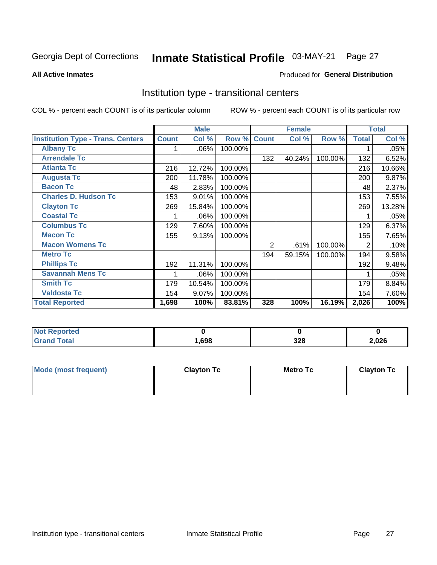## Inmate Statistical Profile 03-MAY-21 Page 27

### **All Active Inmates**

### Produced for General Distribution

### Institution type - transitional centers

COL % - percent each COUNT is of its particular column

|                                          |              | <b>Male</b> |         |                | <b>Female</b> |         |              | <b>Total</b> |
|------------------------------------------|--------------|-------------|---------|----------------|---------------|---------|--------------|--------------|
| <b>Institution Type - Trans. Centers</b> | <b>Count</b> | Col %       | Row %   | <b>Count</b>   | Col %         | Row %   | <b>Total</b> | Col %        |
| <b>Albany Tc</b>                         |              | .06%        | 100.00% |                |               |         |              | .05%         |
| <b>Arrendale Tc</b>                      |              |             |         | 132            | 40.24%        | 100.00% | 132          | 6.52%        |
| <b>Atlanta Tc</b>                        | 216          | 12.72%      | 100.00% |                |               |         | 216          | 10.66%       |
| <b>Augusta Tc</b>                        | 200          | 11.78%      | 100.00% |                |               |         | 200          | 9.87%        |
| <b>Bacon Tc</b>                          | 48           | 2.83%       | 100.00% |                |               |         | 48           | 2.37%        |
| <b>Charles D. Hudson Tc</b>              | 153          | 9.01%       | 100.00% |                |               |         | 153          | 7.55%        |
| <b>Clayton Tc</b>                        | 269          | 15.84%      | 100.00% |                |               |         | 269          | 13.28%       |
| <b>Coastal Tc</b>                        |              | .06%        | 100.00% |                |               |         |              | .05%         |
| <b>Columbus Tc</b>                       | 129          | 7.60%       | 100.00% |                |               |         | 129          | 6.37%        |
| <b>Macon Tc</b>                          | 155          | 9.13%       | 100.00% |                |               |         | 155          | 7.65%        |
| <b>Macon Womens Tc</b>                   |              |             |         | $\overline{2}$ | .61%          | 100.00% | 2            | .10%         |
| <b>Metro Tc</b>                          |              |             |         | 194            | 59.15%        | 100.00% | 194          | 9.58%        |
| <b>Phillips Tc</b>                       | 192          | 11.31%      | 100.00% |                |               |         | 192          | 9.48%        |
| <b>Savannah Mens Tc</b>                  |              | .06%        | 100.00% |                |               |         |              | .05%         |
| <b>Smith Tc</b>                          | 179          | 10.54%      | 100.00% |                |               |         | 179          | 8.84%        |
| <b>Valdosta Tc</b>                       | 154          | 9.07%       | 100.00% |                |               |         | 154          | 7.60%        |
| <b>Total Reported</b>                    | 1,698        | 100%        | 83.81%  | 328            | 100%          | 16.19%  | 2,026        | 100%         |

| <b>Reported</b> |      |            |       |
|-----------------|------|------------|-------|
| <b>Total</b>    | ,698 | າາດ<br>ാ∠ഠ | 2,026 |

| Mode (most frequent) | <b>Clayton Tc</b> | Metro Tc | <b>Clayton Tc</b> |
|----------------------|-------------------|----------|-------------------|
|                      |                   |          |                   |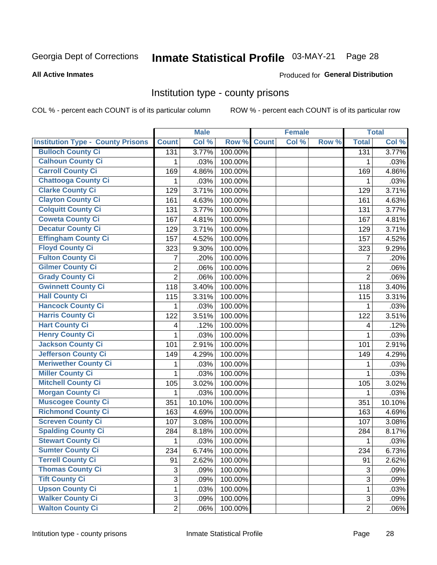## Inmate Statistical Profile 03-MAY-21 Page 28

### **All Active Inmates**

### Produced for General Distribution

### Institution type - county prisons

COL % - percent each COUNT is of its particular column

|                                          |                | <b>Male</b> |         |              | <b>Female</b> |       |                | <b>Total</b> |
|------------------------------------------|----------------|-------------|---------|--------------|---------------|-------|----------------|--------------|
| <b>Institution Type - County Prisons</b> | <b>Count</b>   | Col %       | Row %   | <b>Count</b> | Col %         | Row % | <b>Total</b>   | Col %        |
| <b>Bulloch County Ci</b>                 | 131            | 3.77%       | 100.00% |              |               |       | 131            | 3.77%        |
| <b>Calhoun County Ci</b>                 | 1              | .03%        | 100.00% |              |               |       | 1              | .03%         |
| <b>Carroll County Ci</b>                 | 169            | 4.86%       | 100.00% |              |               |       | 169            | 4.86%        |
| <b>Chattooga County Ci</b>               | 1              | .03%        | 100.00% |              |               |       | 1              | .03%         |
| <b>Clarke County Ci</b>                  | 129            | 3.71%       | 100.00% |              |               |       | 129            | 3.71%        |
| <b>Clayton County Ci</b>                 | 161            | 4.63%       | 100.00% |              |               |       | 161            | 4.63%        |
| <b>Colquitt County Ci</b>                | 131            | 3.77%       | 100.00% |              |               |       | 131            | 3.77%        |
| <b>Coweta County Ci</b>                  | 167            | 4.81%       | 100.00% |              |               |       | 167            | 4.81%        |
| <b>Decatur County Ci</b>                 | 129            | 3.71%       | 100.00% |              |               |       | 129            | 3.71%        |
| <b>Effingham County Ci</b>               | 157            | 4.52%       | 100.00% |              |               |       | 157            | 4.52%        |
| <b>Floyd County Ci</b>                   | 323            | 9.30%       | 100.00% |              |               |       | 323            | 9.29%        |
| <b>Fulton County Ci</b>                  | 7              | .20%        | 100.00% |              |               |       | $\overline{7}$ | .20%         |
| <b>Gilmer County Ci</b>                  | $\overline{2}$ | .06%        | 100.00% |              |               |       | $\overline{2}$ | .06%         |
| <b>Grady County Ci</b>                   | $\overline{2}$ | .06%        | 100.00% |              |               |       | $\overline{2}$ | .06%         |
| <b>Gwinnett County Ci</b>                | 118            | 3.40%       | 100.00% |              |               |       | 118            | 3.40%        |
| <b>Hall County Ci</b>                    | 115            | 3.31%       | 100.00% |              |               |       | 115            | 3.31%        |
| <b>Hancock County Ci</b>                 | 1              | .03%        | 100.00% |              |               |       | 1              | .03%         |
| <b>Harris County Ci</b>                  | 122            | 3.51%       | 100.00% |              |               |       | 122            | 3.51%        |
| <b>Hart County Ci</b>                    | 4              | .12%        | 100.00% |              |               |       | 4              | .12%         |
| <b>Henry County Ci</b>                   | 1              | .03%        | 100.00% |              |               |       | 1              | .03%         |
| <b>Jackson County Ci</b>                 | 101            | 2.91%       | 100.00% |              |               |       | 101            | 2.91%        |
| <b>Jefferson County Ci</b>               | 149            | 4.29%       | 100.00% |              |               |       | 149            | 4.29%        |
| <b>Meriwether County Ci</b>              | 1              | .03%        | 100.00% |              |               |       | 1              | .03%         |
| <b>Miller County Ci</b>                  | 1              | .03%        | 100.00% |              |               |       | 1              | .03%         |
| <b>Mitchell County Ci</b>                | 105            | 3.02%       | 100.00% |              |               |       | 105            | 3.02%        |
| <b>Morgan County Ci</b>                  | 1              | .03%        | 100.00% |              |               |       | 1              | .03%         |
| <b>Muscogee County Ci</b>                | 351            | 10.10%      | 100.00% |              |               |       | 351            | 10.10%       |
| <b>Richmond County Ci</b>                | 163            | 4.69%       | 100.00% |              |               |       | 163            | 4.69%        |
| <b>Screven County Ci</b>                 | 107            | 3.08%       | 100.00% |              |               |       | 107            | 3.08%        |
| <b>Spalding County Ci</b>                | 284            | 8.18%       | 100.00% |              |               |       | 284            | 8.17%        |
| <b>Stewart County Ci</b>                 | 1              | .03%        | 100.00% |              |               |       | 1              | .03%         |
| <b>Sumter County Ci</b>                  | 234            | 6.74%       | 100.00% |              |               |       | 234            | 6.73%        |
| <b>Terrell County Ci</b>                 | 91             | 2.62%       | 100.00% |              |               |       | 91             | 2.62%        |
| <b>Thomas County Ci</b>                  | 3              | .09%        | 100.00% |              |               |       | 3              | .09%         |
| <b>Tift County Ci</b>                    | $\overline{3}$ | .09%        | 100.00% |              |               |       | 3              | .09%         |
| <b>Upson County Ci</b>                   | 1              | .03%        | 100.00% |              |               |       | 1              | .03%         |
| <b>Walker County Ci</b>                  | 3              | .09%        | 100.00% |              |               |       | 3              | .09%         |
| <b>Walton County Ci</b>                  | $\overline{2}$ | .06%        | 100.00% |              |               |       | $\overline{2}$ | .06%         |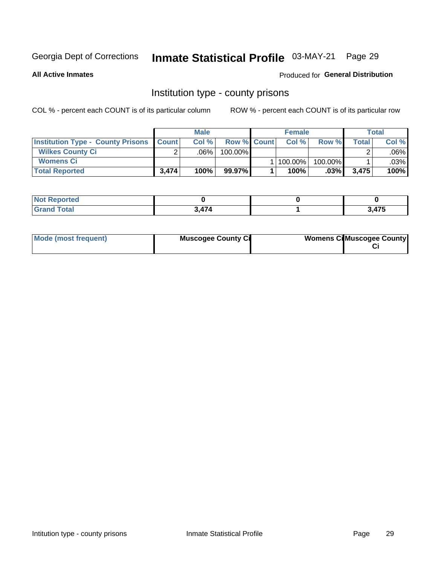## Inmate Statistical Profile 03-MAY-21 Page 29

**All Active Inmates** 

Produced for General Distribution

### Institution type - county prisons

COL % - percent each COUNT is of its particular column

|                                                    | <b>Male</b> |         |                    | <b>Female</b> |         |         | <b>Total</b> |         |
|----------------------------------------------------|-------------|---------|--------------------|---------------|---------|---------|--------------|---------|
| <b>Institution Type - County Prisons   Count  </b> |             | Col%    | <b>Row % Count</b> |               | Col%    | Row %   | Total        | Col %   |
| <b>Wilkes County Ci</b>                            | $\sim$      | $.06\%$ | 100.00%            |               |         |         |              | $.06\%$ |
| <b>Womens Ci</b>                                   |             |         |                    |               | 100.00% | 100.00% |              | .03%    |
| <b>Total Reported</b>                              | 3,474       | 100%    | 99.97%             |               | 100%    | $.03\%$ | 3,475        | 100%    |

| <b>Not Reported</b><br>$\sim$ |     |               |
|-------------------------------|-----|---------------|
| <b>Total</b>                  | A7A | 2 175<br>71 J |

| Mode (most frequent) | <b>Muscogee County Ci</b> | <b>Womens Ci</b> Muscogee County |
|----------------------|---------------------------|----------------------------------|
|----------------------|---------------------------|----------------------------------|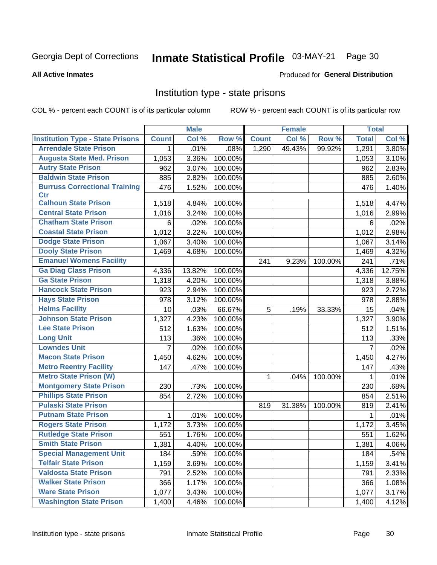## Inmate Statistical Profile 03-MAY-21 Page 30

**Produced for General Distribution** 

### **All Active Inmates**

### Institution type - state prisons

COL % - percent each COUNT is of its particular column

|                                         |                | <b>Male</b> |         |              | <b>Female</b> |         | <b>Total</b> |        |
|-----------------------------------------|----------------|-------------|---------|--------------|---------------|---------|--------------|--------|
| <b>Institution Type - State Prisons</b> | <b>Count</b>   | Col %       | Row %   | <b>Count</b> | Col %         | Row %   | <b>Total</b> | Col %  |
| <b>Arrendale State Prison</b>           | 1              | .01%        | .08%    | 1,290        | 49.43%        | 99.92%  | 1,291        | 3.80%  |
| <b>Augusta State Med. Prison</b>        | 1,053          | 3.36%       | 100.00% |              |               |         | 1,053        | 3.10%  |
| <b>Autry State Prison</b>               | 962            | 3.07%       | 100.00% |              |               |         | 962          | 2.83%  |
| <b>Baldwin State Prison</b>             | 885            | 2.82%       | 100.00% |              |               |         | 885          | 2.60%  |
| <b>Burruss Correctional Training</b>    | 476            | 1.52%       | 100.00% |              |               |         | 476          | 1.40%  |
| <b>Ctr</b>                              |                |             |         |              |               |         |              |        |
| <b>Calhoun State Prison</b>             | 1,518          | 4.84%       | 100.00% |              |               |         | 1,518        | 4.47%  |
| <b>Central State Prison</b>             | 1,016          | 3.24%       | 100.00% |              |               |         | 1,016        | 2.99%  |
| <b>Chatham State Prison</b>             | 6              | .02%        | 100.00% |              |               |         | 6            | .02%   |
| <b>Coastal State Prison</b>             | 1,012          | 3.22%       | 100.00% |              |               |         | 1,012        | 2.98%  |
| <b>Dodge State Prison</b>               | 1,067          | 3.40%       | 100.00% |              |               |         | 1,067        | 3.14%  |
| <b>Dooly State Prison</b>               | 1,469          | 4.68%       | 100.00% |              |               |         | 1,469        | 4.32%  |
| <b>Emanuel Womens Facility</b>          |                |             |         | 241          | 9.23%         | 100.00% | 241          | .71%   |
| <b>Ga Diag Class Prison</b>             | 4,336          | 13.82%      | 100.00% |              |               |         | 4,336        | 12.75% |
| <b>Ga State Prison</b>                  | 1,318          | 4.20%       | 100.00% |              |               |         | 1,318        | 3.88%  |
| <b>Hancock State Prison</b>             | 923            | 2.94%       | 100.00% |              |               |         | 923          | 2.72%  |
| <b>Hays State Prison</b>                | 978            | 3.12%       | 100.00% |              |               |         | 978          | 2.88%  |
| <b>Helms Facility</b>                   | 10             | .03%        | 66.67%  | 5            | .19%          | 33.33%  | 15           | .04%   |
| <b>Johnson State Prison</b>             | 1,327          | 4.23%       | 100.00% |              |               |         | 1,327        | 3.90%  |
| <b>Lee State Prison</b>                 | 512            | 1.63%       | 100.00% |              |               |         | 512          | 1.51%  |
| <b>Long Unit</b>                        | 113            | .36%        | 100.00% |              |               |         | 113          | .33%   |
| <b>Lowndes Unit</b>                     | $\overline{7}$ | .02%        | 100.00% |              |               |         | 7            | .02%   |
| <b>Macon State Prison</b>               | 1,450          | 4.62%       | 100.00% |              |               |         | 1,450        | 4.27%  |
| <b>Metro Reentry Facility</b>           | 147            | .47%        | 100.00% |              |               |         | 147          | .43%   |
| <b>Metro State Prison (W)</b>           |                |             |         | 1            | .04%          | 100.00% | 1            | .01%   |
| <b>Montgomery State Prison</b>          | 230            | .73%        | 100.00% |              |               |         | 230          | .68%   |
| <b>Phillips State Prison</b>            | 854            | 2.72%       | 100.00% |              |               |         | 854          | 2.51%  |
| <b>Pulaski State Prison</b>             |                |             |         | 819          | 31.38%        | 100.00% | 819          | 2.41%  |
| <b>Putnam State Prison</b>              | 1              | .01%        | 100.00% |              |               |         | 1            | .01%   |
| <b>Rogers State Prison</b>              | 1,172          | 3.73%       | 100.00% |              |               |         | 1,172        | 3.45%  |
| <b>Rutledge State Prison</b>            | 551            | 1.76%       | 100.00% |              |               |         | 551          | 1.62%  |
| <b>Smith State Prison</b>               | 1,381          | 4.40%       | 100.00% |              |               |         | 1,381        | 4.06%  |
| <b>Special Management Unit</b>          | 184            | .59%        | 100.00% |              |               |         | 184          | .54%   |
| <b>Telfair State Prison</b>             | 1,159          | 3.69%       | 100.00% |              |               |         | 1,159        | 3.41%  |
| <b>Valdosta State Prison</b>            | 791            | 2.52%       | 100.00% |              |               |         | 791          | 2.33%  |
| <b>Walker State Prison</b>              | 366            | 1.17%       | 100.00% |              |               |         | 366          | 1.08%  |
| <b>Ware State Prison</b>                | 1,077          | 3.43%       | 100.00% |              |               |         | 1,077        | 3.17%  |
| <b>Washington State Prison</b>          | 1,400          | 4.46%       | 100.00% |              |               |         | 1,400        | 4.12%  |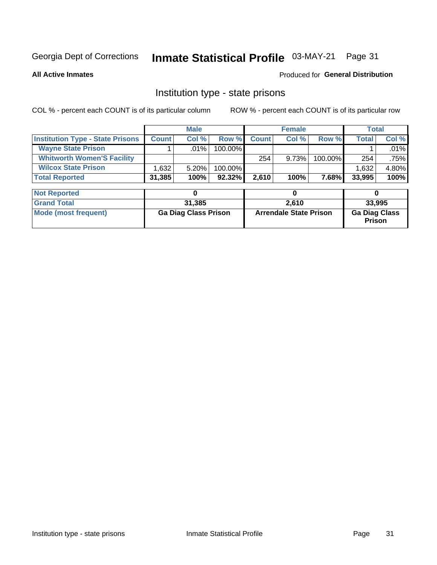#### Inmate Statistical Profile 03-MAY-21 Page 31

**All Active Inmates** 

### Produced for General Distribution

### Institution type - state prisons

COL % - percent each COUNT is of its particular column

|                                         |              | <b>Male</b> |            |              | <b>Female</b> |         |              | Total   |
|-----------------------------------------|--------------|-------------|------------|--------------|---------------|---------|--------------|---------|
| <b>Institution Type - State Prisons</b> | <b>Count</b> | Col %       | Row %I     | <b>Count</b> | Col %         | Row %   | <b>Total</b> | Col %   |
| <b>Wayne State Prison</b>               |              | $.01\%$     | $100.00\%$ |              |               |         |              | .01%    |
| <b>Whitworth Women'S Facility</b>       |              |             |            | 254          | 9.73%         | 100.00% | 254          | $.75\%$ |
| <b>Wilcox State Prison</b>              | .632         | $5.20\%$    | $100.00\%$ |              |               |         | 1,632        | 4.80%   |
| <b>Total Reported</b>                   | 31,385       | 100%        | $92.32\%$  | 2.610        | 100%          | 7.68% I | 33,995       | 100%    |

| <b>Not Reported</b>  |                             |                               |                                       |
|----------------------|-----------------------------|-------------------------------|---------------------------------------|
| <b>Grand Total</b>   | 31,385                      | 2.610                         | 33,995                                |
| Mode (most frequent) | <b>Ga Diag Class Prison</b> | <b>Arrendale State Prison</b> | <b>Ga Diag Class</b><br><b>Prison</b> |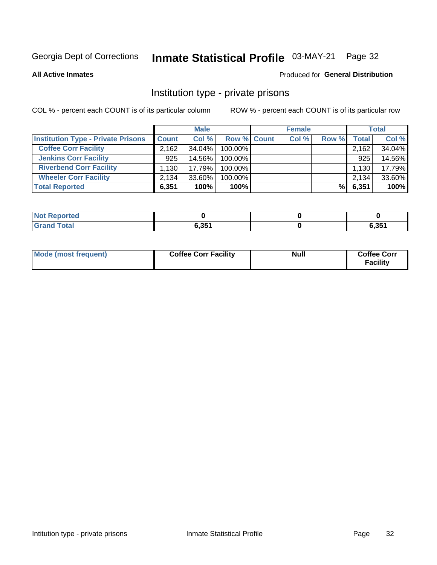## Inmate Statistical Profile 03-MAY-21 Page 32

**All Active Inmates** 

### Produced for General Distribution

### Institution type - private prisons

COL % - percent each COUNT is of its particular column

|                                           |              | <b>Male</b> |                    | <b>Female</b> |       |                    | <b>Total</b> |
|-------------------------------------------|--------------|-------------|--------------------|---------------|-------|--------------------|--------------|
| <b>Institution Type - Private Prisons</b> | <b>Count</b> | Col %       | <b>Row % Count</b> | Col %         | Row % | Total <sub>1</sub> | Col %        |
| <b>Coffee Corr Facility</b>               | 2.162        | 34.04%      | 100.00%            |               |       | 2,162              | 34.04%       |
| <b>Jenkins Corr Facility</b>              | 925          | 14.56%      | $100.00\%$         |               |       | 925                | 14.56%       |
| <b>Riverbend Corr Facility</b>            | 1.130        | 17.79%      | 100.00%            |               |       | 1,130              | 17.79%       |
| <b>Wheeler Corr Facility</b>              | 2,134        | $33.60\%$   | 100.00%            |               |       | 2,134              | 33.60%       |
| <b>Total Reported</b>                     | 6,351        | 100%        | 100%               |               | %     | 6,351              | 100%         |

| <b>Not Reported</b> |       |       |
|---------------------|-------|-------|
| <b>Total</b>        | 6,351 | 6,351 |

| Mode (most frequent) | <b>Coffee Corr Facility</b> | <b>Null</b> | <b>Coffee Corr</b><br><b>Facility</b> |
|----------------------|-----------------------------|-------------|---------------------------------------|
|----------------------|-----------------------------|-------------|---------------------------------------|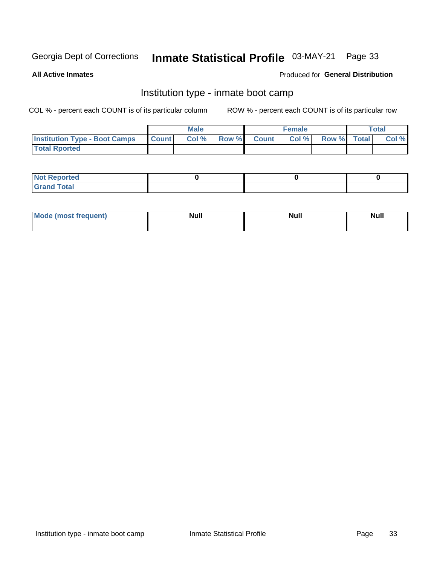#### Inmate Statistical Profile 03-MAY-21 Page 33

**All Active Inmates** 

### Produced for General Distribution

### Institution type - inmate boot camp

COL % - percent each COUNT is of its particular column

|                                      |              | <b>Male</b> |               |              | <b>Female</b> |             | <b>Total</b> |
|--------------------------------------|--------------|-------------|---------------|--------------|---------------|-------------|--------------|
| <b>Institution Type - Boot Camps</b> | <b>Count</b> | Col %       | <b>Row %I</b> | <b>Count</b> | Col %         | Row % Total | Col %        |
| <b>Total Rported</b>                 |              |             |               |              |               |             |              |

| <b>Not Reported</b>            |  |  |
|--------------------------------|--|--|
| <b>Total</b><br>C <sub>r</sub> |  |  |

| Mod<br>uamo | Nul.<br>$- - - - - -$ | <b>Null</b> | <br>uu.<br>------ |
|-------------|-----------------------|-------------|-------------------|
|             |                       |             |                   |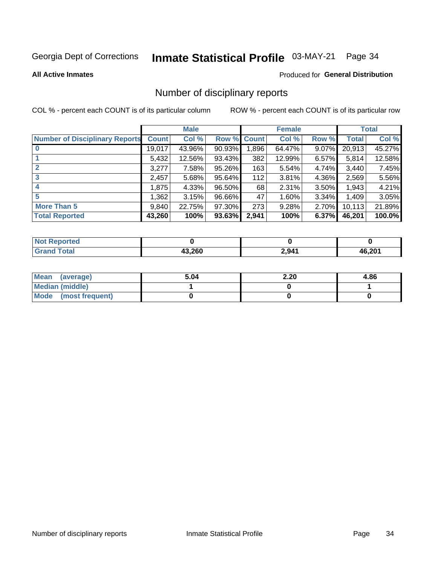## Inmate Statistical Profile 03-MAY-21 Page 34

### **All Active Inmates**

### **Produced for General Distribution**

### Number of disciplinary reports

COL % - percent each COUNT is of its particular column

|                                       |              | <b>Male</b> |             |       | <b>Female</b> |          |        | <b>Total</b> |
|---------------------------------------|--------------|-------------|-------------|-------|---------------|----------|--------|--------------|
| <b>Number of Disciplinary Reports</b> | <b>Count</b> | Col %       | Row % Count |       | Col %         | Row %    | Total  | Col %        |
|                                       | 19,017       | 43.96%      | $90.93\%$   | 1,896 | 64.47%        | 9.07%    | 20,913 | 45.27%       |
|                                       | 5,432        | 12.56%      | 93.43%      | 382   | 12.99%        | $6.57\%$ | 5,814  | 12.58%       |
| $\mathbf{2}$                          | 3,277        | 7.58%       | 95.26%      | 163   | 5.54%         | 4.74%    | 3,440  | 7.45%        |
| 3                                     | 2,457        | 5.68%       | 95.64%      | 112   | 3.81%         | 4.36%    | 2,569  | 5.56%        |
| 4                                     | 1,875        | 4.33%       | 96.50%      | 68    | 2.31%         | 3.50%    | 1,943  | 4.21%        |
| 5                                     | 1,362        | 3.15%       | 96.66%      | 47    | 1.60%         | 3.34%    | 1,409  | 3.05%        |
| <b>More Than 5</b>                    | 9,840        | 22.75%      | 97.30%      | 273   | 9.28%         | 2.70%    | 10,113 | 21.89%       |
| <b>Total Reported</b>                 | 43,260       | 100%        | 93.63%      | 2,941 | 100%          | 6.37%    | 46,201 | 100.0%       |

| Reported<br><b>Not</b> |        |       |        |
|------------------------|--------|-------|--------|
| Total                  | 13.260 | 2,941 | 46,201 |

| Mean (average)       | 5.04 | 2.20 | 4.86 |
|----------------------|------|------|------|
| Median (middle)      |      |      |      |
| Mode (most frequent) |      |      |      |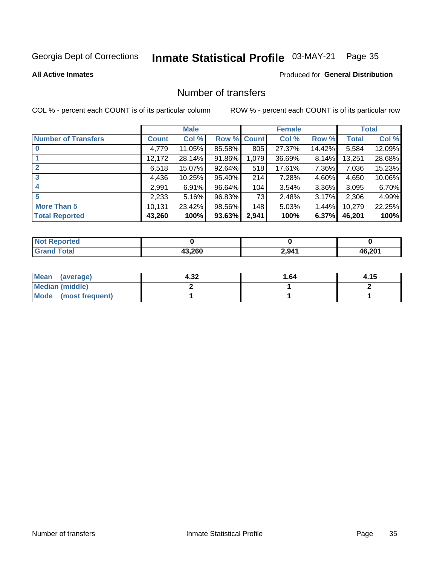## Inmate Statistical Profile 03-MAY-21 Page 35

### **All Active Inmates**

### Produced for General Distribution

### Number of transfers

COL % - percent each COUNT is of its particular column

|                            |              | <b>Male</b> |        |              | <b>Female</b> |          |        | <b>Total</b> |
|----------------------------|--------------|-------------|--------|--------------|---------------|----------|--------|--------------|
| <b>Number of Transfers</b> | <b>Count</b> | Col %       | Row %  | <b>Count</b> | Col %         | Row %    | Total  | Col %        |
|                            | 4,779        | 11.05%      | 85.58% | 805          | 27.37%        | 14.42%   | 5,584  | 12.09%       |
|                            | 12,172       | 28.14%      | 91.86% | 1,079        | 36.69%        | 8.14%    | 13,251 | 28.68%       |
| $\mathbf{2}$               | 6,518        | 15.07%      | 92.64% | 518          | 17.61%        | 7.36%    | 7,036  | 15.23%       |
| 3                          | 4,436        | 10.25%      | 95.40% | 214          | 7.28%         | 4.60%    | 4,650  | 10.06%       |
| 4                          | 2,991        | 6.91%       | 96.64% | 104          | 3.54%         | $3.36\%$ | 3,095  | 6.70%        |
| 5                          | 2,233        | 5.16%       | 96.83% | 73           | 2.48%         | $3.17\%$ | 2,306  | 4.99%        |
| <b>More Than 5</b>         | 10,131       | 23.42%      | 98.56% | 148          | 5.03%         | $1.44\%$ | 10,279 | 22.25%       |
| <b>Total Reported</b>      | 43,260       | 100%        | 93.63% | 2,941        | 100%          | 6.37%    | 46,201 | 100%         |

| orted<br><b>NOT</b> |        |       |          |
|---------------------|--------|-------|----------|
| <b>Total</b>        | האר כו | 2,941 | $AB$ 201 |

| Mean (average)         | 4.32 | 1.64 | 4.15 |
|------------------------|------|------|------|
| <b>Median (middle)</b> |      |      |      |
| Mode (most frequent)   |      |      |      |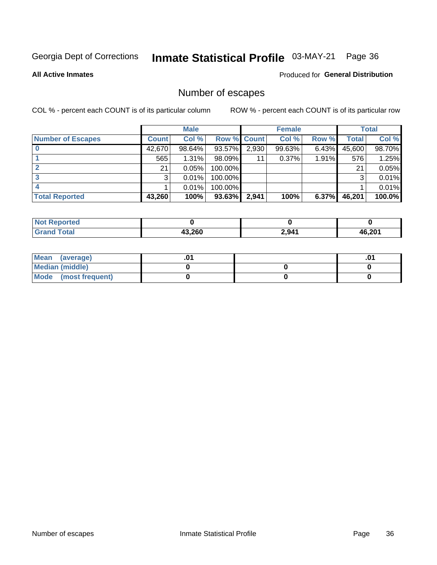## Inmate Statistical Profile 03-MAY-21 Page 36

**All Active Inmates** 

### Produced for General Distribution

### Number of escapes

COL % - percent each COUNT is of its particular column

|                          |              | <b>Male</b> |             |       | <b>Female</b> |          |        | <b>Total</b> |
|--------------------------|--------------|-------------|-------------|-------|---------------|----------|--------|--------------|
| <b>Number of Escapes</b> | <b>Count</b> | Col %       | Row % Count |       | Col %         | Row %    | Total  | Col %        |
|                          | 42,670       | 98.64%      | 93.57%      | 2,930 | 99.63%        | $6.43\%$ | 45,600 | 98.70%       |
|                          | 565          | 1.31%       | $98.09\%$   | 11    | $0.37\%$      | 1.91%    | 576    | 1.25%        |
|                          | 21           | 0.05%       | 100.00%     |       |               |          | 21     | 0.05%        |
|                          | 3            | 0.01%       | 100.00%     |       |               |          | 3      | 0.01%        |
|                          |              | 0.01%       | $100.00\%$  |       |               |          |        | 0.01%        |
| <b>Total Reported</b>    | 43,260       | 100%        | $93.63\%$   | 2,941 | 100%          | 6.37%    | 46,201 | 100.0%       |

| <b>Not Reported</b> |        |       |        |
|---------------------|--------|-------|--------|
| <b>Grand Total</b>  | 43.260 | 2,941 | 46,201 |

| Mean (average)       |  | .0 <sup>4</sup> |
|----------------------|--|-----------------|
| Median (middle)      |  |                 |
| Mode (most frequent) |  |                 |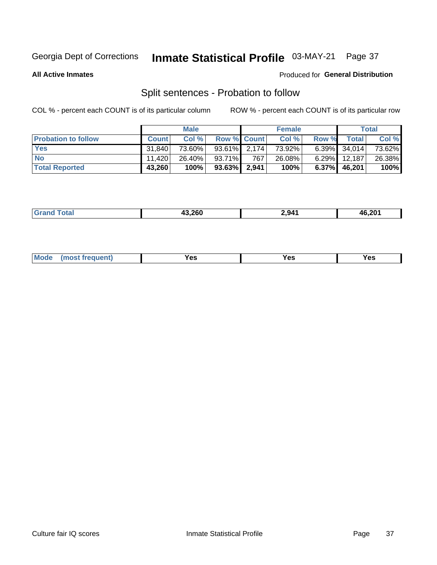#### Inmate Statistical Profile 03-MAY-21 Page 37

**All Active Inmates** 

### Produced for General Distribution

### Split sentences - Probation to follow

COL % - percent each COUNT is of its particular column

|                            |              | <b>Male</b> |                 |       | <b>Female</b> |          |              | <b>Total</b> |
|----------------------------|--------------|-------------|-----------------|-------|---------------|----------|--------------|--------------|
| <b>Probation to follow</b> | <b>Count</b> | Col %       | Row % Count     |       | Col %         | Row %    | <b>Total</b> | Col %        |
| <b>Yes</b>                 | 31.840       | 73.60%      | $93.61\%$ 2.174 |       | 73.92%        |          | 6.39% 34,014 | 73.62%       |
| <b>No</b>                  | 11.420       | 26.40%      | 93.71%          | 767   | $26.08\%$     | $6.29\%$ | 12,187       | 26.38%       |
| <b>Total Reported</b>      | 43,260       | 100%        | $93.63\%$       | 2,941 | 100%          | $6.37\%$ | 46,201       | 100%         |

| _______ | 43.260 | .941 | 46.201 |
|---------|--------|------|--------|
|         |        |      |        |

| M<br>reauent)<br>/٥<br>$\sim$<br>v.,<br>.<br>w<br>$\cdot$ - $\cdot$ |  |  |  |  |  |
|---------------------------------------------------------------------|--|--|--|--|--|
|---------------------------------------------------------------------|--|--|--|--|--|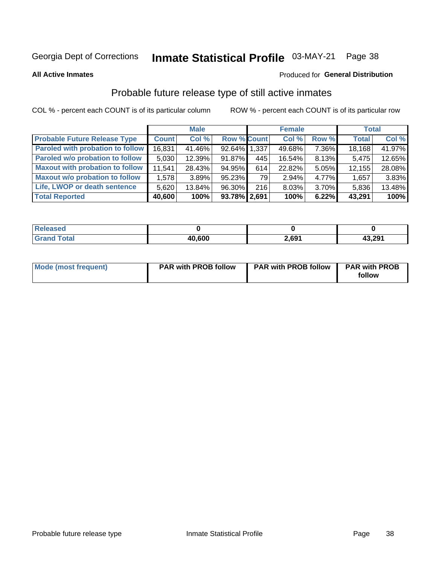# Inmate Statistical Profile 03-MAY-21 Page 38

**All Active Inmates** 

### Produced for General Distribution

# Probable future release type of still active inmates

COL % - percent each COUNT is of its particular column

|                                         |              | <b>Male</b> |                    |     | <b>Female</b> |          | <b>Total</b> |        |
|-----------------------------------------|--------------|-------------|--------------------|-----|---------------|----------|--------------|--------|
| <b>Probable Future Release Type</b>     | <b>Count</b> | Col %       | <b>Row % Count</b> |     | Col %         | Row %    | <b>Total</b> | Col %  |
| <b>Paroled with probation to follow</b> | 16,831       | 41.46%      | 92.64% 1.337       |     | 49.68%        | 7.36%    | 18,168       | 41.97% |
| Paroled w/o probation to follow         | 5,030        | 12.39%      | 91.87%             | 445 | 16.54%        | 8.13%    | 5,475        | 12.65% |
| <b>Maxout with probation to follow</b>  | 11.541       | 28.43%      | 94.95%             | 614 | 22.82%        | 5.05%    | 12,155       | 28.08% |
| <b>Maxout w/o probation to follow</b>   | 1,578        | 3.89%       | 95.23%             | 79  | 2.94%         | 4.77%    | 1,657        | 3.83%  |
| Life, LWOP or death sentence            | 5,620        | 13.84%      | 96.30%             | 216 | 8.03%         | $3.70\%$ | 5,836        | 13.48% |
| <b>Total Reported</b>                   | 40,600       | 100%        | 93.78% 2,691       |     | 100%          | 6.22%    | 43,291       | 100%   |

| <b>eleased</b>      |        |       |        |
|---------------------|--------|-------|--------|
| $f \circ f \circ f$ | 40,600 | 2,691 | 43,291 |

| <b>Mode (most frequent)</b> | <b>PAR with PROB follow</b> | <b>PAR with PROB follow</b> | <b>PAR with PROB</b> |
|-----------------------------|-----------------------------|-----------------------------|----------------------|
|                             |                             |                             | follow               |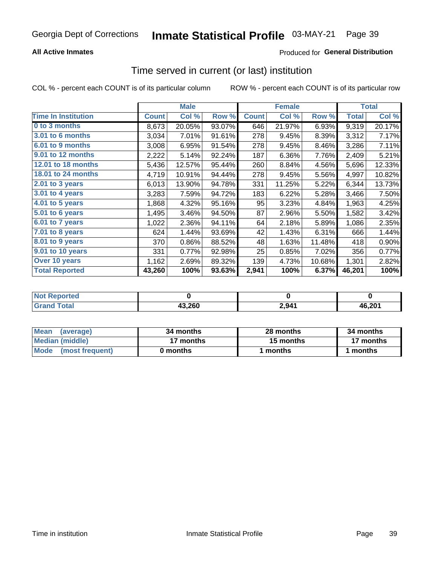# **All Active Inmates**

# **Produced for General Distribution**

# Time served in current (or last) institution

COL % - percent each COUNT is of its particular column

|                            |              | <b>Male</b> |        | <b>Female</b> |        |        | <b>Total</b> |        |
|----------------------------|--------------|-------------|--------|---------------|--------|--------|--------------|--------|
| <b>Time In Institution</b> | <b>Count</b> | Col %       | Row %  | <b>Count</b>  | Col %  | Row %  | Total        | Col %  |
| 0 to 3 months              | 8,673        | 20.05%      | 93.07% | 646           | 21.97% | 6.93%  | 9,319        | 20.17% |
| 3.01 to 6 months           | 3,034        | 7.01%       | 91.61% | 278           | 9.45%  | 8.39%  | 3,312        | 7.17%  |
| 6.01 to 9 months           | 3,008        | 6.95%       | 91.54% | 278           | 9.45%  | 8.46%  | 3,286        | 7.11%  |
| 9.01 to 12 months          | 2,222        | 5.14%       | 92.24% | 187           | 6.36%  | 7.76%  | 2,409        | 5.21%  |
| <b>12.01 to 18 months</b>  | 5,436        | 12.57%      | 95.44% | 260           | 8.84%  | 4.56%  | 5,696        | 12.33% |
| <b>18.01 to 24 months</b>  | 4,719        | 10.91%      | 94.44% | 278           | 9.45%  | 5.56%  | 4,997        | 10.82% |
| 2.01 to 3 years            | 6,013        | 13.90%      | 94.78% | 331           | 11.25% | 5.22%  | 6,344        | 13.73% |
| 3.01 to 4 years            | 3,283        | 7.59%       | 94.72% | 183           | 6.22%  | 5.28%  | 3,466        | 7.50%  |
| 4.01 to 5 years            | 1,868        | 4.32%       | 95.16% | 95            | 3.23%  | 4.84%  | 1,963        | 4.25%  |
| 5.01 to 6 years            | 1,495        | 3.46%       | 94.50% | 87            | 2.96%  | 5.50%  | 1,582        | 3.42%  |
| $6.01$ to 7 years          | 1,022        | 2.36%       | 94.11% | 64            | 2.18%  | 5.89%  | 1,086        | 2.35%  |
| 7.01 to 8 years            | 624          | 1.44%       | 93.69% | 42            | 1.43%  | 6.31%  | 666          | 1.44%  |
| $8.01$ to 9 years          | 370          | 0.86%       | 88.52% | 48            | 1.63%  | 11.48% | 418          | 0.90%  |
| 9.01 to 10 years           | 331          | 0.77%       | 92.98% | 25            | 0.85%  | 7.02%  | 356          | 0.77%  |
| Over 10 years              | 1,162        | 2.69%       | 89.32% | 139           | 4.73%  | 10.68% | 1,301        | 2.82%  |
| <b>Total Reported</b>      | 43,260       | 100%        | 93.63% | 2,941         | 100%   | 6.37%  | 46,201       | 100%   |

| <b>Renorted</b><br><b>Not</b> |        |          |              |
|-------------------------------|--------|----------|--------------|
| intal                         | 43,260 | $2,94^4$ | $AB$ 20 $^4$ |

| <b>Mean</b><br>(average) | 34 months | 28 months | 34 months |
|--------------------------|-----------|-----------|-----------|
| Median (middle)          | 17 months | 15 months | 17 months |
| Mode (most frequent)     | 0 months  | months    | 1 months  |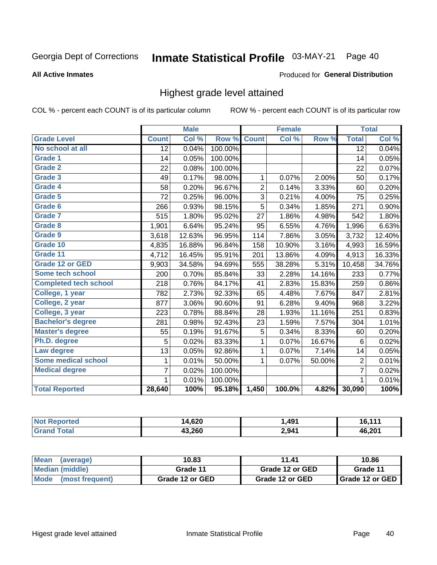#### Inmate Statistical Profile 03-MAY-21 Page 40

### **All Active Inmates**

### Produced for General Distribution

# Highest grade level attained

COL % - percent each COUNT is of its particular column

|                              |                 | <b>Male</b> |         |                | <b>Female</b> |        |                 | <b>Total</b> |
|------------------------------|-----------------|-------------|---------|----------------|---------------|--------|-----------------|--------------|
| <b>Grade Level</b>           | <b>Count</b>    | Col %       | Row %   | <b>Count</b>   | Col %         | Row %  | <b>Total</b>    | Col %        |
| No school at all             | $\overline{12}$ | 0.04%       | 100.00% |                |               |        | $\overline{12}$ | 0.04%        |
| <b>Grade 1</b>               | 14              | 0.05%       | 100.00% |                |               |        | 14              | 0.05%        |
| <b>Grade 2</b>               | 22              | 0.08%       | 100.00% |                |               |        | 22              | 0.07%        |
| Grade 3                      | 49              | 0.17%       | 98.00%  | $\mathbf{1}$   | 0.07%         | 2.00%  | 50              | 0.17%        |
| Grade 4                      | 58              | 0.20%       | 96.67%  | $\overline{2}$ | 0.14%         | 3.33%  | 60              | 0.20%        |
| Grade 5                      | 72              | 0.25%       | 96.00%  | 3              | 0.21%         | 4.00%  | 75              | 0.25%        |
| Grade 6                      | 266             | 0.93%       | 98.15%  | $\overline{5}$ | 0.34%         | 1.85%  | 271             | 0.90%        |
| <b>Grade 7</b>               | 515             | 1.80%       | 95.02%  | 27             | 1.86%         | 4.98%  | 542             | 1.80%        |
| Grade 8                      | 1,901           | 6.64%       | 95.24%  | 95             | 6.55%         | 4.76%  | 1,996           | 6.63%        |
| Grade 9                      | 3,618           | 12.63%      | 96.95%  | 114            | 7.86%         | 3.05%  | 3,732           | 12.40%       |
| Grade 10                     | 4,835           | 16.88%      | 96.84%  | 158            | 10.90%        | 3.16%  | 4,993           | 16.59%       |
| Grade 11                     | 4,712           | 16.45%      | 95.91%  | 201            | 13.86%        | 4.09%  | 4,913           | 16.33%       |
| <b>Grade 12 or GED</b>       | 9,903           | 34.58%      | 94.69%  | 555            | 38.28%        | 5.31%  | 10,458          | 34.76%       |
| <b>Some tech school</b>      | 200             | 0.70%       | 85.84%  | 33             | 2.28%         | 14.16% | 233             | 0.77%        |
| <b>Completed tech school</b> | 218             | 0.76%       | 84.17%  | 41             | 2.83%         | 15.83% | 259             | 0.86%        |
| College, 1 year              | 782             | 2.73%       | 92.33%  | 65             | 4.48%         | 7.67%  | 847             | 2.81%        |
| College, 2 year              | 877             | 3.06%       | 90.60%  | 91             | 6.28%         | 9.40%  | 968             | 3.22%        |
| College, 3 year              | 223             | 0.78%       | 88.84%  | 28             | 1.93%         | 11.16% | 251             | 0.83%        |
| <b>Bachelor's degree</b>     | 281             | 0.98%       | 92.43%  | 23             | 1.59%         | 7.57%  | 304             | 1.01%        |
| <b>Master's degree</b>       | 55              | 0.19%       | 91.67%  | 5              | 0.34%         | 8.33%  | 60              | 0.20%        |
| Ph.D. degree                 | 5               | 0.02%       | 83.33%  | 1              | 0.07%         | 16.67% | 6               | 0.02%        |
| Law degree                   | 13              | 0.05%       | 92.86%  | $\mathbf{1}$   | 0.07%         | 7.14%  | 14              | 0.05%        |
| <b>Some medical school</b>   | 1               | 0.01%       | 50.00%  | 1              | 0.07%         | 50.00% | $\overline{2}$  | 0.01%        |
| <b>Medical degree</b>        | 7               | 0.02%       | 100.00% |                |               |        | $\overline{7}$  | 0.02%        |
|                              | $\mathbf 1$     | 0.01%       | 100.00% |                |               |        | 1               | 0.01%        |
| <b>Total Reported</b>        | 28,640          | 100%        | 95.18%  | 1,450          | 100.0%        | 4.82%  | 30,090          | 100%         |

| 4,620<br>ıл | ,491  |                     |
|-------------|-------|---------------------|
| 43.260      | 2,941 | $AB$ 20 $^{\prime}$ |

| <b>Mean</b><br>(average) | 10.83           | 11.41           | 10.86           |
|--------------------------|-----------------|-----------------|-----------------|
| Median (middle)          | Grade 11        | Grade 12 or GED | Grade 11        |
| Mode<br>(most frequent)  | Grade 12 or GED | Grade 12 or GED | Grade 12 or GED |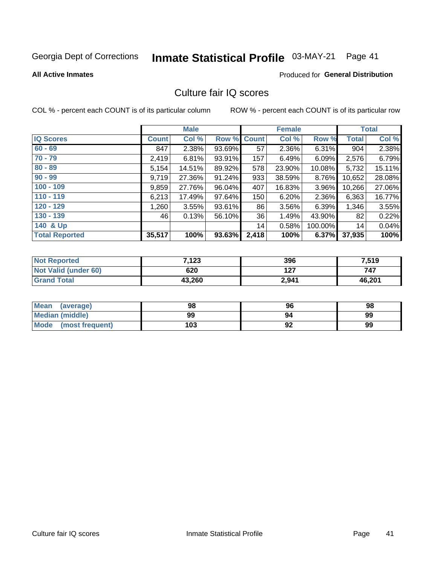# Inmate Statistical Profile 03-MAY-21 Page 41

#### **All Active Inmates**

## **Produced for General Distribution**

# Culture fair IQ scores

COL % - percent each COUNT is of its particular column

|                       |              | <b>Male</b> |                    |       | <b>Female</b> |          |              | <b>Total</b> |
|-----------------------|--------------|-------------|--------------------|-------|---------------|----------|--------------|--------------|
| <b>IQ Scores</b>      | <b>Count</b> | Col %       | <b>Row % Count</b> |       | Col %         | Row %    | <b>Total</b> | Col %        |
| $60 - 69$             | 847          | 2.38%       | 93.69%             | 57    | 2.36%         | $6.31\%$ | 904          | 2.38%        |
| $70 - 79$             | 2,419        | 6.81%       | 93.91%             | 157   | 6.49%         | 6.09%    | 2,576        | 6.79%        |
| $80 - 89$             | 5,154        | 14.51%      | 89.92%             | 578   | 23.90%        | 10.08%   | 5,732        | 15.11%       |
| $90 - 99$             | 9,719        | 27.36%      | 91.24%             | 933   | 38.59%        | 8.76%    | 10,652       | 28.08%       |
| $100 - 109$           | 9,859        | 27.76%      | 96.04%             | 407   | 16.83%        | 3.96%    | 10,266       | 27.06%       |
| $110 - 119$           | 6,213        | 17.49%      | 97.64%             | 150   | 6.20%         | 2.36%    | 6,363        | 16.77%       |
| $120 - 129$           | 1,260        | 3.55%       | 93.61%             | 86    | 3.56%         | 6.39%    | 1,346        | 3.55%        |
| $130 - 139$           | 46           | 0.13%       | 56.10%             | 36    | 1.49%         | 43.90%   | 82           | 0.22%        |
| 140 & Up              |              |             |                    | 14    | 0.58%         | 100.00%  | 14           | 0.04%        |
| <b>Total Reported</b> | 35,517       | 100%        | 93.63%             | 2,418 | 100%          | 6.37%    | 37,935       | 100%         |

| <b>Not Reported</b>         | 7,123  | 396   | 7,519  |
|-----------------------------|--------|-------|--------|
| <b>Not Valid (under 60)</b> | 620    | 127   | 747    |
| <b>Grand Total</b>          | 43,260 | 2,941 | 46,201 |

| <b>Mean</b><br>(average)       | 98  | 96 | 98 |
|--------------------------------|-----|----|----|
| Median (middle)                | 99  | 94 | 99 |
| <b>Mode</b><br>(most frequent) | 103 | 92 | 99 |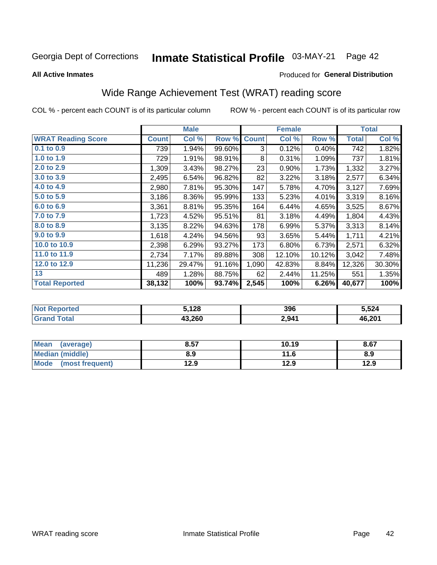#### Inmate Statistical Profile 03-MAY-21 Page 42

**All Active Inmates** 

### Produced for General Distribution

# Wide Range Achievement Test (WRAT) reading score

COL % - percent each COUNT is of its particular column

|                           |              | <b>Male</b> |        |              | Female |        |              | <b>Total</b> |
|---------------------------|--------------|-------------|--------|--------------|--------|--------|--------------|--------------|
| <b>WRAT Reading Score</b> | <b>Count</b> | Col %       | Row %  | <b>Count</b> | Col %  | Row %  | <b>Total</b> | Col %        |
| $0.1$ to $0.9$            | 739          | 1.94%       | 99.60% | 3            | 0.12%  | 0.40%  | 742          | 1.82%        |
| 1.0 to 1.9                | 729          | 1.91%       | 98.91% | 8            | 0.31%  | 1.09%  | 737          | 1.81%        |
| 2.0 to 2.9                | 1,309        | 3.43%       | 98.27% | 23           | 0.90%  | 1.73%  | 1,332        | 3.27%        |
| 3.0 to 3.9                | 2,495        | 6.54%       | 96.82% | 82           | 3.22%  | 3.18%  | 2,577        | 6.34%        |
| 4.0 to 4.9                | 2,980        | 7.81%       | 95.30% | 147          | 5.78%  | 4.70%  | 3,127        | 7.69%        |
| 5.0 to 5.9                | 3,186        | 8.36%       | 95.99% | 133          | 5.23%  | 4.01%  | 3,319        | 8.16%        |
| 6.0 to 6.9                | 3,361        | 8.81%       | 95.35% | 164          | 6.44%  | 4.65%  | 3,525        | 8.67%        |
| 7.0 to 7.9                | 1,723        | 4.52%       | 95.51% | 81           | 3.18%  | 4.49%  | 1,804        | 4.43%        |
| 8.0 to 8.9                | 3,135        | 8.22%       | 94.63% | 178          | 6.99%  | 5.37%  | 3,313        | 8.14%        |
| 9.0 to 9.9                | 1,618        | 4.24%       | 94.56% | 93           | 3.65%  | 5.44%  | 1,711        | 4.21%        |
| 10.0 to 10.9              | 2,398        | 6.29%       | 93.27% | 173          | 6.80%  | 6.73%  | 2,571        | 6.32%        |
| 11.0 to 11.9              | 2,734        | 7.17%       | 89.88% | 308          | 12.10% | 10.12% | 3,042        | 7.48%        |
| 12.0 to 12.9              | 11,236       | 29.47%      | 91.16% | 1,090        | 42.83% | 8.84%  | 12,326       | 30.30%       |
| 13                        | 489          | 1.28%       | 88.75% | 62           | 2.44%  | 11.25% | 551          | 1.35%        |
| <b>Total Reported</b>     | 38,132       | 100%        | 93.74% | 2,545        | 100%   | 6.26%  | 40,677       | 100%         |

| <b>Not</b><br>Reported | 5,128  | 396   | 5.524  |
|------------------------|--------|-------|--------|
| <b>Total</b>           | 43,260 | 2,941 | 46,201 |

| <b>Mean</b><br>(average)       | 8.57 | 10.19 | 8.67 |
|--------------------------------|------|-------|------|
| <b>Median (middle)</b>         | 8.9  | 11.6  | 8.9  |
| <b>Mode</b><br>(most frequent) | l2.9 | 12.9  | 12.9 |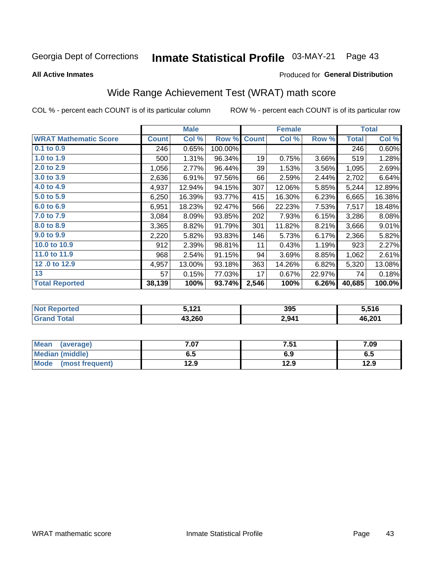#### Inmate Statistical Profile 03-MAY-21 Page 43

**All Active Inmates** 

### Produced for General Distribution

# Wide Range Achievement Test (WRAT) math score

COL % - percent each COUNT is of its particular column

|                              |              | <b>Male</b> |         |              | <b>Female</b> |        |              | <b>Total</b> |
|------------------------------|--------------|-------------|---------|--------------|---------------|--------|--------------|--------------|
| <b>WRAT Mathematic Score</b> | <b>Count</b> | Col %       | Row %   | <b>Count</b> | Col %         | Row %  | <b>Total</b> | Col %        |
| $0.1$ to $0.9$               | 246          | 0.65%       | 100.00% |              |               |        | 246          | 0.60%        |
| 1.0 to 1.9                   | 500          | 1.31%       | 96.34%  | 19           | 0.75%         | 3.66%  | 519          | 1.28%        |
| 2.0 to 2.9                   | 1,056        | 2.77%       | 96.44%  | 39           | 1.53%         | 3.56%  | 1,095        | 2.69%        |
| 3.0 to 3.9                   | 2,636        | 6.91%       | 97.56%  | 66           | 2.59%         | 2.44%  | 2,702        | 6.64%        |
| 4.0 to 4.9                   | 4,937        | 12.94%      | 94.15%  | 307          | 12.06%        | 5.85%  | 5,244        | 12.89%       |
| 5.0 to 5.9                   | 6,250        | 16.39%      | 93.77%  | 415          | 16.30%        | 6.23%  | 6,665        | 16.38%       |
| 6.0 to 6.9                   | 6,951        | 18.23%      | 92.47%  | 566          | 22.23%        | 7.53%  | 7,517        | 18.48%       |
| 7.0 to 7.9                   | 3,084        | 8.09%       | 93.85%  | 202          | 7.93%         | 6.15%  | 3,286        | 8.08%        |
| 8.0 to 8.9                   | 3,365        | 8.82%       | 91.79%  | 301          | 11.82%        | 8.21%  | 3,666        | 9.01%        |
| 9.0 to 9.9                   | 2,220        | 5.82%       | 93.83%  | 146          | 5.73%         | 6.17%  | 2,366        | 5.82%        |
| 10.0 to 10.9                 | 912          | 2.39%       | 98.81%  | 11           | 0.43%         | 1.19%  | 923          | 2.27%        |
| 11.0 to 11.9                 | 968          | 2.54%       | 91.15%  | 94           | 3.69%         | 8.85%  | 1,062        | 2.61%        |
| 12.0 to 12.9                 | 4,957        | 13.00%      | 93.18%  | 363          | 14.26%        | 6.82%  | 5,320        | 13.08%       |
| 13                           | 57           | 0.15%       | 77.03%  | 17           | 0.67%         | 22.97% | 74           | 0.18%        |
| <b>Total Reported</b>        | 38,139       | 100%        | 93.74%  | 2,546        | 100%          | 6.26%  | 40,685       | 100.0%       |
|                              |              |             |         |              |               |        |              |              |

| <b>Not Reported</b>                | . 404<br>$J, I \mathrel{\mathsf{L}} \Lambda$ | 395   | 5,516  |
|------------------------------------|----------------------------------------------|-------|--------|
| $\mathop{\mathsf{Total}}$<br>Grand | 43,260                                       | 2,941 | 46,201 |

| <b>Mean</b><br>(average)       | $^{\circ}$ .07 | 7.51 | 7.09 |
|--------------------------------|----------------|------|------|
| Median (middle)                | 6.5            | 6.9  | ს.ე  |
| <b>Mode</b><br>(most frequent) | 12.9           | 12.9 | 12.9 |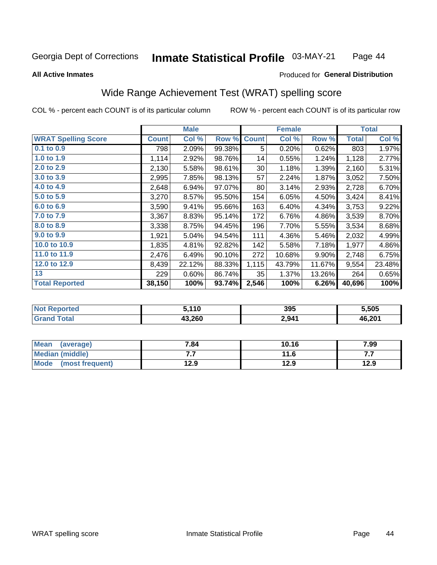#### Inmate Statistical Profile 03-MAY-21 Page 44

#### **All Active Inmates**

# Produced for General Distribution

# Wide Range Achievement Test (WRAT) spelling score

COL % - percent each COUNT is of its particular column

|                            |              | <b>Male</b> |        |              | <b>Female</b> |        |              | <b>Total</b> |
|----------------------------|--------------|-------------|--------|--------------|---------------|--------|--------------|--------------|
| <b>WRAT Spelling Score</b> | <b>Count</b> | Col %       | Row %  | <b>Count</b> | Col %         | Row %  | <b>Total</b> | Col %        |
| $0.1$ to $0.9$             | 798          | 2.09%       | 99.38% | 5            | 0.20%         | 0.62%  | 803          | 1.97%        |
| 1.0 to 1.9                 | 1,114        | 2.92%       | 98.76% | 14           | 0.55%         | 1.24%  | 1,128        | 2.77%        |
| 2.0 to 2.9                 | 2,130        | 5.58%       | 98.61% | 30           | 1.18%         | 1.39%  | 2,160        | 5.31%        |
| 3.0 to 3.9                 | 2,995        | 7.85%       | 98.13% | 57           | 2.24%         | 1.87%  | 3,052        | 7.50%        |
| 4.0 to 4.9                 | 2,648        | 6.94%       | 97.07% | 80           | 3.14%         | 2.93%  | 2,728        | 6.70%        |
| 5.0 to 5.9                 | 3,270        | 8.57%       | 95.50% | 154          | 6.05%         | 4.50%  | 3,424        | 8.41%        |
| 6.0 to 6.9                 | 3,590        | 9.41%       | 95.66% | 163          | 6.40%         | 4.34%  | 3,753        | 9.22%        |
| 7.0 to 7.9                 | 3,367        | 8.83%       | 95.14% | 172          | 6.76%         | 4.86%  | 3,539        | 8.70%        |
| 8.0 to 8.9                 | 3,338        | 8.75%       | 94.45% | 196          | 7.70%         | 5.55%  | 3,534        | 8.68%        |
| 9.0 to 9.9                 | 1,921        | 5.04%       | 94.54% | 111          | 4.36%         | 5.46%  | 2,032        | 4.99%        |
| 10.0 to 10.9               | 1,835        | 4.81%       | 92.82% | 142          | 5.58%         | 7.18%  | 1,977        | 4.86%        |
| 11.0 to 11.9               | 2,476        | 6.49%       | 90.10% | 272          | 10.68%        | 9.90%  | 2,748        | 6.75%        |
| 12.0 to 12.9               | 8,439        | 22.12%      | 88.33% | 1,115        | 43.79%        | 11.67% | 9,554        | 23.48%       |
| 13                         | 229          | 0.60%       | 86.74% | 35           | 1.37%         | 13.26% | 264          | 0.65%        |
| <b>Total Reported</b>      | 38,150       | 100%        | 93.74% | 2,546        | 100%          | 6.26%  | 40,696       | 100%         |

| <b>rteg</b><br>NO | ;.110  | 395   | 5,505  |
|-------------------|--------|-------|--------|
| int               | 43,260 | 2,941 | 46,201 |

| <b>Mean</b><br>(average) | 7.84 | 10.16 | 7.99 |
|--------------------------|------|-------|------|
| Median (middle)          | .    | 11.6  | .    |
| Mode<br>(most frequent)  | 12.9 | 12.9  | 12.9 |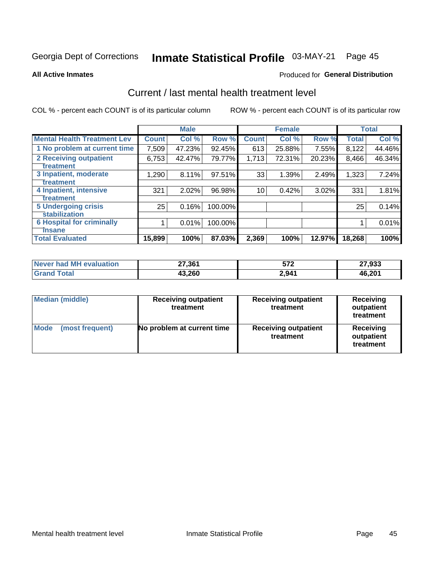# Inmate Statistical Profile 03-MAY-21 Page 45

#### **All Active Inmates**

# **Produced for General Distribution**

# Current / last mental health treatment level

COL % - percent each COUNT is of its particular column

|                                    |              | <b>Male</b> |         |              | <b>Female</b> |          |              | <b>Total</b> |
|------------------------------------|--------------|-------------|---------|--------------|---------------|----------|--------------|--------------|
| <b>Mental Health Treatment Lev</b> | <b>Count</b> | Col %       | Row %   | <b>Count</b> | Col %         | Row %    | <b>Total</b> | Col %        |
| 1 No problem at current time       | 7,509        | 47.23%      | 92.45%  | 613          | 25.88%        | 7.55%    | 8,122        | 44.46%       |
| 2 Receiving outpatient             | 6,753        | 42.47%      | 79.77%  | 1,713        | 72.31%        | 20.23%   | 8,466        | 46.34%       |
| <b>Treatment</b>                   |              |             |         |              |               |          |              |              |
| 3 Inpatient, moderate              | 1,290        | 8.11%       | 97.51%  | 33           | 1.39%         | 2.49%    | 1,323        | 7.24%        |
| <b>Treatment</b>                   |              |             |         |              |               |          |              |              |
| 4 Inpatient, intensive             | 321          | 2.02%       | 96.98%  | 10           | 0.42%         | $3.02\%$ | 331          | 1.81%        |
| Treatment                          |              |             |         |              |               |          |              |              |
| <b>5 Undergoing crisis</b>         | 25           | 0.16%       | 100.00% |              |               |          | 25           | 0.14%        |
| <b>stabilization</b>               |              |             |         |              |               |          |              |              |
| <b>6 Hospital for criminally</b>   |              | 0.01%       | 100.00% |              |               |          |              | 0.01%        |
| <b>Tinsane</b>                     |              |             |         |              |               |          |              |              |
| <b>Total Evaluated</b>             | 15,899       | 100%        | 87.03%  | 2,369        | 100%          | 12.97%   | 18,268       | 100%         |

| Never had MH evaluation | 27,361 | 572   | 27,933 |
|-------------------------|--------|-------|--------|
| <b>Grand Total</b>      | 43,260 | 2,941 | 46,201 |

| <b>Median (middle)</b>         | <b>Receiving outpatient</b><br>treatment | <b>Receiving outpatient</b><br>treatment | <b>Receiving</b><br>outpatient<br>treatment |  |  |
|--------------------------------|------------------------------------------|------------------------------------------|---------------------------------------------|--|--|
| <b>Mode</b><br>(most frequent) | No problem at current time               | <b>Receiving outpatient</b><br>treatment | Receiving<br>outpatient<br>treatment        |  |  |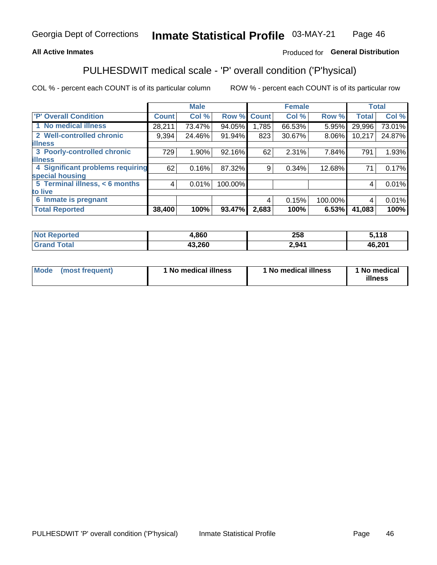# **All Active Inmates**

# Produced for General Distribution

# PULHESDWIT medical scale - 'P' overall condition ('P'hysical)

COL % - percent each COUNT is of its particular column

|                                  |              | <b>Male</b> |         |              | <b>Female</b> |         |              | <b>Total</b> |
|----------------------------------|--------------|-------------|---------|--------------|---------------|---------|--------------|--------------|
| <b>'P' Overall Condition</b>     | <b>Count</b> | Col %       | Row %   | <b>Count</b> | Col %         | Row %   | <b>Total</b> | Col %        |
| 1 No medical illness             | 28,211       | 73.47%      | 94.05%  | ا 785. ا     | 66.53%        | 5.95%   | 29,996       | 73.01%       |
| 2 Well-controlled chronic        | 9,394        | 24.46%      | 91.94%  | 823          | 30.67%        | 8.06%   | 10,217       | 24.87%       |
| <b>illness</b>                   |              |             |         |              |               |         |              |              |
| 3 Poorly-controlled chronic      | 729          | $1.90\%$    | 92.16%  | 62           | 2.31%         | 7.84%   | 791          | 1.93%        |
| <b>illness</b>                   |              |             |         |              |               |         |              |              |
| 4 Significant problems requiring | 62           | 0.16%       | 87.32%  | 9            | 0.34%         | 12.68%  | 71           | 0.17%        |
| special housing                  |              |             |         |              |               |         |              |              |
| 5 Terminal illness, < 6 months   | 4            | 0.01%       | 100.00% |              |               |         | 4            | 0.01%        |
| to live                          |              |             |         |              |               |         |              |              |
| 6 Inmate is pregnant             |              |             |         | 4            | 0.15%         | 100.00% | 4            | 0.01%        |
| <b>Total Reported</b>            | 38,400       | 100%        | 93.47%  | 2,683        | 100%          | 6.53%   | 41,083       | 100%         |

| orted | .860           | <b>OFO</b><br>∠ວ໐ | : 440  |
|-------|----------------|-------------------|--------|
|       | חממ כו<br>.zou | 2,941             | 46,201 |

| Mode | (most frequent) | 1 No medical illness | 1 No medical illness | 1 No medical<br>illness |
|------|-----------------|----------------------|----------------------|-------------------------|
|------|-----------------|----------------------|----------------------|-------------------------|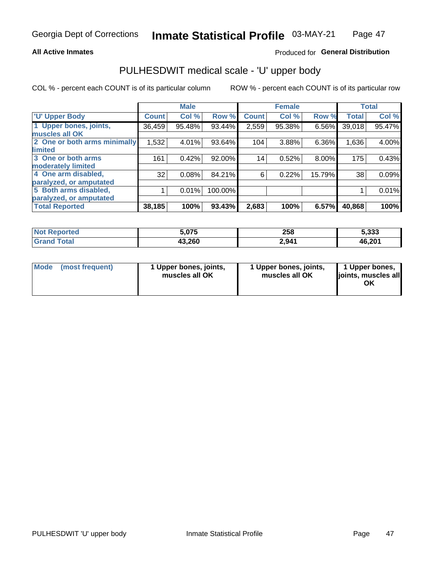## **All Active Inmates**

# Produced for General Distribution

# PULHESDWIT medical scale - 'U' upper body

COL % - percent each COUNT is of its particular column

|                              |              | <b>Male</b> |         |              | <b>Female</b> |        |              | <b>Total</b> |
|------------------------------|--------------|-------------|---------|--------------|---------------|--------|--------------|--------------|
| <b>U' Upper Body</b>         | <b>Count</b> | Col %       | Row %   | <b>Count</b> | Col %         | Row %  | <b>Total</b> | Col %        |
| 1 Upper bones, joints,       | 36,459       | 95.48%      | 93.44%  | 2,559        | 95.38%        | 6.56%  | 39,018       | 95.47%       |
| muscles all OK               |              |             |         |              |               |        |              |              |
| 2 One or both arms minimally | 1,532        | 4.01%       | 93.64%  | 104          | 3.88%         | 6.36%  | 1,636        | 4.00%        |
| limited                      |              |             |         |              |               |        |              |              |
| 3 One or both arms           | 161          | 0.42%       | 92.00%  | 14           | 0.52%         | 8.00%  | 175          | 0.43%        |
| <b>moderately limited</b>    |              |             |         |              |               |        |              |              |
| 4 One arm disabled,          | 32           | 0.08%       | 84.21%  | 6            | 0.22%         | 15.79% | 38           | 0.09%        |
| paralyzed, or amputated      |              |             |         |              |               |        |              |              |
| 5 Both arms disabled,        |              | 0.01%       | 100.00% |              |               |        |              | 0.01%        |
| paralyzed, or amputated      |              |             |         |              |               |        |              |              |
| <b>Total Reported</b>        | 38,185       | 100%        | 93.43%  | 2,683        | 100%          | 6.57%  | 40,868       | 100%         |

| <b>Not Reported</b>   | 5,075  | 258   | 5,333  |
|-----------------------|--------|-------|--------|
| <b>Total</b><br>Grand | 43,260 | 2,941 | 46,201 |

| Mode | (most frequent) | 1 Upper bones, joints,<br>muscles all OK | 1 Upper bones, joints,<br>muscles all OK | 1 Upper bones,<br>joints, muscles all<br>ΟK |
|------|-----------------|------------------------------------------|------------------------------------------|---------------------------------------------|
|------|-----------------|------------------------------------------|------------------------------------------|---------------------------------------------|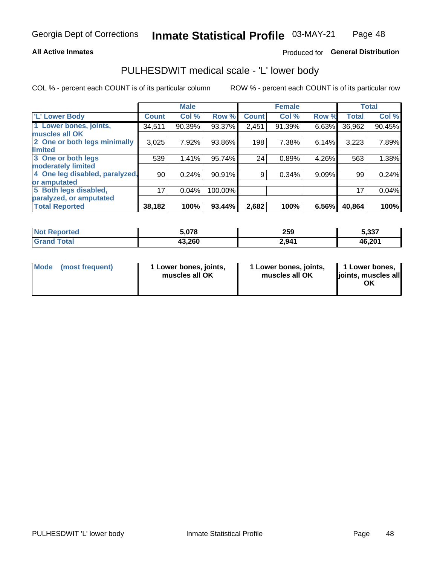## **All Active Inmates**

# Produced for General Distribution

# PULHESDWIT medical scale - 'L' lower body

COL % - percent each COUNT is of its particular column

|                                |              | <b>Male</b> |         |              | <b>Female</b> |       |              | <b>Total</b> |
|--------------------------------|--------------|-------------|---------|--------------|---------------|-------|--------------|--------------|
| 'L' Lower Body                 | <b>Count</b> | Col %       | Row %   | <b>Count</b> | Col %         | Row % | <b>Total</b> | Col %        |
| 1 Lower bones, joints,         | 34,511       | 90.39%      | 93.37%  | 2,451        | 91.39%        | 6.63% | 36,962       | 90.45%       |
| muscles all OK                 |              |             |         |              |               |       |              |              |
| 2 One or both legs minimally   | 3,025        | 7.92%       | 93.86%  | 198          | 7.38%         | 6.14% | 3,223        | 7.89%        |
| limited                        |              |             |         |              |               |       |              |              |
| 3 One or both legs             | 539          | 1.41%       | 95.74%  | 24           | 0.89%         | 4.26% | 563          | 1.38%        |
| moderately limited             |              |             |         |              |               |       |              |              |
| 4 One leg disabled, paralyzed, | 90           | 0.24%       | 90.91%  | 9            | 0.34%         | 9.09% | 99           | 0.24%        |
| or amputated                   |              |             |         |              |               |       |              |              |
| 5 Both legs disabled,          | 17           | 0.04%       | 100.00% |              |               |       | 17           | 0.04%        |
| paralyzed, or amputated        |              |             |         |              |               |       |              |              |
| <b>Total Reported</b>          | 38,182       | 100%        | 93.44%  | 2,682        | 100%          | 6.56% | 40,864       | 100%         |

| <b>Not Reported</b>     | 5,078  | 259   | 5,337  |
|-------------------------|--------|-------|--------|
| <b>Total</b><br>' Grand | 43,260 | 2,941 | 46,201 |

|  | Mode (most frequent) | 1 Lower bones, joints,<br>muscles all OK | 1 Lower bones, joints,<br>muscles all OK | 1 Lower bones,<br>joints, muscles all<br>ΟK |
|--|----------------------|------------------------------------------|------------------------------------------|---------------------------------------------|
|--|----------------------|------------------------------------------|------------------------------------------|---------------------------------------------|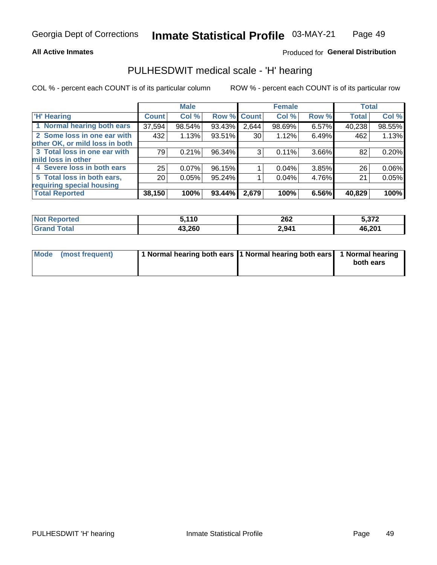## **All Active Inmates**

# Produced for General Distribution

# PULHESDWIT medical scale - 'H' hearing

COL % - percent each COUNT is of its particular column

|                                |              | <b>Male</b> |        |                 | <b>Female</b> |       | <b>Total</b> |        |
|--------------------------------|--------------|-------------|--------|-----------------|---------------|-------|--------------|--------|
| <b>'H' Hearing</b>             | <b>Count</b> | Col %       |        | Row % Count     | Col %         | Row % | <b>Total</b> | Col %  |
| 1 Normal hearing both ears     | 37,594       | 98.54%      | 93.43% | 2,644           | 98.69%        | 6.57% | 40,238       | 98.55% |
| 2 Some loss in one ear with    | 432          | 1.13%       | 93.51% | 30 <sup>1</sup> | 1.12%         | 6.49% | 462          | 1.13%  |
| other OK, or mild loss in both |              |             |        |                 |               |       |              |        |
| 3 Total loss in one ear with   | 79           | 0.21%       | 96.34% | 3               | 0.11%         | 3.66% | 82           | 0.20%  |
| mild loss in other             |              |             |        |                 |               |       |              |        |
| 4 Severe loss in both ears     | 25           | 0.07%       | 96.15% |                 | $0.04\%$      | 3.85% | 26           | 0.06%  |
| 5 Total loss in both ears,     | 20           | 0.05%       | 95.24% |                 | 0.04%         | 4.76% | 21           | 0.05%  |
| requiring special housing      |              |             |        |                 |               |       |              |        |
| <b>Total Reported</b>          | 38,150       | 100%        | 93.44% | 2,679           | 100%          | 6.56% | 40,829       | 100%   |

| <b>Not Reported</b> | 5,110  | 200<br>ZOZ | 5.372  |
|---------------------|--------|------------|--------|
| Total               | 43,260 | 2,941      | 46,201 |

| Mode (most frequent) | 1 Normal hearing both ears 11 Normal hearing both ears 1 Normal hearing | both ears |
|----------------------|-------------------------------------------------------------------------|-----------|
|                      |                                                                         |           |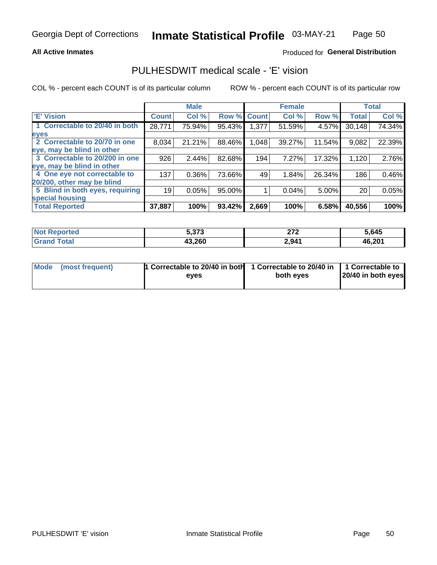### **All Active Inmates**

# Produced for General Distribution

# PULHESDWIT medical scale - 'E' vision

COL % - percent each COUNT is of its particular column

|                                 |              | <b>Male</b> |        |              | <b>Female</b> |        |              | <b>Total</b> |
|---------------------------------|--------------|-------------|--------|--------------|---------------|--------|--------------|--------------|
| 'E' Vision                      | <b>Count</b> | Col %       | Row %  | <b>Count</b> | Col %         | Row %  | <b>Total</b> | Col %        |
| 1 Correctable to 20/40 in both  | 28,771       | 75.94%      | 95.43% | .377         | 51.59%        | 4.57%  | 30,148       | 74.34%       |
| eyes                            |              |             |        |              |               |        |              |              |
| 2 Correctable to 20/70 in one   | 8,034        | 21.21%      | 88.46% | 1,048        | 39.27%        | 11.54% | 9,082        | 22.39%       |
| eye, may be blind in other      |              |             |        |              |               |        |              |              |
| 3 Correctable to 20/200 in one  | 926          | 2.44%       | 82.68% | 194          | 7.27%         | 17.32% | 1,120        | 2.76%        |
| leye, may be blind in other     |              |             |        |              |               |        |              |              |
| 4 One eye not correctable to    | 137          | 0.36%       | 73.66% | 49           | 1.84%         | 26.34% | 186          | 0.46%        |
| 20/200, other may be blind      |              |             |        |              |               |        |              |              |
| 5 Blind in both eyes, requiring | 19           | 0.05%       | 95.00% |              | 0.04%         | 5.00%  | 20           | 0.05%        |
| special housing                 |              |             |        |              |               |        |              |              |
| <b>Total Reported</b>           | 37,887       | 100%        | 93.42% | 2,669        | 100%          | 6.58%  | 40,556       | 100%         |

| <b>Not Reported</b> | こ つフつ<br><u>ე.ა/ ა</u> | היה<br>21 Z | 5,645  |
|---------------------|------------------------|-------------|--------|
| <b>Total</b>        | 43,260                 | 2,941       | 46,201 |

| Mode (most frequent) | 1 Correctable to 20/40 in both<br>eves | 1 Correctable to 20/40 in   1 Correctable to  <br>both eves | 20/40 in both eyes |
|----------------------|----------------------------------------|-------------------------------------------------------------|--------------------|
|                      |                                        |                                                             |                    |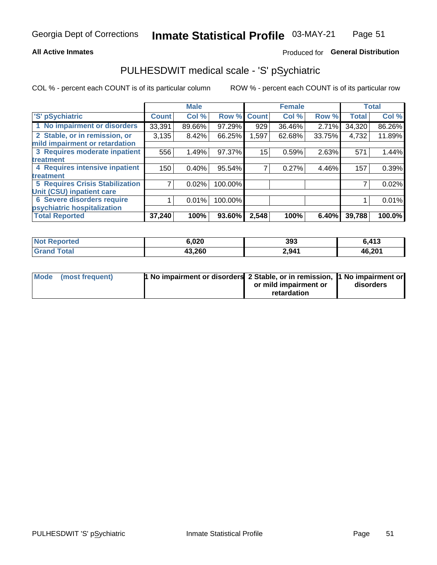## **All Active Inmates**

# Produced for General Distribution

# PULHESDWIT medical scale - 'S' pSychiatric

COL % - percent each COUNT is of its particular column

|                                        |              | <b>Male</b> |         |              | <b>Female</b> |        |              | <b>Total</b> |
|----------------------------------------|--------------|-------------|---------|--------------|---------------|--------|--------------|--------------|
| 'S' pSychiatric                        | <b>Count</b> | Col %       | Row %   | <b>Count</b> | Col %         | Row %  | <b>Total</b> | Col %        |
| 1 No impairment or disorders           | 33,391       | 89.66%      | 97.29%  | 929          | 36.46%        | 2.71%  | 34,320       | 86.26%       |
| 2 Stable, or in remission, or          | 3,135        | 8.42%       | 66.25%  | 1,597        | 62.68%        | 33.75% | 4,732        | 11.89%       |
| mild impairment or retardation         |              |             |         |              |               |        |              |              |
| 3 Requires moderate inpatient          | 556          | 1.49%       | 97.37%  | 15           | 0.59%         | 2.63%  | 571          | 1.44%        |
| treatment                              |              |             |         |              |               |        |              |              |
| 4 Requires intensive inpatient         | 150          | 0.40%       | 95.54%  |              | 0.27%         | 4.46%  | 157          | 0.39%        |
| treatment                              |              |             |         |              |               |        |              |              |
| <b>5 Requires Crisis Stabilization</b> |              | 0.02%       | 100.00% |              |               |        |              | 0.02%        |
| Unit (CSU) inpatient care              |              |             |         |              |               |        |              |              |
| <b>6 Severe disorders require</b>      |              | 0.01%       | 100.00% |              |               |        |              | 0.01%        |
| psychiatric hospitalization            |              |             |         |              |               |        |              |              |
| <b>Total Reported</b>                  | 37,240       | 100%        | 93.60%  | 2,548        | 100%          | 6.40%  | 39,788       | 100.0%       |

| <b>Not Reported</b>   | 6,020  | 393   | 6,413  |
|-----------------------|--------|-------|--------|
| <b>Total</b><br>Grand | 43,260 | 2,941 | 46,201 |

| Mode | (most frequent) | <b>1 No impairment or disorders</b> 2 Stable, or in remission, 1 No impairment or |                       |           |
|------|-----------------|-----------------------------------------------------------------------------------|-----------------------|-----------|
|      |                 |                                                                                   | or mild impairment or | disorders |
|      |                 |                                                                                   | retardation           |           |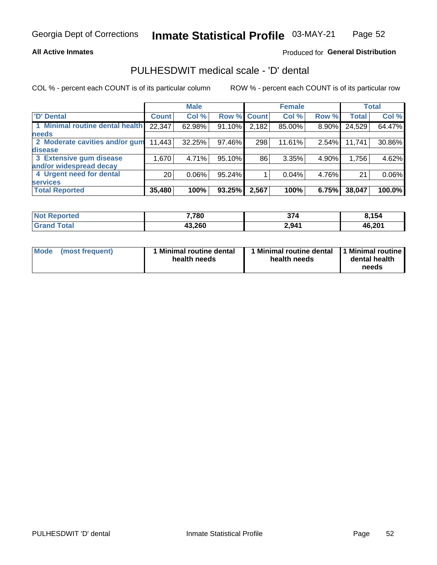## **All Active Inmates**

# Produced for General Distribution

# PULHESDWIT medical scale - 'D' dental

COL % - percent each COUNT is of its particular column

|                                 |                 | <b>Male</b> |        |             | <b>Female</b> |          |              | <b>Total</b> |
|---------------------------------|-----------------|-------------|--------|-------------|---------------|----------|--------------|--------------|
| <b>D'</b> Dental                | <b>Count</b>    | Col %       |        | Row % Count | Col %         | Row %    | <b>Total</b> | Col %        |
| 1 Minimal routine dental health | 22,347          | 62.98%      | 91.10% | 2,182       | 85.00%        | $8.90\%$ | 24,529       | 64.47%       |
| <b>needs</b>                    |                 |             |        |             |               |          |              |              |
| 2 Moderate cavities and/or gum  | 11,443          | 32.25%      | 97.46% | 298         | 11.61%        | 2.54%    | 11,741       | 30.86%       |
| disease                         |                 |             |        |             |               |          |              |              |
| 3 Extensive gum disease         | 1,670           | 4.71%       | 95.10% | 86          | 3.35%         | 4.90%    | 1,756        | 4.62%        |
| and/or widespread decay         |                 |             |        |             |               |          |              |              |
| 4 Urgent need for dental        | 20 <sub>1</sub> | 0.06%       | 95.24% |             | 0.04%         | 4.76%    | 21           | 0.06%        |
| <b>services</b>                 |                 |             |        |             |               |          |              |              |
| <b>Total Reported</b>           | 35,480          | 100%        | 93.25% | 2,567       | 100%          | 6.75%    | 38,047       | 100.0%       |

| <b>Not Reported</b> | 7,780  | 374   | 8,154  |
|---------------------|--------|-------|--------|
| Total               | 43,260 | 2,941 | 46,201 |

| <b>Mode</b> | (most frequent) | <b>Minimal routine dental</b><br>health needs | 1 Minimal routine dental   1 Minimal routine  <br>health needs | dental health<br>needs |
|-------------|-----------------|-----------------------------------------------|----------------------------------------------------------------|------------------------|
|-------------|-----------------|-----------------------------------------------|----------------------------------------------------------------|------------------------|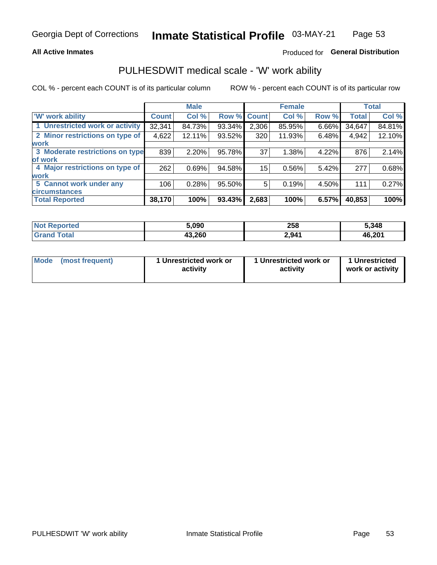## **All Active Inmates**

# Produced for General Distribution

# PULHESDWIT medical scale - 'W' work ability

COL % - percent each COUNT is of its particular column

|                                 |              | <b>Male</b> |        |             | <b>Female</b> |       |              | <b>Total</b> |
|---------------------------------|--------------|-------------|--------|-------------|---------------|-------|--------------|--------------|
| 'W' work ability                | <b>Count</b> | Col %       |        | Row % Count | Col %         | Row % | <b>Total</b> | Col %        |
| 1 Unrestricted work or activity | 32,341       | 84.73%      | 93.34% | 2,306       | 85.95%        | 6.66% | 34,647       | 84.81%       |
| 2 Minor restrictions on type of | 4,622        | 12.11%      | 93.52% | 320         | 11.93%        | 6.48% | 4,942        | 12.10%       |
| <b>work</b>                     |              |             |        |             |               |       |              |              |
| 3 Moderate restrictions on type | 839          | 2.20%       | 95.78% | 37          | 1.38%         | 4.22% | 876          | 2.14%        |
| of work                         |              |             |        |             |               |       |              |              |
| 4 Major restrictions on type of | 262          | 0.69%       | 94.58% | 15          | 0.56%         | 5.42% | 277          | 0.68%        |
| <b>work</b>                     |              |             |        |             |               |       |              |              |
| 5 Cannot work under any         | 106          | 0.28%       | 95.50% | 5           | 0.19%         | 4.50% | 111          | 0.27%        |
| <b>circumstances</b>            |              |             |        |             |               |       |              |              |
| <b>Total Reported</b>           | 38,170       | 100%        | 93.43% | 2,683       | 100%          | 6.57% | 40,853       | 100%         |

| <b>Not Reported</b>   | 5,090  | 258   | 5,348  |
|-----------------------|--------|-------|--------|
| Total<br><b>Grand</b> | 43,260 | 2,941 | 46,201 |

| Mode            | 1 Unrestricted work or | 1 Unrestricted work or | 1 Unrestricted   |
|-----------------|------------------------|------------------------|------------------|
| (most frequent) | activity               | activity               | work or activity |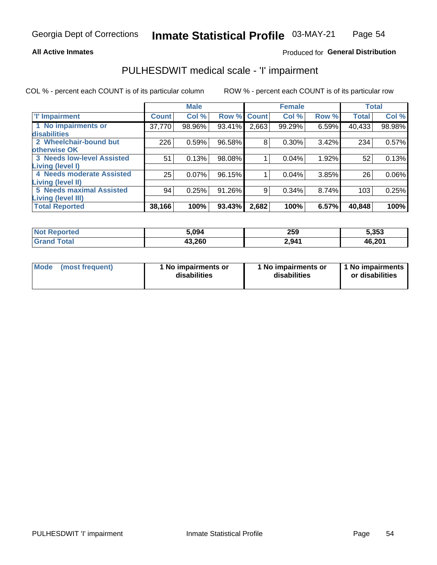## **All Active Inmates**

# Produced for General Distribution

# PULHESDWIT medical scale - 'I' impairment

COL % - percent each COUNT is of its particular column

|                                                              |              | <b>Male</b> |        |             | <b>Female</b> |       |              | <b>Total</b> |
|--------------------------------------------------------------|--------------|-------------|--------|-------------|---------------|-------|--------------|--------------|
| <b>T' Impairment</b>                                         | <b>Count</b> | Col %       |        | Row % Count | Col %         | Row % | <b>Total</b> | Col %        |
| 1 No impairments or<br><b>disabilities</b>                   | 37,770       | 98.96%      | 93.41% | 2,663       | 99.29%        | 6.59% | 40,433       | 98.98%       |
| 2 Wheelchair-bound but<br>otherwise OK                       | 226          | 0.59%       | 96.58% | 8           | 0.30%         | 3.42% | 234          | 0.57%        |
| <b>3 Needs low-level Assisted</b><br>Living (level I)        | 51           | 0.13%       | 98.08% |             | 0.04%         | 1.92% | 52           | 0.13%        |
| 4 Needs moderate Assisted<br><b>Living (level II)</b>        | 25           | 0.07%       | 96.15% |             | 0.04%         | 3.85% | 26           | $0.06\%$     |
| <b>5 Needs maximal Assisted</b><br><b>Living (level III)</b> | 94           | 0.25%       | 91.26% | 9           | 0.34%         | 8.74% | 103          | 0.25%        |
| <b>Total Reported</b>                                        | 38,166       | 100%        | 93.43% | 2,682       | 100%          | 6.57% | 40,848       | 100%         |

| <b>Not</b><br>Reported | 5,094  | 259   | 5,353  |
|------------------------|--------|-------|--------|
| Total                  | 43,260 | 2,941 | 46,201 |

| Mode | (most frequent) | 1 No impairments or<br>disabilities | 1 No impairments or<br>disabilities | 1 No impairments<br>or disabilities |
|------|-----------------|-------------------------------------|-------------------------------------|-------------------------------------|
|------|-----------------|-------------------------------------|-------------------------------------|-------------------------------------|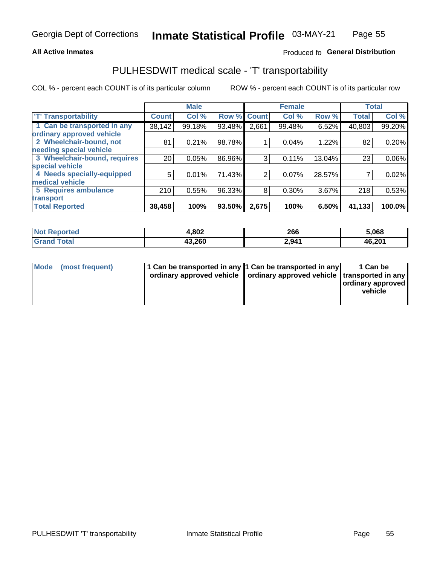## **All Active Inmates**

# Produced fo General Distribution

# PULHESDWIT medical scale - 'T' transportability

COL % - percent each COUNT is of its particular column

|                              |                 | <b>Male</b> |        |                | <b>Female</b> |        |              | <b>Total</b> |
|------------------------------|-----------------|-------------|--------|----------------|---------------|--------|--------------|--------------|
| <b>T' Transportability</b>   | <b>Count</b>    | Col %       | Row %  | <b>Count</b>   | Col %         | Row %  | <b>Total</b> | Col %        |
| 1 Can be transported in any  | 38,142          | 99.18%      | 93.48% | 2,661          | 99.48%        | 6.52%  | 40,803       | 99.20%       |
| ordinary approved vehicle    |                 |             |        |                |               |        |              |              |
| 2 Wheelchair-bound, not      | 81              | 0.21%       | 98.78% |                | 0.04%         | 1.22%  | 82           | 0.20%        |
| needing special vehicle      |                 |             |        |                |               |        |              |              |
| 3 Wheelchair-bound, requires | 20 <sub>1</sub> | 0.05%       | 86.96% | 3              | 0.11%         | 13.04% | 23           | 0.06%        |
| special vehicle              |                 |             |        |                |               |        |              |              |
| 4 Needs specially-equipped   | 5               | 0.01%       | 71.43% | $\overline{2}$ | 0.07%         | 28.57% |              | 0.02%        |
| medical vehicle              |                 |             |        |                |               |        |              |              |
| <b>5 Requires ambulance</b>  | 210             | 0.55%       | 96.33% | 8              | 0.30%         | 3.67%  | 218          | 0.53%        |
| transport                    |                 |             |        |                |               |        |              |              |
| <b>Total Reported</b>        | 38,458          | 100%        | 93.50% | 2,675          | 100%          | 6.50%  | 41,133       | 100.0%       |

| <b>Not</b><br><b>Reported</b> | 1,802  | 266   | 5,068  |
|-------------------------------|--------|-------|--------|
| <b>otal</b>                   | 43,260 | 2,941 | 46,201 |

|  | Mode (most frequent) | 1 Can be transported in any 1 Can be transported in any<br>ordinary approved vehicle   ordinary approved vehicle   transported in any |  | 1 Can be<br>  ordinary approved  <br>vehicle |
|--|----------------------|---------------------------------------------------------------------------------------------------------------------------------------|--|----------------------------------------------|
|--|----------------------|---------------------------------------------------------------------------------------------------------------------------------------|--|----------------------------------------------|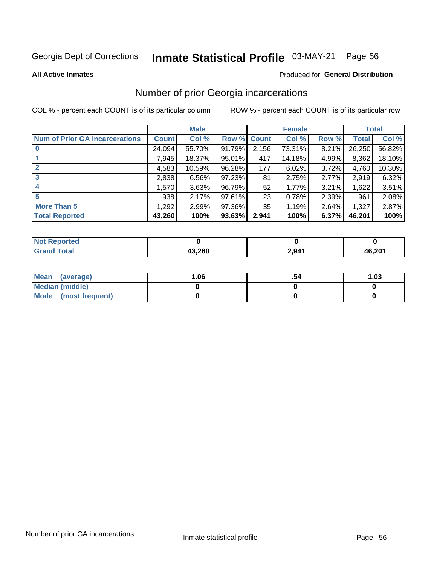#### Inmate Statistical Profile 03-MAY-21 Page 56

**All Active Inmates** 

## **Produced for General Distribution**

# Number of prior Georgia incarcerations

COL % - percent each COUNT is of its particular column

|                                       |              | <b>Male</b> |                    |       | <b>Female</b> |       |        | <b>Total</b> |
|---------------------------------------|--------------|-------------|--------------------|-------|---------------|-------|--------|--------------|
| <b>Num of Prior GA Incarcerations</b> | <b>Count</b> | Col %       | <b>Row % Count</b> |       | Col %         | Row % | Total  | Col %        |
| $\bf{0}$                              | 24,094       | 55.70%      | 91.79%             | 2,156 | 73.31%        | 8.21% | 26,250 | 56.82%       |
|                                       | 7,945        | 18.37%      | 95.01%             | 417   | 14.18%        | 4.99% | 8,362  | 18.10%       |
| $\mathbf{2}$                          | 4,583        | 10.59%      | 96.28%             | 177   | 6.02%         | 3.72% | 4,760  | 10.30%       |
| 3                                     | 2,838        | 6.56%       | 97.23%             | 81    | 2.75%         | 2.77% | 2,919  | 6.32%        |
| 4                                     | 1,570        | 3.63%       | 96.79%             | 52    | 1.77%         | 3.21% | 1,622  | 3.51%        |
| 5                                     | 938          | 2.17%       | 97.61%             | 23    | 0.78%         | 2.39% | 961    | 2.08%        |
| <b>More Than 5</b>                    | 1,292        | 2.99%       | 97.36%             | 35    | 1.19%         | 2.64% | 1,327  | 2.87%        |
| <b>Total Reported</b>                 | 43,260       | 100%        | 93.63%             | 2,941 | 100%          | 6.37% | 46,201 | 100%         |

| orted<br>NO1      |        |       |        |
|-------------------|--------|-------|--------|
| <b>otal</b><br>Gr | 13.260 | 2,941 | 46.201 |

| Mean (average)         | 06.، | 1.03 |
|------------------------|------|------|
| <b>Median (middle)</b> |      |      |
| Mode (most frequent)   |      |      |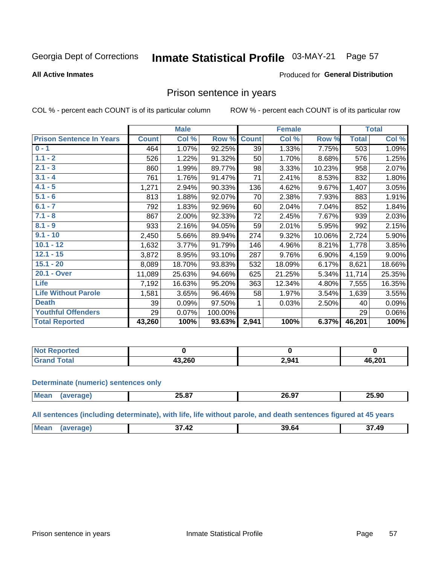#### Inmate Statistical Profile 03-MAY-21 Page 57

### **All Active Inmates**

### Produced for General Distribution

# Prison sentence in years

COL % - percent each COUNT is of its particular column

ROW % - percent each COUNT is of its particular row

|                                 |              | <b>Male</b> |         |              | <b>Female</b> |        | <b>Total</b> |        |
|---------------------------------|--------------|-------------|---------|--------------|---------------|--------|--------------|--------|
| <b>Prison Sentence In Years</b> | <b>Count</b> | Col %       | Row %   | <b>Count</b> | Col %         | Row %  | <b>Total</b> | Col %  |
| $0 - 1$                         | 464          | 1.07%       | 92.25%  | 39           | 1.33%         | 7.75%  | 503          | 1.09%  |
| $1.1 - 2$                       | 526          | 1.22%       | 91.32%  | 50           | 1.70%         | 8.68%  | 576          | 1.25%  |
| $2.1 - 3$                       | 860          | 1.99%       | 89.77%  | 98           | 3.33%         | 10.23% | 958          | 2.07%  |
| $3.1 - 4$                       | 761          | 1.76%       | 91.47%  | 71           | 2.41%         | 8.53%  | 832          | 1.80%  |
| $4.1 - 5$                       | 1,271        | 2.94%       | 90.33%  | 136          | 4.62%         | 9.67%  | 1,407        | 3.05%  |
| $5.1 - 6$                       | 813          | 1.88%       | 92.07%  | 70           | 2.38%         | 7.93%  | 883          | 1.91%  |
| $6.1 - 7$                       | 792          | 1.83%       | 92.96%  | 60           | 2.04%         | 7.04%  | 852          | 1.84%  |
| $7.1 - 8$                       | 867          | 2.00%       | 92.33%  | 72           | 2.45%         | 7.67%  | 939          | 2.03%  |
| $8.1 - 9$                       | 933          | 2.16%       | 94.05%  | 59           | 2.01%         | 5.95%  | 992          | 2.15%  |
| $9.1 - 10$                      | 2,450        | 5.66%       | 89.94%  | 274          | 9.32%         | 10.06% | 2,724        | 5.90%  |
| $10.1 - 12$                     | 1,632        | 3.77%       | 91.79%  | 146          | 4.96%         | 8.21%  | 1,778        | 3.85%  |
| $12.1 - 15$                     | 3,872        | 8.95%       | 93.10%  | 287          | 9.76%         | 6.90%  | 4,159        | 9.00%  |
| $15.1 - 20$                     | 8,089        | 18.70%      | 93.83%  | 532          | 18.09%        | 6.17%  | 8,621        | 18.66% |
| 20.1 - Over                     | 11,089       | 25.63%      | 94.66%  | 625          | 21.25%        | 5.34%  | 11,714       | 25.35% |
| Life                            | 7,192        | 16.63%      | 95.20%  | 363          | 12.34%        | 4.80%  | 7,555        | 16.35% |
| <b>Life Without Parole</b>      | 1,581        | 3.65%       | 96.46%  | 58           | 1.97%         | 3.54%  | 1,639        | 3.55%  |
| <b>Death</b>                    | 39           | 0.09%       | 97.50%  |              | 0.03%         | 2.50%  | 40           | 0.09%  |
| <b>Youthful Offenders</b>       | 29           | 0.07%       | 100.00% |              |               |        | 29           | 0.06%  |
| <b>Total Reported</b>           | 43,260       | 100%        | 93.63%  | 2,941        | 100%          | 6.37%  | 46,201       | 100%   |

| <b>Not Reported</b>     |        |       |        |
|-------------------------|--------|-------|--------|
| $\sim$<br>$CT^{\prime}$ | 13.260 | 2,941 | 46,201 |

#### **Determinate (numeric) sentences only**

| <b>Mean</b> | $\sim$ $\sim$ $\sim$<br>25.67 | 20.97 | 25.90 |
|-------------|-------------------------------|-------|-------|
|             |                               |       |       |

All sentences (including determinate), with life, life without parole, and death sentences figured at 45 years

| <b>Mean</b> | $\overline{ }$<br>$\sim$<br>Д.<br>- 74 | 39 64 | 37.49 |
|-------------|----------------------------------------|-------|-------|
|             |                                        |       |       |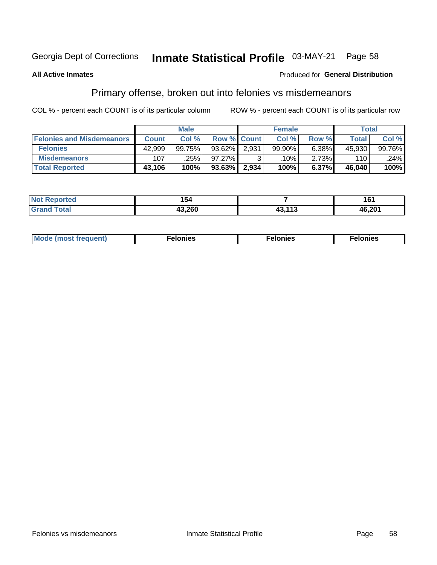#### Inmate Statistical Profile 03-MAY-21 Page 58

## **All Active Inmates**

## Produced for General Distribution

# Primary offense, broken out into felonies vs misdemeanors

COL % - percent each COUNT is of its particular column

|                                  | <b>Male</b>  |        |           |                    | <b>Female</b> | Total |              |        |
|----------------------------------|--------------|--------|-----------|--------------------|---------------|-------|--------------|--------|
| <b>Felonies and Misdemeanors</b> | <b>Count</b> | Col%   |           | <b>Row % Count</b> | Col%          | Row % | <b>Total</b> | Col %  |
| <b>Felonies</b>                  | 42,999       | 99.75% | $93.62\%$ | 2,931              | 99.90%        | 6.38% | 45.930       | 99.76% |
| <b>Misdemeanors</b>              | 107          | .25%   | 97.27%    |                    | .10% '        | 2.73% | 110          | .24%   |
| <b>Total Reported</b>            | 43,106       | 100%   | 93.63%    | 2,934              | 100%          | 6.37% | 46.040       | 100%   |

| Not             | $\cdot$ $\cdot$ |     | ، م،   |
|-----------------|-----------------|-----|--------|
| <b>Reported</b> | 154             |     | וטו    |
| 'Grand<br>Гоtal | חאר כו          | 442 | 46,201 |

| Mo | ____ | 11 C.S<br>. | onies<br>. |
|----|------|-------------|------------|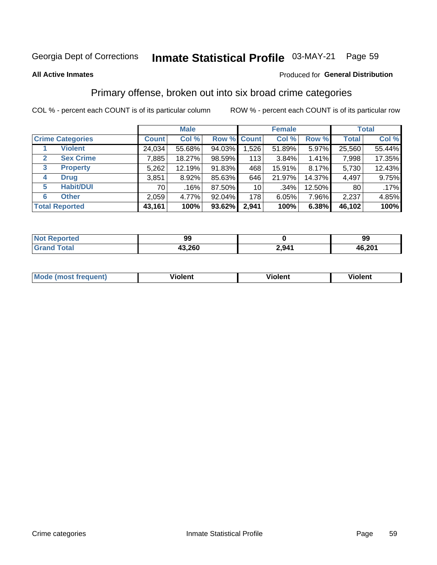#### Inmate Statistical Profile 03-MAY-21 Page 59

### **All Active Inmates**

## Produced for General Distribution

# Primary offense, broken out into six broad crime categories

COL % - percent each COUNT is of its particular column

|              |                         |              | <b>Male</b> |        |                 | <b>Female</b> |        |                 | <b>Total</b> |
|--------------|-------------------------|--------------|-------------|--------|-----------------|---------------|--------|-----------------|--------------|
|              | <b>Crime Categories</b> | <b>Count</b> | Col %       |        | Row % Count     | Col %         | Row %  | <b>Total</b>    | Col %        |
|              | <b>Violent</b>          | 24,034       | 55.68%      | 94.03% | 1,526           | 51.89%        | 5.97%  | 25,560          | 55.44%       |
| $\mathbf{2}$ | <b>Sex Crime</b>        | 7,885        | 18.27%      | 98.59% | 113             | 3.84%         | 1.41%  | 7,998           | 17.35%       |
| $\mathbf{3}$ | <b>Property</b>         | 5,262        | 12.19%      | 91.83% | 468             | 15.91%        | 8.17%  | 5,730           | 12.43%       |
| 4            | <b>Drug</b>             | 3,851        | 8.92%       | 85.63% | 646             | 21.97%        | 14.37% | 4,497           | 9.75%        |
| 5            | <b>Habit/DUI</b>        | 70           | .16%        | 87.50% | 10 <sup>1</sup> | $.34\%$       | 12.50% | 80 <sub>1</sub> | .17%         |
| 6            | <b>Other</b>            | 2,059        | 4.77%       | 92.04% | 178             | 6.05%         | 7.96%  | 2,237           | 4.85%        |
|              | <b>Total Reported</b>   | 43,161       | 100%        | 93.62% | 2,941           | 100%          | 6.38%  | 46,102          | 100%         |

| prtea<br>NO          | ۵a<br>J.             |                | 99     |
|----------------------|----------------------|----------------|--------|
| $T_{\Delta}$ fol $-$ | nen,<br>49<br>1J.ZOU | ን ዓ41<br>L.VTI | 46,201 |

| M | - --<br>1010111 | .<br><b>VIOIGIIL</b> | 1.91311 |
|---|-----------------|----------------------|---------|
|   |                 |                      |         |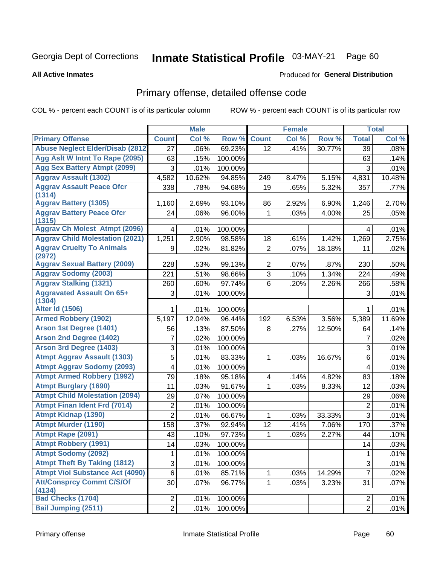# Inmate Statistical Profile 03-MAY-21 Page 60

### **All Active Inmates**

# **Produced for General Distribution**

# Primary offense, detailed offense code

COL % - percent each COUNT is of its particular column

|                                            |                         | <b>Male</b> |         |                | <b>Female</b> |        |                           | <b>Total</b> |
|--------------------------------------------|-------------------------|-------------|---------|----------------|---------------|--------|---------------------------|--------------|
| <b>Primary Offense</b>                     | <b>Count</b>            | Col %       | Row %   | <b>Count</b>   | Col %         | Row %  | <b>Total</b>              | Col %        |
| <b>Abuse Neglect Elder/Disab (2812)</b>    | 27                      | .06%        | 69.23%  | 12             | .41%          | 30.77% | 39                        | .08%         |
| Agg Aslt W Intnt To Rape (2095)            | 63                      | .15%        | 100.00% |                |               |        | 63                        | .14%         |
| <b>Agg Sex Battery Atmpt (2099)</b>        | 3                       | .01%        | 100.00% |                |               |        | 3                         | .01%         |
| <b>Aggrav Assault (1302)</b>               | 4,582                   | 10.62%      | 94.85%  | 249            | 8.47%         | 5.15%  | 4,831                     | 10.48%       |
| <b>Aggrav Assault Peace Ofcr</b><br>(1314) | 338                     | .78%        | 94.68%  | 19             | .65%          | 5.32%  | 357                       | .77%         |
| <b>Aggrav Battery (1305)</b>               | 1,160                   | 2.69%       | 93.10%  | 86             | 2.92%         | 6.90%  | 1,246                     | 2.70%        |
| <b>Aggrav Battery Peace Ofcr</b><br>(1315) | 24                      | .06%        | 96.00%  | 1              | .03%          | 4.00%  | 25                        | .05%         |
| <b>Aggrav Ch Molest Atmpt (2096)</b>       | 4                       | .01%        | 100.00% |                |               |        | 4                         | .01%         |
| <b>Aggrav Child Molestation (2021)</b>     | 1,251                   | 2.90%       | 98.58%  | 18             | .61%          | 1.42%  | 1,269                     | 2.75%        |
| <b>Aggrav Cruelty To Animals</b><br>(2972) | 9                       | .02%        | 81.82%  | $\overline{2}$ | .07%          | 18.18% | 11                        | .02%         |
| <b>Aggrav Sexual Battery (2009)</b>        | 228                     | .53%        | 99.13%  | $\overline{2}$ | .07%          | .87%   | 230                       | .50%         |
| <b>Aggrav Sodomy (2003)</b>                | 221                     | .51%        | 98.66%  | $\overline{3}$ | .10%          | 1.34%  | 224                       | .49%         |
| <b>Aggrav Stalking (1321)</b>              | 260                     | .60%        | 97.74%  | 6              | .20%          | 2.26%  | 266                       | .58%         |
| <b>Aggravated Assault On 65+</b><br>(1304) | 3                       | .01%        | 100.00% |                |               |        | 3                         | .01%         |
| <b>Alter Id (1506)</b>                     |                         | .01%        | 100.00% |                |               |        | 1                         | .01%         |
| <b>Armed Robbery (1902)</b>                | 5,197                   | 12.04%      | 96.44%  | 192            | 6.53%         | 3.56%  | 5,389                     | 11.69%       |
| Arson 1st Degree (1401)                    | 56                      | .13%        | 87.50%  | 8              | .27%          | 12.50% | 64                        | .14%         |
| <b>Arson 2nd Degree (1402)</b>             | 7                       | .02%        | 100.00% |                |               |        | 7                         | .02%         |
| <b>Arson 3rd Degree (1403)</b>             | 3                       | .01%        | 100.00% |                |               |        | $\mathsf 3$               | .01%         |
| <b>Atmpt Aggrav Assault (1303)</b>         | 5                       | .01%        | 83.33%  | 1              | .03%          | 16.67% | 6                         | .01%         |
| <b>Atmpt Aggrav Sodomy (2093)</b>          | $\overline{\mathbf{4}}$ | .01%        | 100.00% |                |               |        | $\overline{4}$            | .01%         |
| <b>Atmpt Armed Robbery (1992)</b>          | 79                      | .18%        | 95.18%  | 4              | .14%          | 4.82%  | 83                        | .18%         |
| <b>Atmpt Burglary (1690)</b>               | 11                      | .03%        | 91.67%  | 1              | .03%          | 8.33%  | 12                        | .03%         |
| <b>Atmpt Child Molestation (2094)</b>      | 29                      | .07%        | 100.00% |                |               |        | 29                        | .06%         |
| <b>Atmpt Finan Ident Frd (7014)</b>        | $\overline{c}$          | .01%        | 100.00% |                |               |        | $\overline{2}$            | .01%         |
| <b>Atmpt Kidnap (1390)</b>                 | $\overline{2}$          | .01%        | 66.67%  | 1              | .03%          | 33.33% | 3                         | .01%         |
| <b>Atmpt Murder (1190)</b>                 | 158                     | .37%        | 92.94%  | 12             | .41%          | 7.06%  | 170                       | .37%         |
| Atmpt Rape (2091)                          | 43                      | .10%        | 97.73%  | 1              | .03%          | 2.27%  | 44                        | .10%         |
| <b>Atmpt Robbery (1991)</b>                | 14                      | .03%        | 100.00% |                |               |        | 14                        | .03%         |
| <b>Atmpt Sodomy (2092)</b>                 | 1                       | .01%        | 100.00% |                |               |        | 1                         | .01%         |
| <b>Atmpt Theft By Taking (1812)</b>        | 3                       | .01%        | 100.00% |                |               |        | $\ensuremath{\mathsf{3}}$ | .01%         |
| <b>Atmpt Viol Substance Act (4090)</b>     | $\,6$                   | .01%        | 85.71%  | 1              | .03%          | 14.29% | $\overline{7}$            | .02%         |
| <b>Att/Consprcy Commt C/S/Of</b>           | 30                      | .07%        | 96.77%  | 1              | .03%          | 3.23%  | 31                        | .07%         |
| (4134)                                     |                         |             |         |                |               |        |                           |              |
| <b>Bad Checks (1704)</b>                   | $\overline{2}$          | .01%        | 100.00% |                |               |        | 2                         | .01%         |
| <b>Bail Jumping (2511)</b>                 | $\overline{2}$          | .01%        | 100.00% |                |               |        | $\overline{2}$            | .01%         |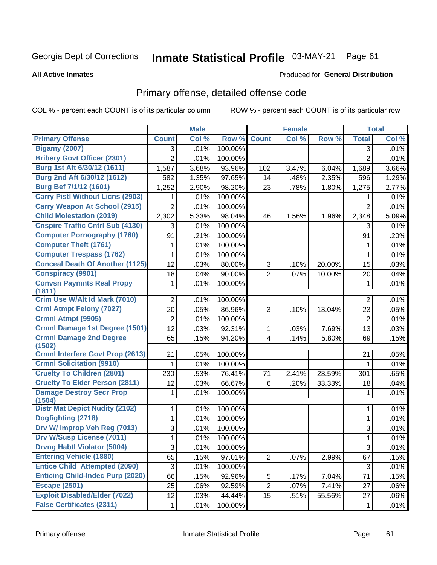# Inmate Statistical Profile 03-MAY-21 Page 61

Produced for General Distribution

#### **All Active Inmates**

# Primary offense, detailed offense code

COL % - percent each COUNT is of its particular column

|                                           |                | <b>Male</b> |         |                         | <b>Female</b> |        |                | <b>Total</b> |
|-------------------------------------------|----------------|-------------|---------|-------------------------|---------------|--------|----------------|--------------|
| <b>Primary Offense</b>                    | <b>Count</b>   | Col %       | Row %   | <b>Count</b>            | Col %         | Row %  | <b>Total</b>   | Col %        |
| <b>Bigamy (2007)</b>                      | 3              | .01%        | 100.00% |                         |               |        | 3              | .01%         |
| <b>Bribery Govt Officer (2301)</b>        | $\overline{2}$ | .01%        | 100.00% |                         |               |        | $\overline{2}$ | .01%         |
| Burg 1st Aft 6/30/12 (1611)               | 1,587          | 3.68%       | 93.96%  | 102                     | 3.47%         | 6.04%  | 1,689          | 3.66%        |
| Burg 2nd Aft 6/30/12 (1612)               | 582            | 1.35%       | 97.65%  | 14                      | .48%          | 2.35%  | 596            | 1.29%        |
| <b>Burg Bef 7/1/12 (1601)</b>             | 1,252          | 2.90%       | 98.20%  | 23                      | .78%          | 1.80%  | 1,275          | 2.77%        |
| <b>Carry Pistl Without Licns (2903)</b>   | 1              | .01%        | 100.00% |                         |               |        | 1              | .01%         |
| <b>Carry Weapon At School (2915)</b>      | $\overline{2}$ | .01%        | 100.00% |                         |               |        | $\overline{2}$ | .01%         |
| <b>Child Molestation (2019)</b>           | 2,302          | 5.33%       | 98.04%  | 46                      | 1.56%         | 1.96%  | 2,348          | 5.09%        |
| <b>Cnspire Traffic Cntrl Sub (4130)</b>   | 3              | .01%        | 100.00% |                         |               |        | 3              | .01%         |
| <b>Computer Pornography (1760)</b>        | 91             | .21%        | 100.00% |                         |               |        | 91             | .20%         |
| <b>Computer Theft (1761)</b>              | 1              | .01%        | 100.00% |                         |               |        | 1              | .01%         |
| <b>Computer Trespass (1762)</b>           | 1              | .01%        | 100.00% |                         |               |        | 1              | .01%         |
| <b>Conceal Death Of Another (1125)</b>    | 12             | .03%        | 80.00%  | 3                       | .10%          | 20.00% | 15             | .03%         |
| <b>Conspiracy (9901)</b>                  | 18             | .04%        | 90.00%  | $\overline{2}$          | .07%          | 10.00% | 20             | .04%         |
| <b>Convsn Paymnts Real Propy</b>          | 1              | .01%        | 100.00% |                         |               |        | 1              | .01%         |
| (1811)<br>Crim Use W/Alt Id Mark (7010)   |                |             |         |                         |               |        |                |              |
|                                           | $\overline{2}$ | .01%        | 100.00% |                         |               |        | $\overline{2}$ | .01%         |
| <b>Crml Atmpt Felony (7027)</b>           | 20             | .05%        | 86.96%  | 3                       | .10%          | 13.04% | 23             | .05%         |
| Crmnl Atmpt (9905)                        | $\overline{2}$ | .01%        | 100.00% |                         |               |        | $\overline{2}$ | .01%         |
| Crmnl Damage 1st Degree (1501)            | 12             | .03%        | 92.31%  | $\mathbf{1}$            | .03%          | 7.69%  | 13             | .03%         |
| <b>Crmnl Damage 2nd Degree</b><br>(1502)  | 65             | .15%        | 94.20%  | $\overline{\mathbf{4}}$ | .14%          | 5.80%  | 69             | .15%         |
| <b>Crmnl Interfere Govt Prop (2613)</b>   | 21             | .05%        | 100.00% |                         |               |        | 21             | .05%         |
| <b>Crmnl Solicitation (9910)</b>          | 1              | .01%        | 100.00% |                         |               |        | 1              | .01%         |
| <b>Cruelty To Children (2801)</b>         | 230            | .53%        | 76.41%  | 71                      | 2.41%         | 23.59% | 301            | .65%         |
| <b>Cruelty To Elder Person (2811)</b>     | 12             | .03%        | 66.67%  | 6                       | .20%          | 33.33% | 18             | .04%         |
| <b>Damage Destroy Secr Prop</b><br>(1504) | 1              | .01%        | 100.00% |                         |               |        | 1              | .01%         |
| <b>Distr Mat Depict Nudity (2102)</b>     | 1              | .01%        | 100.00% |                         |               |        | 1              | .01%         |
| Dogfighting (2718)                        | 1              | .01%        | 100.00% |                         |               |        | $\mathbf{1}$   | .01%         |
| Drv W/ Improp Veh Reg (7013)              | 3              | .01%        | 100.00% |                         |               |        | 3              | .01%         |
| <b>Drv W/Susp License (7011)</b>          | 1              | .01%        | 100.00% |                         |               |        | 1              | .01%         |
| <b>Drvng Habtl Violator (5004)</b>        | 3              | .01%        | 100.00% |                         |               |        | 3              | .01%         |
| <b>Entering Vehicle (1880)</b>            | 65             | .15%        | 97.01%  | $\overline{2}$          | .07%          | 2.99%  | 67             | .15%         |
| <b>Entice Child Attempted (2090)</b>      | 3              | .01%        | 100.00% |                         |               |        | 3              | .01%         |
| <b>Enticing Child-Indec Purp (2020)</b>   | 66             | .15%        | 92.96%  | 5                       | .17%          | 7.04%  | 71             | .15%         |
| <b>Escape (2501)</b>                      | 25             | .06%        | 92.59%  | $\overline{2}$          | .07%          | 7.41%  | 27             | .06%         |
| <b>Exploit Disabled/Elder (7022)</b>      | 12             | .03%        | 44.44%  | 15                      | .51%          | 55.56% | 27             | .06%         |
| <b>False Certificates (2311)</b>          | $\mathbf 1$    | .01%        | 100.00% |                         |               |        | 1              | .01%         |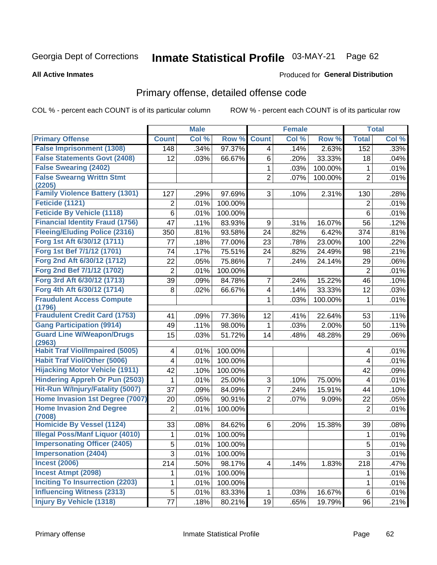#### Inmate Statistical Profile 03-MAY-21 Page 62

#### **All Active Inmates**

### Produced for General Distribution

# Primary offense, detailed offense code

COL % - percent each COUNT is of its particular column

|                                            |                | <b>Male</b> |                  |                         | <b>Female</b> |         |                | <b>Total</b> |
|--------------------------------------------|----------------|-------------|------------------|-------------------------|---------------|---------|----------------|--------------|
| <b>Primary Offense</b>                     | <b>Count</b>   | Col %       | Row <sup>%</sup> | <b>Count</b>            | Col %         | Row %   | <b>Total</b>   | Col %        |
| <b>False Imprisonment (1308)</b>           | 148            | .34%        | 97.37%           | $\overline{4}$          | .14%          | 2.63%   | 152            | .33%         |
| <b>False Statements Govt (2408)</b>        | 12             | .03%        | 66.67%           | 6                       | .20%          | 33.33%  | 18             | .04%         |
| <b>False Swearing (2402)</b>               |                |             |                  | 1                       | .03%          | 100.00% | 1              | .01%         |
| <b>False Swearng Writtn Stmt</b>           |                |             |                  | $\overline{2}$          | .07%          | 100.00% | $\overline{2}$ | .01%         |
| (2205)                                     |                |             |                  |                         |               |         |                |              |
| <b>Family Violence Battery (1301)</b>      | 127            | .29%        | 97.69%           | 3                       | .10%          | 2.31%   | 130            | .28%         |
| Feticide (1121)                            | $\overline{2}$ | .01%        | 100.00%          |                         |               |         | $\overline{2}$ | .01%         |
| <b>Feticide By Vehicle (1118)</b>          | 6              | .01%        | 100.00%          |                         |               |         | 6              | .01%         |
| <b>Financial Identity Fraud (1756)</b>     | 47             | .11%        | 83.93%           | 9                       | .31%          | 16.07%  | 56             | .12%         |
| <b>Fleeing/Eluding Police (2316)</b>       | 350            | .81%        | 93.58%           | 24                      | .82%          | 6.42%   | 374            | .81%         |
| Forg 1st Aft 6/30/12 (1711)                | 77             | .18%        | 77.00%           | 23                      | .78%          | 23.00%  | 100            | .22%         |
| Forg 1st Bef 7/1/12 (1701)                 | 74             | .17%        | 75.51%           | 24                      | .82%          | 24.49%  | 98             | .21%         |
| Forg 2nd Aft 6/30/12 (1712)                | 22             | .05%        | 75.86%           | 7                       | .24%          | 24.14%  | 29             | .06%         |
| Forg 2nd Bef 7/1/12 (1702)                 | 2              | .01%        | 100.00%          |                         |               |         | $\overline{2}$ | .01%         |
| Forg 3rd Aft 6/30/12 (1713)                | 39             | .09%        | 84.78%           | 7                       | .24%          | 15.22%  | 46             | .10%         |
| Forg 4th Aft 6/30/12 (1714)                | 8              | .02%        | 66.67%           | $\overline{\mathbf{4}}$ | .14%          | 33.33%  | 12             | .03%         |
| <b>Fraudulent Access Compute</b>           |                |             |                  | 1                       | .03%          | 100.00% | 1              | .01%         |
| (1796)                                     |                |             |                  |                         |               |         |                |              |
| <b>Fraudulent Credit Card (1753)</b>       | 41             | .09%        | 77.36%           | 12                      | .41%          | 22.64%  | 53             | .11%         |
| <b>Gang Participation (9914)</b>           | 49             | .11%        | 98.00%           | 1                       | .03%          | 2.00%   | 50             | .11%         |
| <b>Guard Line W/Weapon/Drugs</b><br>(2963) | 15             | .03%        | 51.72%           | 14                      | .48%          | 48.28%  | 29             | .06%         |
| <b>Habit Traf Viol/Impaired (5005)</b>     | 4              | .01%        | 100.00%          |                         |               |         | 4              | .01%         |
| <b>Habit Traf Viol/Other (5006)</b>        | 4              | .01%        | 100.00%          |                         |               |         | $\overline{4}$ | .01%         |
| <b>Hijacking Motor Vehicle (1911)</b>      | 42             | .10%        | 100.00%          |                         |               |         | 42             | .09%         |
| <b>Hindering Appreh Or Pun (2503)</b>      | 1              | .01%        | 25.00%           | 3                       | .10%          | 75.00%  | 4              | .01%         |
| Hit-Run W/Injury/Fatality (5007)           | 37             | .09%        | 84.09%           | 7                       | .24%          | 15.91%  | 44             | .10%         |
| Home Invasion 1st Degree (7007)            | 20             | .05%        | 90.91%           | $\overline{2}$          | .07%          | 9.09%   | 22             | .05%         |
| <b>Home Invasion 2nd Degree</b><br>(7008)  | $\overline{2}$ | .01%        | 100.00%          |                         |               |         | $\overline{2}$ | .01%         |
| Homicide By Vessel (1124)                  | 33             | .08%        | 84.62%           | 6                       | .20%          | 15.38%  | 39             | .08%         |
| <b>Illegal Poss/Manf Liquor (4010)</b>     | 1              | .01%        | 100.00%          |                         |               |         | 1              | .01%         |
| <b>Impersonating Officer (2405)</b>        | $\overline{5}$ | .01%        | 100.00%          |                         |               |         | $\overline{5}$ | .01%         |
| <b>Impersonation (2404)</b>                | 3              | .01%        | 100.00%          |                         |               |         | $\overline{3}$ | .01%         |
| <b>Incest (2006)</b>                       | 214            | .50%        | 98.17%           | 4                       | .14%          | 1.83%   | 218            | .47%         |
| <b>Incest Atmpt (2098)</b>                 | 1              | .01%        | 100.00%          |                         |               |         | 1.             | .01%         |
| <b>Inciting To Insurrection (2203)</b>     | 1              | .01%        | 100.00%          |                         |               |         | 1              | .01%         |
| <b>Influencing Witness (2313)</b>          | 5              | .01%        | 83.33%           | 1                       | .03%          | 16.67%  | 6              | .01%         |
| <b>Injury By Vehicle (1318)</b>            | 77             | .18%        | 80.21%           | 19                      | .65%          | 19.79%  | 96             | .21%         |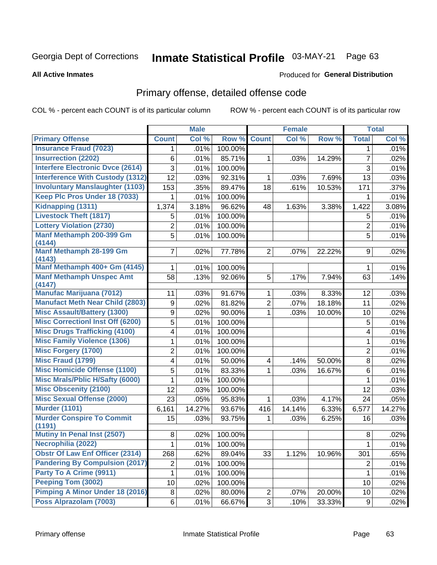# Inmate Statistical Profile 03-MAY-21 Page 63

### **All Active Inmates**

# **Produced for General Distribution**

# Primary offense, detailed offense code

COL % - percent each COUNT is of its particular column

|                                              |                | <b>Male</b> |         |                     | <b>Female</b> |        |                | <b>Total</b> |
|----------------------------------------------|----------------|-------------|---------|---------------------|---------------|--------|----------------|--------------|
| <b>Primary Offense</b>                       | <b>Count</b>   | Col %       | Row %   | <b>Count</b>        | Col %         | Row %  | <b>Total</b>   | Col %        |
| <b>Insurance Fraud (7023)</b>                | 1              | .01%        | 100.00% |                     |               |        | 1              | .01%         |
| <b>Insurrection (2202)</b>                   | 6              | .01%        | 85.71%  | 1                   | .03%          | 14.29% | $\overline{7}$ | .02%         |
| <b>Interfere Electronic Dvce (2614)</b>      | 3              | .01%        | 100.00% |                     |               |        | 3              | .01%         |
| <b>Interference With Custody (1312)</b>      | 12             | .03%        | 92.31%  | 1                   | .03%          | 7.69%  | 13             | .03%         |
| <b>Involuntary Manslaughter (1103)</b>       | 153            | .35%        | 89.47%  | 18                  | .61%          | 10.53% | 171            | .37%         |
| Keep Plc Pros Under 18 (7033)                | 1              | .01%        | 100.00% |                     |               |        | 1              | .01%         |
| Kidnapping (1311)                            | 1,374          | 3.18%       | 96.62%  | 48                  | 1.63%         | 3.38%  | 1,422          | 3.08%        |
| <b>Livestock Theft (1817)</b>                | 5              | .01%        | 100.00% |                     |               |        | 5              | .01%         |
| <b>Lottery Violation (2730)</b>              | $\overline{2}$ | .01%        | 100.00% |                     |               |        | $\overline{2}$ | .01%         |
| Manf Methamph 200-399 Gm                     | 5              | .01%        | 100.00% |                     |               |        | 5              | .01%         |
| (4144)                                       |                |             |         |                     |               |        |                |              |
| <b>Manf Methamph 28-199 Gm</b><br>(4143)     | 7              | .02%        | 77.78%  | $\overline{2}$      | .07%          | 22.22% | 9              | .02%         |
| Manf Methamph 400+ Gm (4145)                 | 1              | .01%        | 100.00% |                     |               |        | 1              | .01%         |
| <b>Manf Methamph Unspec Amt</b>              | 58             | .13%        | 92.06%  | 5                   | .17%          | 7.94%  | 63             | .14%         |
| (4147)                                       |                |             |         |                     |               |        |                |              |
| <b>Manufac Marijuana (7012)</b>              | 11             | .03%        | 91.67%  | 1                   | .03%          | 8.33%  | 12             | .03%         |
| <b>Manufact Meth Near Child (2803)</b>       | 9              | .02%        | 81.82%  | $\overline{2}$      | .07%          | 18.18% | 11             | .02%         |
| <b>Misc Assault/Battery (1300)</b>           | 9              | .02%        | 90.00%  | $\mathbf{1}$        | .03%          | 10.00% | 10             | .02%         |
| <b>Misc Correctionl Inst Off (6200)</b>      | 5              | .01%        | 100.00% |                     |               |        | $\mathbf 5$    | .01%         |
| <b>Misc Drugs Trafficking (4100)</b>         | 4              | .01%        | 100.00% |                     |               |        | 4              | .01%         |
| <b>Misc Family Violence (1306)</b>           | 1              | .01%        | 100.00% |                     |               |        | $\mathbf{1}$   | .01%         |
| <b>Misc Forgery (1700)</b>                   | 2              | .01%        | 100.00% |                     |               |        | $\overline{2}$ | .01%         |
| <b>Misc Fraud (1799)</b>                     | 4              | .01%        | 50.00%  | 4                   | .14%          | 50.00% | 8              | .02%         |
| <b>Misc Homicide Offense (1100)</b>          | 5              | .01%        | 83.33%  | $\mathbf 1$         | .03%          | 16.67% | 6              | .01%         |
| <b>Misc Mrals/Pblic H/Safty (6000)</b>       | 1              | .01%        | 100.00% |                     |               |        | $\mathbf{1}$   | .01%         |
| <b>Misc Obscenity (2100)</b>                 | 12             | .03%        | 100.00% |                     |               |        | 12             | .03%         |
| <b>Misc Sexual Offense (2000)</b>            | 23             | .05%        | 95.83%  | 1                   | .03%          | 4.17%  | 24             | .05%         |
| <b>Murder (1101)</b>                         | 6,161          | 14.27%      | 93.67%  | 416                 | 14.14%        | 6.33%  | 6,577          | 14.27%       |
| <b>Murder Conspire To Commit</b>             | 15             | .03%        | 93.75%  | 1                   | .03%          | 6.25%  | 16             | .03%         |
| (1191)<br><b>Mutiny In Penal Inst (2507)</b> |                |             |         |                     |               |        |                |              |
|                                              | 8              | .02%        | 100.00% |                     |               |        | 8              | .02%         |
| Necrophilia (2022)                           | $\mathbf 1$    | .01%        | 100.00% |                     |               |        | $\overline{1}$ | .01%         |
| <b>Obstr Of Law Enf Officer (2314)</b>       | 268            | .62%        | 89.04%  | 33                  | 1.12%         | 10.96% | 301            | .65%         |
| <b>Pandering By Compulsion (2017)</b>        | 2              | .01%        | 100.00% |                     |               |        | $\overline{c}$ | .01%         |
| Party To A Crime (9911)                      | 1              | .01%        | 100.00% |                     |               |        | $\mathbf{1}$   | .01%         |
| Peeping Tom (3002)                           | 10             | .02%        | 100.00% |                     |               |        | 10             | .02%         |
| Pimping A Minor Under 18 (2016)              | 8              | .02%        | 80.00%  | $\mathbf{2}$        | $.07\%$       | 20.00% | 10             | .02%         |
| Poss Alprazolam (7003)                       | 6              | .01%        | 66.67%  | $\overline{\omega}$ | .10%          | 33.33% | 9              | .02%         |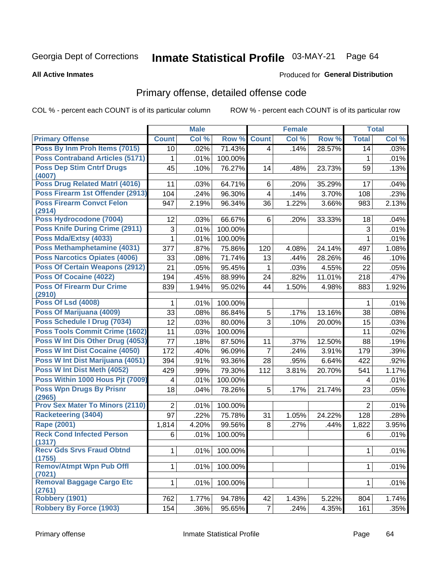# Inmate Statistical Profile 03-MAY-21 Page 64

### **All Active Inmates**

### Produced for General Distribution

# Primary offense, detailed offense code

COL % - percent each COUNT is of its particular column

|                                            |                 | <b>Male</b> |         |                         | <b>Female</b> |        |                | <b>Total</b> |
|--------------------------------------------|-----------------|-------------|---------|-------------------------|---------------|--------|----------------|--------------|
| <b>Primary Offense</b>                     | <b>Count</b>    | Col %       | Row %   | <b>Count</b>            | Col %         | Row %  | <b>Total</b>   | Col %        |
| Poss By Inm Proh Items (7015)              | 10              | .02%        | 71.43%  | $\overline{4}$          | .14%          | 28.57% | 14             | .03%         |
| <b>Poss Contraband Articles (5171)</b>     | 1               | .01%        | 100.00% |                         |               |        | 1              | .01%         |
| <b>Poss Dep Stim Cntrf Drugs</b><br>(4007) | 45              | .10%        | 76.27%  | 14                      | .48%          | 23.73% | 59             | .13%         |
| <b>Poss Drug Related Matri (4016)</b>      | 11              | .03%        | 64.71%  | 6                       | .20%          | 35.29% | 17             | .04%         |
| Poss Firearm 1st Offender (2913)           | 104             | .24%        | 96.30%  | $\overline{\mathbf{4}}$ | .14%          | 3.70%  | 108            | .23%         |
| <b>Poss Firearm Convct Felon</b><br>(2914) | 947             | 2.19%       | 96.34%  | 36                      | 1.22%         | 3.66%  | 983            | 2.13%        |
| Poss Hydrocodone (7004)                    | 12              | .03%        | 66.67%  | 6                       | .20%          | 33.33% | 18             | .04%         |
| <b>Poss Knife During Crime (2911)</b>      | 3               | .01%        | 100.00% |                         |               |        | 3              | .01%         |
| Poss Mda/Extsy (4033)                      | 1               | .01%        | 100.00% |                         |               |        | 1              | .01%         |
| Poss Methamphetamine (4031)                | 377             | .87%        | 75.86%  | 120                     | 4.08%         | 24.14% | 497            | 1.08%        |
| <b>Poss Narcotics Opiates (4006)</b>       | 33              | .08%        | 71.74%  | 13                      | .44%          | 28.26% | 46             | .10%         |
| <b>Poss Of Certain Weapons (2912)</b>      | 21              | .05%        | 95.45%  | 1                       | .03%          | 4.55%  | 22             | .05%         |
| Poss Of Cocaine (4022)                     | 194             | .45%        | 88.99%  | 24                      | .82%          | 11.01% | 218            | .47%         |
| <b>Poss Of Firearm Dur Crime</b>           | 839             | 1.94%       | 95.02%  | 44                      | 1.50%         | 4.98%  | 883            | 1.92%        |
| (2910)                                     |                 |             |         |                         |               |        |                |              |
| <b>Poss Of Lsd (4008)</b>                  | 1               | .01%        | 100.00% |                         |               |        | 1              | .01%         |
| Poss Of Marijuana (4009)                   | 33              | .08%        | 86.84%  | 5                       | .17%          | 13.16% | 38             | .08%         |
| Poss Schedule I Drug (7034)                | 12              | .03%        | 80.00%  | 3                       | .10%          | 20.00% | 15             | .03%         |
| <b>Poss Tools Commit Crime (1602)</b>      | 11              | .03%        | 100.00% |                         |               |        | 11             | .02%         |
| Poss W Int Dis Other Drug (4053)           | 77              | .18%        | 87.50%  | 11                      | .37%          | 12.50% | 88             | .19%         |
| Poss W Int Dist Cocaine (4050)             | 172             | .40%        | 96.09%  | $\overline{7}$          | .24%          | 3.91%  | 179            | .39%         |
| Poss W Int Dist Marijuana (4051)           | 394             | .91%        | 93.36%  | 28                      | .95%          | 6.64%  | 422            | .92%         |
| Poss W Int Dist Meth (4052)                | 429             | .99%        | 79.30%  | 112                     | 3.81%         | 20.70% | 541            | 1.17%        |
| Poss Within 1000 Hous Pjt (7009)           | 4               | .01%        | 100.00% |                         |               |        | 4              | .01%         |
| <b>Poss Wpn Drugs By Prisnr</b><br>(2965)  | 18              | .04%        | 78.26%  | 5                       | .17%          | 21.74% | 23             | .05%         |
| <b>Prov Sex Mater To Minors (2110)</b>     | $\overline{2}$  | .01%        | 100.00% |                         |               |        | $\overline{2}$ | .01%         |
| <b>Racketeering (3404)</b>                 | $\overline{97}$ | .22%        | 75.78%  | 31                      | 1.05%         | 24.22% | 128            | .28%         |
| <b>Rape (2001)</b>                         | 1,814           | 4.20%       | 99.56%  | 8                       | .27%          | .44%   | 1,822          | 3.95%        |
| <b>Reck Cond Infected Person</b><br>(1317) | 6               | .01%        | 100.00% |                         |               |        | 6              | .01%         |
| <b>Recv Gds Srvs Fraud Obtnd</b><br>(1755) | $\mathbf{1}$    | .01%        | 100.00% |                         |               |        | $\mathbf 1$    | .01%         |
| <b>Remov/Atmpt Wpn Pub Offl</b><br>(7021)  | $\mathbf{1}$    | .01%        | 100.00% |                         |               |        | $\mathbf 1$    | .01%         |
| Removal Baggage Cargo Etc<br>(2761)        | $\mathbf{1}$    | .01%        | 100.00% |                         |               |        | $\mathbf 1$    | .01%         |
| <b>Robbery (1901)</b>                      | 762             | 1.77%       | 94.78%  | 42                      | 1.43%         | 5.22%  | 804            | 1.74%        |
| <b>Robbery By Force (1903)</b>             | 154             | .36%        | 95.65%  | $\overline{7}$          | .24%          | 4.35%  | 161            | .35%         |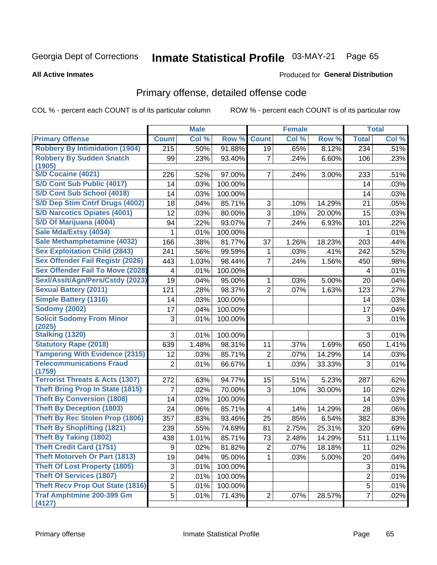# Inmate Statistical Profile 03-MAY-21 Page 65

#### **All Active Inmates**

### Produced for General Distribution

# Primary offense, detailed offense code

COL % - percent each COUNT is of its particular column

|                                            |                  | <b>Male</b> |         |                 | <b>Female</b> |        |                | <b>Total</b> |
|--------------------------------------------|------------------|-------------|---------|-----------------|---------------|--------|----------------|--------------|
| <b>Primary Offense</b>                     | <b>Count</b>     | Col %       | Row %   | <b>Count</b>    | Col %         | Row %  | <b>Total</b>   | Col %        |
| <b>Robbery By Intimidation (1904)</b>      | $\overline{215}$ | .50%        | 91.88%  | $\overline{19}$ | .65%          | 8.12%  | 234            | .51%         |
| <b>Robbery By Sudden Snatch</b><br>(1905)  | 99               | .23%        | 93.40%  | $\overline{7}$  | .24%          | 6.60%  | 106            | .23%         |
| <b>S/D Cocaine (4021)</b>                  | 226              | .52%        | 97.00%  | $\overline{7}$  | .24%          | 3.00%  | 233            | .51%         |
| <b>S/D Cont Sub Public (4017)</b>          | 14               | .03%        | 100.00% |                 |               |        | 14             | .03%         |
| S/D Cont Sub School (4018)                 | 14               | .03%        | 100.00% |                 |               |        | 14             | .03%         |
| S/D Dep Stim Cntrf Drugs (4002)            | 18               | .04%        | 85.71%  | 3               | .10%          | 14.29% | 21             | .05%         |
| <b>S/D Narcotics Opiates (4001)</b>        | 12               | .03%        | 80.00%  | $\overline{3}$  | .10%          | 20.00% | 15             | .03%         |
| S/D Of Marijuana (4004)                    | 94               | .22%        | 93.07%  | $\overline{7}$  | .24%          | 6.93%  | 101            | .22%         |
| Sale Mda/Extsy (4034)                      | 1                | .01%        | 100.00% |                 |               |        | 1              | .01%         |
| Sale Methamphetamine (4032)                | 166              | .38%        | 81.77%  | 37              | 1.26%         | 18.23% | 203            | .44%         |
| <b>Sex Exploitation Child (2843)</b>       | 241              | .56%        | 99.59%  | 1               | .03%          | .41%   | 242            | .52%         |
| <b>Sex Offender Fail Registr (2026)</b>    | 443              | 1.03%       | 98.44%  | $\overline{7}$  | .24%          | 1.56%  | 450            | .98%         |
| <b>Sex Offender Fail To Move (2028)</b>    | 4                | .01%        | 100.00% |                 |               |        | 4              | .01%         |
| Sexl/Asslt/Agn/Pers/Cstdy (2023)           | 19               | .04%        | 95.00%  | 1               | .03%          | 5.00%  | 20             | .04%         |
| <b>Sexual Battery (2011)</b>               | 121              | .28%        | 98.37%  | $\overline{2}$  | .07%          | 1.63%  | 123            | .27%         |
| <b>Simple Battery (1316)</b>               | 14               | .03%        | 100.00% |                 |               |        | 14             | .03%         |
| <b>Sodomy (2002)</b>                       | 17               | .04%        | 100.00% |                 |               |        | 17             | .04%         |
| <b>Solicit Sodomy From Minor</b><br>(2025) | 3                | .01%        | 100.00% |                 |               |        | $\mathfrak{S}$ | .01%         |
| <b>Stalking (1320)</b>                     | 3                | .01%        | 100.00% |                 |               |        | 3              | .01%         |
| <b>Statutory Rape (2018)</b>               | 639              | 1.48%       | 98.31%  | 11              | .37%          | 1.69%  | 650            | 1.41%        |
| <b>Tampering With Evidence (2315)</b>      | 12               | .03%        | 85.71%  | $\overline{2}$  | .07%          | 14.29% | 14             | .03%         |
| <b>Telecommunications Fraud</b><br>(1759)  | $\overline{2}$   | .01%        | 66.67%  | $\mathbf{1}$    | .03%          | 33.33% | 3              | .01%         |
| <b>Terrorist Threats &amp; Acts (1307)</b> | 272              | .63%        | 94.77%  | 15              | .51%          | 5.23%  | 287            | .62%         |
| <b>Theft Bring Prop In State (1815)</b>    | 7                | .02%        | 70.00%  | 3               | .10%          | 30.00% | 10             | .02%         |
| <b>Theft By Conversion (1808)</b>          | 14               | .03%        | 100.00% |                 |               |        | 14             | .03%         |
| <b>Theft By Deception (1803)</b>           | 24               | .06%        | 85.71%  | 4               | .14%          | 14.29% | 28             | .06%         |
| <b>Theft By Rec Stolen Prop (1806)</b>     | 357              | .83%        | 93.46%  | 25              | .85%          | 6.54%  | 382            | .83%         |
| <b>Theft By Shoplifting (1821)</b>         | 239              | .55%        | 74.69%  | 81              | 2.75%         | 25.31% | 320            | .69%         |
| <b>Theft By Taking (1802)</b>              | 438              | 1.01%       | 85.71%  | 73              | 2.48%         | 14.29% | 511            | 1.11%        |
| <b>Theft Credit Card (1751)</b>            | 9                | .02%        | 81.82%  | $\mathbf{2}$    | .07%          | 18.18% | 11             | .02%         |
| <b>Theft Motorveh Or Part (1813)</b>       | 19               | .04%        | 95.00%  | $\mathbf 1$     | .03%          | 5.00%  | 20             | .04%         |
| <b>Theft Of Lost Property (1805)</b>       | 3                | .01%        | 100.00% |                 |               |        | $\sqrt{3}$     | .01%         |
| <b>Theft Of Services (1807)</b>            | $\overline{2}$   | .01%        | 100.00% |                 |               |        | $\overline{2}$ | .01%         |
| <b>Theft Recv Prop Out State (1816)</b>    | $\overline{5}$   | .01%        | 100.00% |                 |               |        | 5              | .01%         |
| <b>Traf Amphtmine 200-399 Gm</b><br>(4127) | 5                | .01%        | 71.43%  | $\overline{2}$  | .07%          | 28.57% | $\overline{7}$ | .02%         |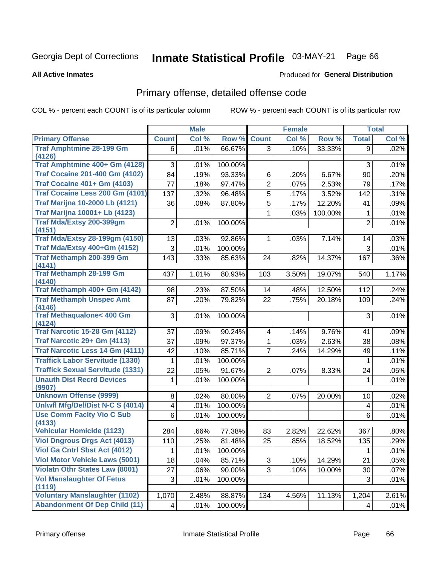# Inmate Statistical Profile 03-MAY-21 Page 66

### **All Active Inmates**

# **Produced for General Distribution**

# Primary offense, detailed offense code

COL % - percent each COUNT is of its particular column

|                                                |              | <b>Male</b> |         |                         | <b>Female</b> |         |                         | <b>Total</b> |
|------------------------------------------------|--------------|-------------|---------|-------------------------|---------------|---------|-------------------------|--------------|
| <b>Primary Offense</b>                         | <b>Count</b> | Col %       | Row %   | <b>Count</b>            | Col %         | Row %   | <b>Total</b>            | Col %        |
| <b>Traf Amphtmine 28-199 Gm</b>                | 6            | .01%        | 66.67%  | 3 <sup>1</sup>          | .10%          | 33.33%  | 9                       | .02%         |
| (4126)                                         |              |             |         |                         |               |         |                         |              |
| Traf Amphtmine 400+ Gm (4128)                  | 3            | .01%        | 100.00% |                         |               |         | 3                       | .01%         |
| <b>Traf Cocaine 201-400 Gm (4102)</b>          | 84           | .19%        | 93.33%  | 6                       | .20%          | 6.67%   | 90                      | .20%         |
| <b>Traf Cocaine 401+ Gm (4103)</b>             | 77           | .18%        | 97.47%  | $\overline{2}$          | .07%          | 2.53%   | 79                      | .17%         |
| Traf Cocaine Less 200 Gm (4101)                | 137          | .32%        | 96.48%  | $\overline{5}$          | .17%          | 3.52%   | 142                     | .31%         |
| <b>Traf Marijna 10-2000 Lb (4121)</b>          | 36           | .08%        | 87.80%  | 5                       | .17%          | 12.20%  | 41                      | .09%         |
| <b>Traf Marijna 10001+ Lb (4123)</b>           |              |             |         | $\mathbf 1$             | .03%          | 100.00% | 1                       | .01%         |
| <b>Traf Mda/Extsy 200-399gm</b>                | 2            | .01%        | 100.00% |                         |               |         | $\overline{2}$          | .01%         |
| (4151)                                         |              |             |         |                         |               |         |                         |              |
| <b>Traf Mda/Extsy 28-199gm (4150)</b>          | 13           | .03%        | 92.86%  | $\mathbf 1$             | .03%          | 7.14%   | 14                      | .03%         |
| Traf Mda/Extsy 400+Gm (4152)                   | 3            | .01%        | 100.00% |                         |               |         | 3                       | .01%         |
| <b>Traf Methamph 200-399 Gm</b>                | 143          | .33%        | 85.63%  | 24                      | .82%          | 14.37%  | 167                     | .36%         |
| (4141)<br><b>Traf Methamph 28-199 Gm</b>       |              |             | 80.93%  |                         |               |         |                         |              |
| (4140)                                         | 437          | 1.01%       |         | 103                     | 3.50%         | 19.07%  | 540                     | 1.17%        |
| Traf Methamph 400+ Gm (4142)                   | 98           | .23%        | 87.50%  | 14                      | .48%          | 12.50%  | 112                     | .24%         |
| <b>Traf Methamph Unspec Amt</b>                | 87           | .20%        | 79.82%  | 22                      | .75%          | 20.18%  | 109                     | .24%         |
| (4146)                                         |              |             |         |                         |               |         |                         |              |
| <b>Traf Methaqualone&lt; 400 Gm</b>            | 3            | .01%        | 100.00% |                         |               |         | 3                       | .01%         |
| (4124)                                         |              |             |         |                         |               |         |                         |              |
| <b>Traf Narcotic 15-28 Gm (4112)</b>           | 37           | .09%        | 90.24%  | $\overline{\mathbf{4}}$ | .14%          | 9.76%   | 41                      | .09%         |
| Traf Narcotic 29+ Gm (4113)                    | 37           | .09%        | 97.37%  | $\mathbf{1}$            | .03%          | 2.63%   | 38                      | .08%         |
| Traf Narcotic Less 14 Gm (4111)                | 42           | .10%        | 85.71%  | $\overline{7}$          | .24%          | 14.29%  | 49                      | .11%         |
| <b>Traffick Labor Servitude (1330)</b>         | 1            | .01%        | 100.00% |                         |               |         | 1                       | .01%         |
| <b>Traffick Sexual Servitude (1331)</b>        | 22           | .05%        | 91.67%  | $\overline{2}$          | .07%          | 8.33%   | 24                      | .05%         |
| <b>Unauth Dist Recrd Devices</b>               | 1            | .01%        | 100.00% |                         |               |         | 1                       | .01%         |
| (9907)                                         |              |             |         |                         |               |         |                         |              |
| <b>Unknown Offense (9999)</b>                  | 8            | .02%        | 80.00%  | $\overline{2}$          | .07%          | 20.00%  | 10                      | .02%         |
| Uniwfl Mfg/Del/Dist N-C S (4014)               | 4            | .01%        | 100.00% |                         |               |         | $\overline{\mathbf{4}}$ | .01%         |
| <b>Use Comm Facity Vio C Sub</b>               | 6            | .01%        | 100.00% |                         |               |         | 6                       | .01%         |
| (4133)<br><b>Vehicular Homicide (1123)</b>     | 284          | .66%        | 77.38%  | 83                      | 2.82%         | 22.62%  | 367                     | .80%         |
| <b>Viol Dngrous Drgs Act (4013)</b>            | 110          | .25%        | 81.48%  | 25                      | .85%          | 18.52%  | 135                     | .29%         |
| <b>Viol Ga Cntrl Sbst Act (4012)</b>           |              |             |         |                         |               |         |                         |              |
|                                                | 1            | .01%        | 100.00% |                         |               |         | 1                       | .01%         |
| <b>Viol Motor Vehicle Laws (5001)</b>          | 18           | .04%        | 85.71%  | 3 <sup>1</sup>          | .10%          | 14.29%  | 21                      | .05%         |
| <b>Violatn Othr States Law (8001)</b>          | 27           | .06%        | 90.00%  | 3 <sup>1</sup>          | .10%          | 10.00%  | 30                      | .07%         |
| <b>Vol Manslaughter Of Fetus</b>               | 3            | .01%        | 100.00% |                         |               |         | 3                       | .01%         |
| (1119)<br><b>Voluntary Manslaughter (1102)</b> | 1,070        | 2.48%       | 88.87%  | 134                     | 4.56%         | 11.13%  | 1,204                   | 2.61%        |
| <b>Abandonment Of Dep Child (11)</b>           |              |             | 100.00% |                         |               |         |                         | .01%         |
|                                                | 4            | .01%        |         |                         |               |         | 4                       |              |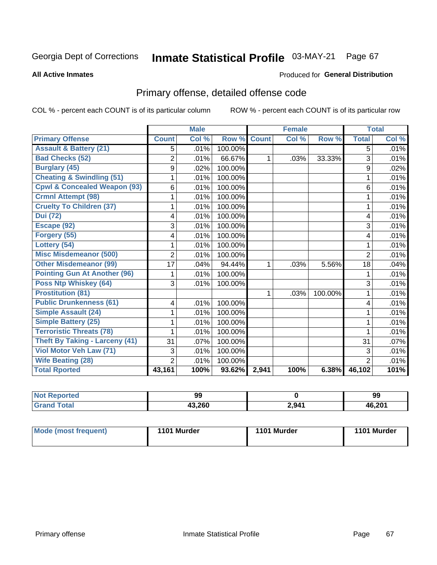# Inmate Statistical Profile 03-MAY-21 Page 67

**All Active Inmates** 

# **Produced for General Distribution**

# Primary offense, detailed offense code

COL % - percent each COUNT is of its particular column

|                                         |                | <b>Male</b> |         |              | <b>Female</b> |         |                | <b>Total</b> |
|-----------------------------------------|----------------|-------------|---------|--------------|---------------|---------|----------------|--------------|
| <b>Primary Offense</b>                  | <b>Count</b>   | Col %       | Row %   | <b>Count</b> | Col %         | Row %   | <b>Total</b>   | Col %        |
| <b>Assault &amp; Battery (21)</b>       | 5              | .01%        | 100.00% |              |               |         | 5              | .01%         |
| <b>Bad Checks (52)</b>                  | 2              | .01%        | 66.67%  | $\mathbf{1}$ | .03%          | 33.33%  | 3              | .01%         |
| <b>Burglary (45)</b>                    | 9              | .02%        | 100.00% |              |               |         | 9              | .02%         |
| <b>Cheating &amp; Swindling (51)</b>    |                | .01%        | 100.00% |              |               |         |                | .01%         |
| <b>Cpwl &amp; Concealed Weapon (93)</b> | 6              | .01%        | 100.00% |              |               |         | 6              | .01%         |
| <b>Crmnl Attempt (98)</b>               |                | .01%        | 100.00% |              |               |         | 1              | .01%         |
| <b>Cruelty To Children (37)</b>         |                | .01%        | 100.00% |              |               |         | 1              | .01%         |
| <b>Dui (72)</b>                         | 4              | .01%        | 100.00% |              |               |         | 4              | .01%         |
| Escape (92)                             | 3              | .01%        | 100.00% |              |               |         | 3              | .01%         |
| Forgery (55)                            | 4              | .01%        | 100.00% |              |               |         | 4              | .01%         |
| Lottery (54)                            |                | .01%        | 100.00% |              |               |         |                | .01%         |
| <b>Misc Misdemeanor (500)</b>           | 2              | .01%        | 100.00% |              |               |         | $\overline{2}$ | .01%         |
| <b>Other Misdemeanor (99)</b>           | 17             | .04%        | 94.44%  | $\mathbf{1}$ | .03%          | 5.56%   | 18             | .04%         |
| <b>Pointing Gun At Another (96)</b>     |                | .01%        | 100.00% |              |               |         | 1              | .01%         |
| <b>Poss Ntp Whiskey (64)</b>            | 3              | .01%        | 100.00% |              |               |         | 3              | .01%         |
| <b>Prostitution (81)</b>                |                |             |         | $\mathbf{1}$ | .03%          | 100.00% | 1              | .01%         |
| <b>Public Drunkenness (61)</b>          | 4              | .01%        | 100.00% |              |               |         | 4              | .01%         |
| <b>Simple Assault (24)</b>              |                | .01%        | 100.00% |              |               |         | 1              | .01%         |
| <b>Simple Battery (25)</b>              |                | .01%        | 100.00% |              |               |         | 1              | .01%         |
| <b>Terroristic Threats (78)</b>         |                | .01%        | 100.00% |              |               |         | 1              | .01%         |
| Theft By Taking - Larceny (41)          | 31             | .07%        | 100.00% |              |               |         | 31             | $.07\%$      |
| Viol Motor Veh Law (71)                 | 3              | .01%        | 100.00% |              |               |         | 3              | .01%         |
| <b>Wife Beating (28)</b>                | $\overline{2}$ | .01%        | 100.00% |              |               |         | $\mathbf{2}$   | .01%         |
| <b>Total Rported</b>                    | 43,161         | 100%        | 93.62%  | 2,941        | 100%          | 6.38%   | 46,102         | 101%         |

| Reported | 99     |       | 99                  |
|----------|--------|-------|---------------------|
| Tota.    | 43,260 | 2,941 | $AB$ 201<br>ו ש∡.טו |

| Mode (most frequent) | 1101 Murder | 1101 Murder | 1101 Murder |
|----------------------|-------------|-------------|-------------|
|                      |             |             |             |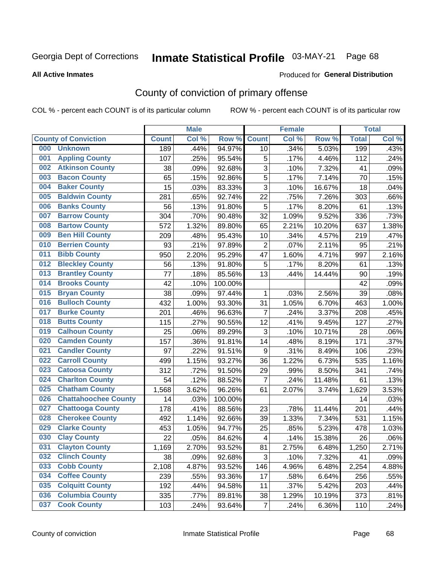# Inmate Statistical Profile 03-MAY-21 Page 68

**All Active Inmates** 

### Produced for General Distribution

# County of conviction of primary offense

COL % - percent each COUNT is of its particular column

|     |                             |              | <b>Male</b> |         |                           | <b>Female</b> |          |              | <b>Total</b> |
|-----|-----------------------------|--------------|-------------|---------|---------------------------|---------------|----------|--------------|--------------|
|     | <b>County of Conviction</b> | <b>Count</b> | Col %       | Row %   | <b>Count</b>              | Col %         | Row %    | <b>Total</b> | Col %        |
| 000 | <b>Unknown</b>              | 189          | .44%        | 94.97%  | 10                        | .34%          | 5.03%    | 199          | .43%         |
| 001 | <b>Appling County</b>       | 107          | .25%        | 95.54%  | 5                         | .17%          | 4.46%    | 112          | .24%         |
| 002 | <b>Atkinson County</b>      | 38           | .09%        | 92.68%  | 3                         | .10%          | 7.32%    | 41           | .09%         |
| 003 | <b>Bacon County</b>         | 65           | .15%        | 92.86%  | 5                         | .17%          | 7.14%    | 70           | .15%         |
| 004 | <b>Baker County</b>         | 15           | .03%        | 83.33%  | $\overline{3}$            | .10%          | 16.67%   | 18           | .04%         |
| 005 | <b>Baldwin County</b>       | 281          | .65%        | 92.74%  | 22                        | .75%          | 7.26%    | 303          | .66%         |
| 006 | <b>Banks County</b>         | 56           | .13%        | 91.80%  | 5                         | .17%          | 8.20%    | 61           | .13%         |
| 007 | <b>Barrow County</b>        | 304          | .70%        | 90.48%  | 32                        | 1.09%         | 9.52%    | 336          | .73%         |
| 008 | <b>Bartow County</b>        | 572          | 1.32%       | 89.80%  | 65                        | 2.21%         | 10.20%   | 637          | 1.38%        |
| 009 | <b>Ben Hill County</b>      | 209          | .48%        | 95.43%  | 10                        | .34%          | 4.57%    | 219          | .47%         |
| 010 | <b>Berrien County</b>       | 93           | .21%        | 97.89%  | $\mathbf 2$               | .07%          | 2.11%    | 95           | .21%         |
| 011 | <b>Bibb County</b>          | 950          | 2.20%       | 95.29%  | 47                        | 1.60%         | 4.71%    | 997          | 2.16%        |
| 012 | <b>Bleckley County</b>      | 56           | .13%        | 91.80%  | 5                         | .17%          | 8.20%    | 61           | .13%         |
| 013 | <b>Brantley County</b>      | 77           | .18%        | 85.56%  | 13                        | .44%          | 14.44%   | 90           | .19%         |
| 014 | <b>Brooks County</b>        | 42           | .10%        | 100.00% |                           |               |          | 42           | .09%         |
| 015 | <b>Bryan County</b>         | 38           | .09%        | 97.44%  | 1                         | .03%          | 2.56%    | 39           | .08%         |
| 016 | <b>Bulloch County</b>       | 432          | 1.00%       | 93.30%  | 31                        | 1.05%         | 6.70%    | 463          | 1.00%        |
| 017 | <b>Burke County</b>         | 201          | .46%        | 96.63%  | $\overline{7}$            | .24%          | 3.37%    | 208          | .45%         |
| 018 | <b>Butts County</b>         | 115          | .27%        | 90.55%  | 12                        | .41%          | 9.45%    | 127          | .27%         |
| 019 | <b>Calhoun County</b>       | 25           | .06%        | 89.29%  | $\ensuremath{\mathsf{3}}$ | .10%          | 10.71%   | 28           | .06%         |
| 020 | <b>Camden County</b>        | 157          | .36%        | 91.81%  | 14                        | .48%          | 8.19%    | 171          | .37%         |
| 021 | <b>Candler County</b>       | 97           | .22%        | 91.51%  | 9                         | .31%          | 8.49%    | 106          | .23%         |
| 022 | <b>Carroll County</b>       | 499          | 1.15%       | 93.27%  | 36                        | 1.22%         | 6.73%    | 535          | 1.16%        |
| 023 | <b>Catoosa County</b>       | 312          | .72%        | 91.50%  | 29                        | .99%          | 8.50%    | 341          | .74%         |
| 024 | <b>Charlton County</b>      | 54           | .12%        | 88.52%  | $\overline{7}$            | .24%          | 11.48%   | 61           | .13%         |
| 025 | <b>Chatham County</b>       | 1,568        | 3.62%       | 96.26%  | 61                        | 2.07%         | 3.74%    | 1,629        | 3.53%        |
| 026 | <b>Chattahoochee County</b> | 14           | .03%        | 100.00% |                           |               |          | 14           | .03%         |
| 027 | <b>Chattooga County</b>     | 178          | .41%        | 88.56%  | 23                        | .78%          | 11.44%   | 201          | .44%         |
| 028 | <b>Cherokee County</b>      | 492          | 1.14%       | 92.66%  | 39                        | 1.33%         | 7.34%    | 531          | 1.15%        |
| 029 | <b>Clarke County</b>        | 453          | 1.05%       | 94.77%  | 25                        | .85%          | 5.23%    | 478          | 1.03%        |
| 030 | <b>Clay County</b>          | 22           | .05%        | 84.62%  | $\overline{\mathcal{A}}$  | .14%          | 15.38%   | 26           | .06%         |
| 031 | <b>Clayton County</b>       | 1,169        | 2.70%       | 93.52%  | 81                        | 2.75%         | 6.48%    | 1,250        | 2.71%        |
| 032 | <b>Clinch County</b>        | 38           | .09%        | 92.68%  | 3                         | .10%          | 7.32%    | 41           | .09%         |
| 033 | <b>Cobb County</b>          | 2,108        | 4.87%       | 93.52%  | 146                       | 4.96%         | 6.48%    | 2,254        | 4.88%        |
| 034 | <b>Coffee County</b>        | 239          | .55%        | 93.36%  | 17                        | .58%          | 6.64%    | 256          | .55%         |
| 035 | <b>Colquitt County</b>      | 192          | .44%        | 94.58%  | 11                        | .37%          | 5.42%    | 203          | .44%         |
| 036 | <b>Columbia County</b>      | 335          | .77%        | 89.81%  | 38                        | 1.29%         | 10.19%   | 373          | .81%         |
| 037 | <b>Cook County</b>          | 103          | .24%        | 93.64%  | $\overline{7}$            | .24%          | $6.36\%$ | 110          | .24%         |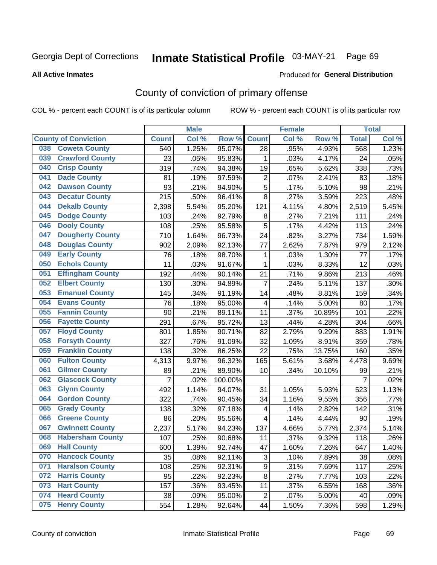# Inmate Statistical Profile 03-MAY-21 Page 69

Produced for General Distribution

### **All Active Inmates**

# County of conviction of primary offense

COL % - percent each COUNT is of its particular column

|     |                             |                | <b>Male</b> |         |                         | <b>Female</b> |                     |                | <b>Total</b> |
|-----|-----------------------------|----------------|-------------|---------|-------------------------|---------------|---------------------|----------------|--------------|
|     | <b>County of Conviction</b> | <b>Count</b>   | Col %       | Row %   | <b>Count</b>            | Col %         | Row %               | <b>Total</b>   | Col %        |
| 038 | <b>Coweta County</b>        | 540            | 1.25%       | 95.07%  | 28                      | .95%          | 4.93%               | 568            | 1.23%        |
| 039 | <b>Crawford County</b>      | 23             | .05%        | 95.83%  | 1                       | .03%          | 4.17%               | 24             | .05%         |
| 040 | <b>Crisp County</b>         | 319            | .74%        | 94.38%  | 19                      | .65%          | 5.62%               | 338            | .73%         |
| 041 | <b>Dade County</b>          | 81             | .19%        | 97.59%  | $\overline{2}$          | .07%          | 2.41%               | 83             | .18%         |
| 042 | <b>Dawson County</b>        | 93             | .21%        | 94.90%  | 5                       | .17%          | $\overline{5.10\%}$ | 98             | .21%         |
| 043 | <b>Decatur County</b>       | 215            | .50%        | 96.41%  | 8                       | .27%          | 3.59%               | 223            | .48%         |
| 044 | <b>Dekalb County</b>        | 2,398          | 5.54%       | 95.20%  | 121                     | 4.11%         | 4.80%               | 2,519          | 5.45%        |
| 045 | <b>Dodge County</b>         | 103            | .24%        | 92.79%  | 8                       | .27%          | 7.21%               | 111            | .24%         |
| 046 | <b>Dooly County</b>         | 108            | .25%        | 95.58%  | 5                       | .17%          | 4.42%               | 113            | .24%         |
| 047 | <b>Dougherty County</b>     | 710            | 1.64%       | 96.73%  | 24                      | .82%          | 3.27%               | 734            | 1.59%        |
| 048 | <b>Douglas County</b>       | 902            | 2.09%       | 92.13%  | 77                      | 2.62%         | 7.87%               | 979            | 2.12%        |
| 049 | <b>Early County</b>         | 76             | .18%        | 98.70%  | 1                       | .03%          | 1.30%               | 77             | .17%         |
| 050 | <b>Echols County</b>        | 11             | .03%        | 91.67%  | $\mathbf{1}$            | .03%          | 8.33%               | 12             | .03%         |
| 051 | <b>Effingham County</b>     | 192            | .44%        | 90.14%  | 21                      | .71%          | 9.86%               | 213            | .46%         |
| 052 | <b>Elbert County</b>        | 130            | .30%        | 94.89%  | $\overline{7}$          | .24%          | 5.11%               | 137            | .30%         |
| 053 | <b>Emanuel County</b>       | 145            | .34%        | 91.19%  | 14                      | .48%          | 8.81%               | 159            | .34%         |
| 054 | <b>Evans County</b>         | 76             | .18%        | 95.00%  | 4                       | .14%          | 5.00%               | 80             | .17%         |
| 055 | <b>Fannin County</b>        | 90             | .21%        | 89.11%  | 11                      | .37%          | 10.89%              | 101            | .22%         |
| 056 | <b>Fayette County</b>       | 291            | .67%        | 95.72%  | 13                      | .44%          | 4.28%               | 304            | .66%         |
| 057 | <b>Floyd County</b>         | 801            | 1.85%       | 90.71%  | 82                      | 2.79%         | 9.29%               | 883            | 1.91%        |
| 058 | <b>Forsyth County</b>       | 327            | .76%        | 91.09%  | 32                      | 1.09%         | 8.91%               | 359            | .78%         |
| 059 | <b>Franklin County</b>      | 138            | .32%        | 86.25%  | 22                      | .75%          | 13.75%              | 160            | .35%         |
| 060 | <b>Fulton County</b>        | 4,313          | 9.97%       | 96.32%  | 165                     | 5.61%         | 3.68%               | 4,478          | 9.69%        |
| 061 | <b>Gilmer County</b>        | 89             | .21%        | 89.90%  | 10                      | .34%          | 10.10%              | 99             | .21%         |
| 062 | <b>Glascock County</b>      | $\overline{7}$ | .02%        | 100.00% |                         |               |                     | $\overline{7}$ | .02%         |
| 063 | <b>Glynn County</b>         | 492            | 1.14%       | 94.07%  | 31                      | 1.05%         | 5.93%               | 523            | 1.13%        |
| 064 | <b>Gordon County</b>        | 322            | .74%        | 90.45%  | 34                      | 1.16%         | 9.55%               | 356            | .77%         |
| 065 | <b>Grady County</b>         | 138            | .32%        | 97.18%  | $\overline{\mathbf{4}}$ | .14%          | 2.82%               | 142            | .31%         |
| 066 | <b>Greene County</b>        | 86             | .20%        | 95.56%  | 4                       | .14%          | 4.44%               | 90             | .19%         |
| 067 | <b>Gwinnett County</b>      | 2,237          | 5.17%       | 94.23%  | 137                     | 4.66%         | 5.77%               | 2,374          | 5.14%        |
| 068 | <b>Habersham County</b>     | 107            | .25%        | 90.68%  | 11                      | .37%          | 9.32%               | 118            | .26%         |
| 069 | <b>Hall County</b>          | 600            | 1.39%       | 92.74%  | 47                      | 1.60%         | 7.26%               | 647            | 1.40%        |
| 070 | <b>Hancock County</b>       | 35             | .08%        | 92.11%  | 3                       | .10%          | 7.89%               | 38             | .08%         |
| 071 | <b>Haralson County</b>      | 108            | .25%        | 92.31%  | 9                       | .31%          | 7.69%               | 117            | .25%         |
| 072 | <b>Harris County</b>        | 95             | .22%        | 92.23%  | 8                       | .27%          | 7.77%               | 103            | .22%         |
| 073 | <b>Hart County</b>          | 157            | .36%        | 93.45%  | 11                      | .37%          | 6.55%               | 168            | .36%         |
| 074 | <b>Heard County</b>         | 38             | .09%        | 95.00%  | $\overline{c}$          | .07%          | 5.00%               | 40             | .09%         |
| 075 | <b>Henry County</b>         | 554            | 1.28%       | 92.64%  | 44                      | 1.50%         | 7.36%               | 598            | 1.29%        |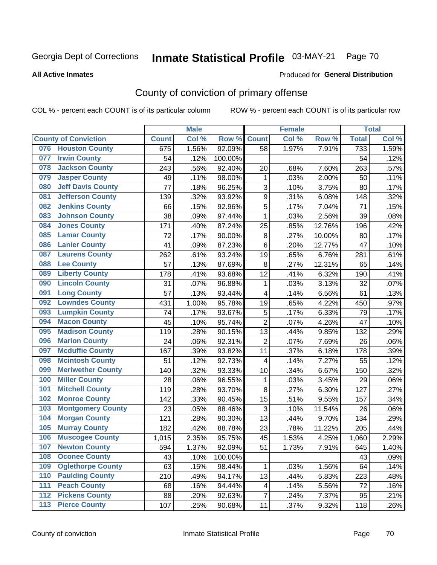# Inmate Statistical Profile 03-MAY-21 Page 70

#### **All Active Inmates**

### Produced for General Distribution

# County of conviction of primary offense

COL % - percent each COUNT is of its particular column

|     |                             |              | <b>Male</b> |         |                         | <b>Female</b> |        |              | <b>Total</b> |
|-----|-----------------------------|--------------|-------------|---------|-------------------------|---------------|--------|--------------|--------------|
|     | <b>County of Conviction</b> | <b>Count</b> | Col %       | Row %   | <b>Count</b>            | Col%          | Row %  | <b>Total</b> | Col %        |
| 076 | <b>Houston County</b>       | 675          | 1.56%       | 92.09%  | 58                      | 1.97%         | 7.91%  | 733          | 1.59%        |
| 077 | <b>Irwin County</b>         | 54           | .12%        | 100.00% |                         |               |        | 54           | .12%         |
| 078 | <b>Jackson County</b>       | 243          | .56%        | 92.40%  | 20                      | .68%          | 7.60%  | 263          | .57%         |
| 079 | <b>Jasper County</b>        | 49           | .11%        | 98.00%  | 1                       | .03%          | 2.00%  | 50           | .11%         |
| 080 | <b>Jeff Davis County</b>    | 77           | .18%        | 96.25%  | 3                       | .10%          | 3.75%  | 80           | .17%         |
| 081 | <b>Jefferson County</b>     | 139          | .32%        | 93.92%  | 9                       | .31%          | 6.08%  | 148          | .32%         |
| 082 | <b>Jenkins County</b>       | 66           | .15%        | 92.96%  | 5                       | .17%          | 7.04%  | 71           | .15%         |
| 083 | <b>Johnson County</b>       | 38           | .09%        | 97.44%  | $\mathbf{1}$            | .03%          | 2.56%  | 39           | .08%         |
| 084 | <b>Jones County</b>         | 171          | .40%        | 87.24%  | 25                      | .85%          | 12.76% | 196          | .42%         |
| 085 | <b>Lamar County</b>         | 72           | .17%        | 90.00%  | 8                       | .27%          | 10.00% | 80           | .17%         |
| 086 | <b>Lanier County</b>        | 41           | .09%        | 87.23%  | 6                       | .20%          | 12.77% | 47           | .10%         |
| 087 | <b>Laurens County</b>       | 262          | .61%        | 93.24%  | 19                      | .65%          | 6.76%  | 281          | .61%         |
| 088 | <b>Lee County</b>           | 57           | .13%        | 87.69%  | 8                       | .27%          | 12.31% | 65           | .14%         |
| 089 | <b>Liberty County</b>       | 178          | .41%        | 93.68%  | 12                      | .41%          | 6.32%  | 190          | .41%         |
| 090 | <b>Lincoln County</b>       | 31           | .07%        | 96.88%  | $\mathbf 1$             | .03%          | 3.13%  | 32           | .07%         |
| 091 | <b>Long County</b>          | 57           | .13%        | 93.44%  | 4                       | .14%          | 6.56%  | 61           | .13%         |
| 092 | <b>Lowndes County</b>       | 431          | 1.00%       | 95.78%  | 19                      | .65%          | 4.22%  | 450          | .97%         |
| 093 | <b>Lumpkin County</b>       | 74           | .17%        | 93.67%  | $\mathbf 5$             | .17%          | 6.33%  | 79           | .17%         |
| 094 | <b>Macon County</b>         | 45           | .10%        | 95.74%  | $\overline{2}$          | .07%          | 4.26%  | 47           | .10%         |
| 095 | <b>Madison County</b>       | 119          | .28%        | 90.15%  | 13                      | .44%          | 9.85%  | 132          | .29%         |
| 096 | <b>Marion County</b>        | 24           | .06%        | 92.31%  | $\overline{2}$          | .07%          | 7.69%  | 26           | .06%         |
| 097 | <b>Mcduffie County</b>      | 167          | .39%        | 93.82%  | 11                      | .37%          | 6.18%  | 178          | .39%         |
| 098 | <b>Mcintosh County</b>      | 51           | .12%        | 92.73%  | $\overline{\mathbf{4}}$ | .14%          | 7.27%  | 55           | .12%         |
| 099 | <b>Meriwether County</b>    | 140          | .32%        | 93.33%  | 10                      | .34%          | 6.67%  | 150          | .32%         |
| 100 | <b>Miller County</b>        | 28           | .06%        | 96.55%  | 1                       | .03%          | 3.45%  | 29           | .06%         |
| 101 | <b>Mitchell County</b>      | 119          | .28%        | 93.70%  | 8                       | .27%          | 6.30%  | 127          | .27%         |
| 102 | <b>Monroe County</b>        | 142          | .33%        | 90.45%  | 15                      | .51%          | 9.55%  | 157          | .34%         |
| 103 | <b>Montgomery County</b>    | 23           | .05%        | 88.46%  | 3                       | .10%          | 11.54% | 26           | .06%         |
| 104 | <b>Morgan County</b>        | 121          | .28%        | 90.30%  | 13                      | .44%          | 9.70%  | 134          | .29%         |
| 105 | <b>Murray County</b>        | 182          | .42%        | 88.78%  | 23                      | .78%          | 11.22% | 205          | .44%         |
| 106 | <b>Muscogee County</b>      | 1,015        | 2.35%       | 95.75%  | 45                      | 1.53%         | 4.25%  | 1,060        | 2.29%        |
| 107 | <b>Newton County</b>        | 594          | 1.37%       | 92.09%  | 51                      | 1.73%         | 7.91%  | 645          | 1.40%        |
| 108 | <b>Oconee County</b>        | 43           | .10%        | 100.00% |                         |               |        | 43           | .09%         |
| 109 | <b>Oglethorpe County</b>    | 63           | .15%        | 98.44%  | 1                       | .03%          | 1.56%  | 64           | .14%         |
| 110 | <b>Paulding County</b>      | 210          | .49%        | 94.17%  | 13                      | .44%          | 5.83%  | 223          | .48%         |
| 111 | <b>Peach County</b>         | 68           | .16%        | 94.44%  | 4                       | .14%          | 5.56%  | 72           | .16%         |
| 112 | <b>Pickens County</b>       | 88           | .20%        | 92.63%  | $\overline{7}$          | .24%          | 7.37%  | 95           | .21%         |
| 113 | <b>Pierce County</b>        | 107          | .25%        | 90.68%  | 11                      | .37%          | 9.32%  | 118          | .26%         |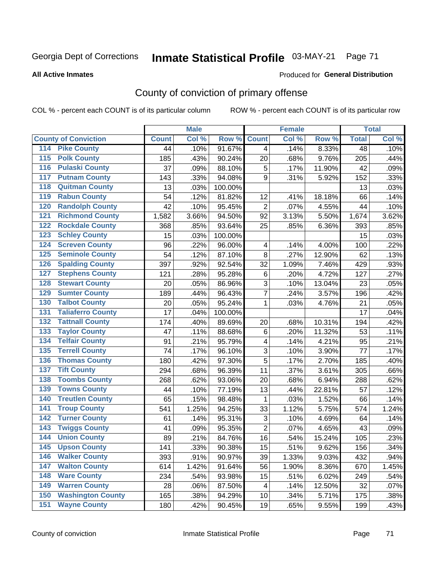# Inmate Statistical Profile 03-MAY-21 Page 71

#### **All Active Inmates**

### Produced for General Distribution

# County of conviction of primary offense

COL % - percent each COUNT is of its particular column

|                                          |              | <b>Male</b> |         |                         | <b>Female</b> |        |              | <b>Total</b> |
|------------------------------------------|--------------|-------------|---------|-------------------------|---------------|--------|--------------|--------------|
| <b>County of Conviction</b>              | <b>Count</b> | Col %       | Row %   | <b>Count</b>            | Col %         | Row %  | <b>Total</b> | Col %        |
| 114 Pike County                          | 44           | .10%        | 91.67%  | $\overline{4}$          | .14%          | 8.33%  | 48           | .10%         |
| <b>Polk County</b><br>$\overline{115}$   | 185          | .43%        | 90.24%  | 20                      | .68%          | 9.76%  | 205          | .44%         |
| <b>Pulaski County</b><br>116             | 37           | .09%        | 88.10%  | 5                       | .17%          | 11.90% | 42           | .09%         |
| 117<br><b>Putnam County</b>              | 143          | .33%        | 94.08%  | 9                       | .31%          | 5.92%  | 152          | .33%         |
| <b>Quitman County</b><br>118             | 13           | .03%        | 100.00% |                         |               |        | 13           | .03%         |
| <b>Rabun County</b><br>119               | 54           | .12%        | 81.82%  | 12                      | .41%          | 18.18% | 66           | .14%         |
| <b>Randolph County</b><br>120            | 42           | .10%        | 95.45%  | $\overline{2}$          | .07%          | 4.55%  | 44           | .10%         |
| <b>Richmond County</b><br>121            | 1,582        | 3.66%       | 94.50%  | 92                      | 3.13%         | 5.50%  | 1,674        | 3.62%        |
| <b>Rockdale County</b><br>122            | 368          | .85%        | 93.64%  | 25                      | .85%          | 6.36%  | 393          | .85%         |
| <b>Schley County</b><br>123              | 15           | .03%        | 100.00% |                         |               |        | 15           | .03%         |
| <b>Screven County</b><br>124             | 96           | .22%        | 96.00%  | 4                       | .14%          | 4.00%  | 100          | .22%         |
| <b>Seminole County</b><br>125            | 54           | .12%        | 87.10%  | 8                       | .27%          | 12.90% | 62           | .13%         |
| <b>Spalding County</b><br>126            | 397          | .92%        | 92.54%  | 32                      | 1.09%         | 7.46%  | 429          | .93%         |
| <b>Stephens County</b><br>127            | 121          | .28%        | 95.28%  | $\,6$                   | .20%          | 4.72%  | 127          | .27%         |
| <b>Stewart County</b><br>128             | 20           | .05%        | 86.96%  | 3                       | .10%          | 13.04% | 23           | .05%         |
| <b>Sumter County</b><br>129              | 189          | .44%        | 96.43%  | $\overline{7}$          | .24%          | 3.57%  | 196          | .42%         |
| <b>Talbot County</b><br>130              | 20           | .05%        | 95.24%  | 1                       | .03%          | 4.76%  | 21           | .05%         |
| <b>Taliaferro County</b><br>131          | 17           | .04%        | 100.00% |                         |               |        | 17           | .04%         |
| <b>Tattnall County</b><br>132            | 174          | .40%        | 89.69%  | 20                      | .68%          | 10.31% | 194          | .42%         |
| <b>Taylor County</b><br>133              | 47           | .11%        | 88.68%  | $\,6$                   | .20%          | 11.32% | 53           | .11%         |
| <b>Telfair County</b><br>134             | 91           | .21%        | 95.79%  | $\overline{\mathbf{4}}$ | .14%          | 4.21%  | 95           | .21%         |
| <b>Terrell County</b><br>135             | 74           | .17%        | 96.10%  | 3                       | .10%          | 3.90%  | 77           | .17%         |
| <b>Thomas County</b><br>136              | 180          | .42%        | 97.30%  | 5                       | .17%          | 2.70%  | 185          | .40%         |
| <b>Tift County</b><br>137                | 294          | .68%        | 96.39%  | 11                      | .37%          | 3.61%  | 305          | .66%         |
| <b>Toombs County</b><br>138              | 268          | .62%        | 93.06%  | 20                      | .68%          | 6.94%  | 288          | .62%         |
| <b>Towns County</b><br>139               | 44           | .10%        | 77.19%  | 13                      | .44%          | 22.81% | 57           | .12%         |
| <b>Treutlen County</b><br>140            | 65           | .15%        | 98.48%  | $\mathbf 1$             | .03%          | 1.52%  | 66           | .14%         |
| <b>Troup County</b><br>141               | 541          | 1.25%       | 94.25%  | 33                      | 1.12%         | 5.75%  | 574          | 1.24%        |
| <b>Turner County</b><br>142              | 61           | .14%        | 95.31%  | 3                       | .10%          | 4.69%  | 64           | .14%         |
| <b>Twiggs County</b><br>$\overline{143}$ | 41           | .09%        | 95.35%  | $\overline{2}$          | .07%          | 4.65%  | 43           | .09%         |
| <b>Union County</b><br>144               | 89           | .21%        | 84.76%  | 16                      | .54%          | 15.24% | 105          | .23%         |
| 145<br><b>Upson County</b>               | 141          | .33%        | 90.38%  | 15                      | .51%          | 9.62%  | 156          | .34%         |
| <b>Walker County</b><br>146              | 393          | .91%        | 90.97%  | 39                      | 1.33%         | 9.03%  | 432          | .94%         |
| <b>Walton County</b><br>147              | 614          | 1.42%       | 91.64%  | 56                      | 1.90%         | 8.36%  | 670          | 1.45%        |
| <b>Ware County</b><br>148                | 234          | .54%        | 93.98%  | 15                      | .51%          | 6.02%  | 249          | .54%         |
| <b>Warren County</b><br>149              | 28           | .06%        | 87.50%  | 4                       | .14%          | 12.50% | 32           | .07%         |
| <b>Washington County</b><br>150          | 165          | .38%        | 94.29%  | 10                      | .34%          | 5.71%  | 175          | .38%         |
| <b>Wayne County</b><br>151               | 180          | .42%        | 90.45%  | 19                      | .65%          | 9.55%  | 199          | .43%         |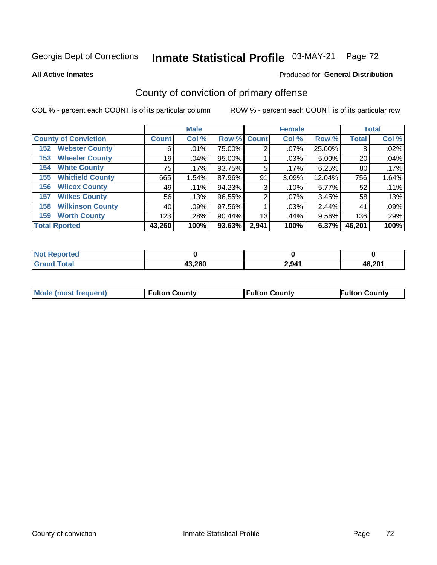# Inmate Statistical Profile 03-MAY-21 Page 72

**All Active Inmates** 

### Produced for General Distribution

# County of conviction of primary offense

COL % - percent each COUNT is of its particular column

|                                |              | <b>Male</b> |             |       | <b>Female</b> |        |              | <b>Total</b> |
|--------------------------------|--------------|-------------|-------------|-------|---------------|--------|--------------|--------------|
| <b>County of Conviction</b>    | <b>Count</b> | Col %       | Row % Count |       | Col %         | Row %  | <b>Total</b> | Col %        |
| <b>Webster County</b><br>152   | 6            | .01%        | 75.00%      | 2     | $.07\%$       | 25.00% | 8            | .02%         |
| <b>Wheeler County</b><br>153   | 19           | $.04\%$     | 95.00%      |       | .03%          | 5.00%  | 20           | .04%         |
| <b>White County</b><br>154     | 75           | .17%        | 93.75%      | 5     | .17%          | 6.25%  | 80           | $.17\%$      |
| <b>Whitfield County</b><br>155 | 665          | 1.54%       | 87.96%      | 91    | 3.09%         | 12.04% | 756          | 1.64%        |
| <b>Wilcox County</b><br>156    | 49           | $.11\%$     | 94.23%      | 3     | .10%          | 5.77%  | 52           | .11%         |
| <b>Wilkes County</b><br>157    | 56           | .13%        | 96.55%      | 2     | $.07\%$       | 3.45%  | 58           | .13%         |
| <b>Wilkinson County</b><br>158 | 40           | .09%        | 97.56%      |       | .03%          | 2.44%  | 41           | .09%         |
| <b>Worth County</b><br>159     | 123          | .28%        | 90.44%      | 13    | .44%          | 9.56%  | 136          | .29%         |
| <b>Total Rported</b>           | 43,260       | 100%        | 93.63%      | 2,941 | 100%          | 6.37%  | 46,201       | 100%         |

| <b>Not Reported</b> |        |       |        |
|---------------------|--------|-------|--------|
| <b>Grand Total</b>  | 43,260 | 2,941 | 46,201 |

| Mode (most frequent) | <b>Fulton County</b> | <b>Fulton County</b> | <b>Fulton County</b> |
|----------------------|----------------------|----------------------|----------------------|
|                      |                      |                      |                      |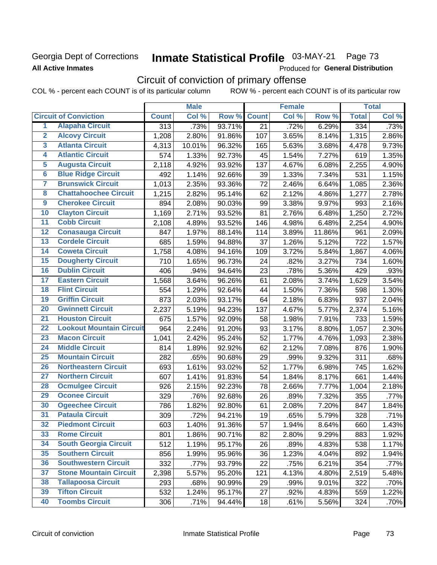# Georgia Dept of Corrections **All Active Inmates**

# Inmate Statistical Profile 03-MAY-21 Page 73

Produced for General Distribution

# Circuit of conviction of primary offense

COL % - percent each COUNT is of its particular column ROW % - percent each COUNT is of its particular row

|                         |                                 | <b>Male</b>      |        |        | <b>Female</b> |       |        | <b>Total</b> |       |
|-------------------------|---------------------------------|------------------|--------|--------|---------------|-------|--------|--------------|-------|
|                         | <b>Circuit of Conviction</b>    | <b>Count</b>     | Col %  | Row %  | <b>Count</b>  | Col % | Row %  | <b>Total</b> | Col % |
| 1                       | <b>Alapaha Circuit</b>          | $\overline{313}$ | .73%   | 93.71% | 21            | .72%  | 6.29%  | 334          | .73%  |
| $\overline{2}$          | <b>Alcovy Circuit</b>           | 1,208            | 2.80%  | 91.86% | 107           | 3.65% | 8.14%  | 1,315        | 2.86% |
| $\overline{\mathbf{3}}$ | <b>Atlanta Circuit</b>          | 4,313            | 10.01% | 96.32% | 165           | 5.63% | 3.68%  | 4,478        | 9.73% |
| 4                       | <b>Atlantic Circuit</b>         | 574              | 1.33%  | 92.73% | 45            | 1.54% | 7.27%  | 619          | 1.35% |
| $\overline{5}$          | <b>Augusta Circuit</b>          | 2,118            | 4.92%  | 93.92% | 137           | 4.67% | 6.08%  | 2,255        | 4.90% |
| $\overline{\bf{6}}$     | <b>Blue Ridge Circuit</b>       | 492              | 1.14%  | 92.66% | 39            | 1.33% | 7.34%  | 531          | 1.15% |
| 7                       | <b>Brunswick Circuit</b>        | 1,013            | 2.35%  | 93.36% | 72            | 2.46% | 6.64%  | 1,085        | 2.36% |
| $\overline{\mathbf{8}}$ | <b>Chattahoochee Circuit</b>    | 1,215            | 2.82%  | 95.14% | 62            | 2.12% | 4.86%  | 1,277        | 2.78% |
| $\overline{9}$          | <b>Cherokee Circuit</b>         | 894              | 2.08%  | 90.03% | 99            | 3.38% | 9.97%  | 993          | 2.16% |
| 10                      | <b>Clayton Circuit</b>          | 1,169            | 2.71%  | 93.52% | 81            | 2.76% | 6.48%  | 1,250        | 2.72% |
| $\overline{11}$         | <b>Cobb Circuit</b>             | 2,108            | 4.89%  | 93.52% | 146           | 4.98% | 6.48%  | 2,254        | 4.90% |
| $\overline{12}$         | <b>Conasauga Circuit</b>        | 847              | 1.97%  | 88.14% | 114           | 3.89% | 11.86% | 961          | 2.09% |
| 13                      | <b>Cordele Circuit</b>          | 685              | 1.59%  | 94.88% | 37            | 1.26% | 5.12%  | 722          | 1.57% |
| $\overline{14}$         | <b>Coweta Circuit</b>           | 1,758            | 4.08%  | 94.16% | 109           | 3.72% | 5.84%  | 1,867        | 4.06% |
| $\overline{15}$         | <b>Dougherty Circuit</b>        | 710              | 1.65%  | 96.73% | 24            | .82%  | 3.27%  | 734          | 1.60% |
| 16                      | <b>Dublin Circuit</b>           | 406              | .94%   | 94.64% | 23            | .78%  | 5.36%  | 429          | .93%  |
| 17                      | <b>Eastern Circuit</b>          | 1,568            | 3.64%  | 96.26% | 61            | 2.08% | 3.74%  | 1,629        | 3.54% |
| $\overline{18}$         | <b>Flint Circuit</b>            | 554              | 1.29%  | 92.64% | 44            | 1.50% | 7.36%  | 598          | 1.30% |
| 19                      | <b>Griffin Circuit</b>          | 873              | 2.03%  | 93.17% | 64            | 2.18% | 6.83%  | 937          | 2.04% |
| $\overline{20}$         | <b>Gwinnett Circuit</b>         | 2,237            | 5.19%  | 94.23% | 137           | 4.67% | 5.77%  | 2,374        | 5.16% |
| $\overline{21}$         | <b>Houston Circuit</b>          | 675              | 1.57%  | 92.09% | 58            | 1.98% | 7.91%  | 733          | 1.59% |
| $\overline{22}$         | <b>Lookout Mountain Circuit</b> | 964              | 2.24%  | 91.20% | 93            | 3.17% | 8.80%  | 1,057        | 2.30% |
| 23                      | <b>Macon Circuit</b>            | 1,041            | 2.42%  | 95.24% | 52            | 1.77% | 4.76%  | 1,093        | 2.38% |
| $\overline{24}$         | <b>Middle Circuit</b>           | 814              | 1.89%  | 92.92% | 62            | 2.12% | 7.08%  | 876          | 1.90% |
| $\overline{25}$         | <b>Mountain Circuit</b>         | 282              | .65%   | 90.68% | 29            | .99%  | 9.32%  | 311          | .68%  |
| 26                      | <b>Northeastern Circuit</b>     | 693              | 1.61%  | 93.02% | 52            | 1.77% | 6.98%  | 745          | 1.62% |
| $\overline{27}$         | <b>Northern Circuit</b>         | 607              | 1.41%  | 91.83% | 54            | 1.84% | 8.17%  | 661          | 1.44% |
| 28                      | <b>Ocmulgee Circuit</b>         | 926              | 2.15%  | 92.23% | 78            | 2.66% | 7.77%  | 1,004        | 2.18% |
| 29                      | <b>Oconee Circuit</b>           | 329              | .76%   | 92.68% | 26            | .89%  | 7.32%  | 355          | .77%  |
| 30                      | <b>Ogeechee Circuit</b>         | 786              | 1.82%  | 92.80% | 61            | 2.08% | 7.20%  | 847          | 1.84% |
| $\overline{31}$         | <b>Pataula Circuit</b>          | 309              | .72%   | 94.21% | 19            | .65%  | 5.79%  | 328          | .71%  |
| 32                      | <b>Piedmont Circuit</b>         | 603              | 1.40%  | 91.36% | 57            | 1.94% | 8.64%  | 660          | 1.43% |
| 33                      | <b>Rome Circuit</b>             | 801              | 1.86%  | 90.71% | 82            | 2.80% | 9.29%  | 883          | 1.92% |
| 34                      | <b>South Georgia Circuit</b>    | 512              | 1.19%  | 95.17% | 26            | .89%  | 4.83%  | 538          | 1.17% |
| 35                      | <b>Southern Circuit</b>         | 856              | 1.99%  | 95.96% | 36            | 1.23% | 4.04%  | 892          | 1.94% |
| 36                      | <b>Southwestern Circuit</b>     | 332              | .77%   | 93.79% | 22            | .75%  | 6.21%  | 354          | .77%  |
| 37                      | <b>Stone Mountain Circuit</b>   | 2,398            | 5.57%  | 95.20% | 121           | 4.13% | 4.80%  | 2,519        | 5.48% |
| 38                      | <b>Tallapoosa Circuit</b>       | 293              | .68%   | 90.99% | 29            | .99%  | 9.01%  | 322          | .70%  |
| 39                      | <b>Tifton Circuit</b>           | 532              | 1.24%  | 95.17% | 27            | .92%  | 4.83%  | 559          | 1.22% |
| 40                      | <b>Toombs Circuit</b>           | 306              | .71%   | 94.44% | 18            | .61%  | 5.56%  | 324          | .70%  |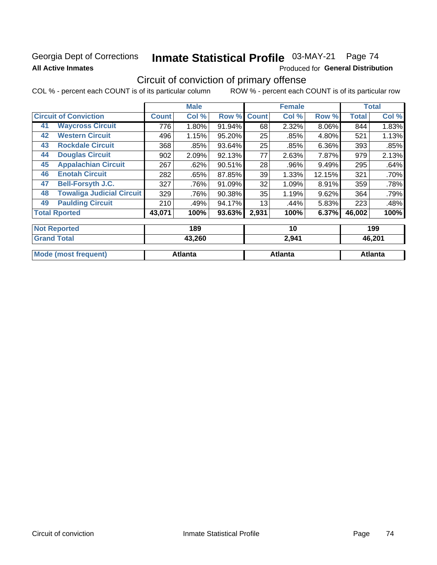### **Georgia Dept of Corrections All Active Inmates**

# Inmate Statistical Profile 03-MAY-21 Page 74

Produced for General Distribution

# Circuit of conviction of primary offense

|    |                                  | <b>Male</b> |       |        |              | <b>Female</b> |        | <b>Total</b> |       |
|----|----------------------------------|-------------|-------|--------|--------------|---------------|--------|--------------|-------|
|    | <b>Circuit of Conviction</b>     |             | Col % | Row %  | <b>Count</b> | Col %         | Row %  | <b>Total</b> | Col % |
| 41 | <b>Waycross Circuit</b>          | 776         | 1.80% | 91.94% | 68           | 2.32%         | 8.06%  | 844          | 1.83% |
| 42 | <b>Western Circuit</b>           | 496         | 1.15% | 95.20% | 25           | .85%          | 4.80%  | 521          | 1.13% |
| 43 | <b>Rockdale Circuit</b>          | 368         | .85%  | 93.64% | 25           | .85%          | 6.36%  | 393          | .85%  |
| 44 | <b>Douglas Circuit</b>           | 902         | 2.09% | 92.13% | 77           | 2.63%         | 7.87%  | 979          | 2.13% |
| 45 | <b>Appalachian Circuit</b>       | 267         | .62%  | 90.51% | 28           | .96%          | 9.49%  | 295          | .64%  |
| 46 | <b>Enotah Circuit</b>            | 282         | .65%  | 87.85% | 39           | 1.33%         | 12.15% | 321          | .70%  |
| 47 | <b>Bell-Forsyth J.C.</b>         | 327         | .76%  | 91.09% | 32           | 1.09%         | 8.91%  | 359          | .78%  |
| 48 | <b>Towaliga Judicial Circuit</b> | 329         | .76%  | 90.38% | 35           | 1.19%         | 9.62%  | 364          | .79%  |
| 49 | <b>Paulding Circuit</b>          | 210         | .49%  | 94.17% | 13           | $.44\%$       | 5.83%  | 223          | .48%  |
|    | <b>Total Rported</b>             | 43,071      | 100%  | 93.63% | 2,931        | 100%          | 6.37%  | 46,002       | 100%  |
|    | <b>Not Reported</b>              |             | 189   |        |              | 10            |        |              | 199   |

| <b>Grand Total</b>          | 43,260         | 2,941   | 46,201  |
|-----------------------------|----------------|---------|---------|
| <b>Mode (most frequent)</b> | <b>Atlanta</b> | Atlanta | Atlanta |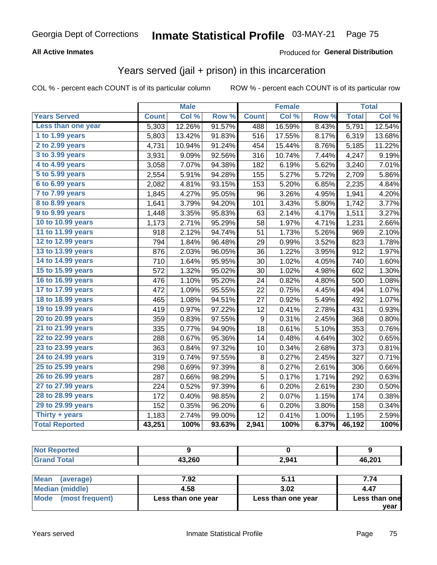#### **All Active Inmates**

#### Produced for **General Distribution**

### Years served (jail + prison) in this incarceration

|                              |              | <b>Male</b> |        |              | <b>Female</b> |       |              | <b>Total</b> |
|------------------------------|--------------|-------------|--------|--------------|---------------|-------|--------------|--------------|
| <b>Years Served</b>          | <b>Count</b> | Col %       | Row %  | <b>Count</b> | Col %         | Row % | <b>Total</b> | Col%         |
| Less than one year           | 5,303        | 12.26%      | 91.57% | 488          | 16.59%        | 8.43% | 5,791        | 12.54%       |
| 1 to 1.99 years              | 5,803        | 13.42%      | 91.83% | 516          | 17.55%        | 8.17% | 6,319        | 13.68%       |
| 2 to 2.99 years              | 4,731        | 10.94%      | 91.24% | 454          | 15.44%        | 8.76% | 5,185        | 11.22%       |
| $3$ to $3.99$ years          | 3,931        | 9.09%       | 92.56% | 316          | 10.74%        | 7.44% | 4,247        | 9.19%        |
| $\overline{4}$ to 4.99 years | 3,058        | 7.07%       | 94.38% | 182          | 6.19%         | 5.62% | 3,240        | 7.01%        |
| $\overline{5}$ to 5.99 years | 2,554        | 5.91%       | 94.28% | 155          | 5.27%         | 5.72% | 2,709        | 5.86%        |
| $6$ to $6.99$ years          | 2,082        | 4.81%       | 93.15% | 153          | 5.20%         | 6.85% | 2,235        | 4.84%        |
| 7 to 7.99 years              | 1,845        | 4.27%       | 95.05% | 96           | 3.26%         | 4.95% | 1,941        | 4.20%        |
| 8 to 8.99 years              | 1,641        | 3.79%       | 94.20% | 101          | 3.43%         | 5.80% | 1,742        | 3.77%        |
| 9 to 9.99 years              | 1,448        | 3.35%       | 95.83% | 63           | 2.14%         | 4.17% | 1,511        | 3.27%        |
| 10 to 10.99 years            | 1,173        | 2.71%       | 95.29% | 58           | 1.97%         | 4.71% | 1,231        | 2.66%        |
| 11 to 11.99 years            | 918          | 2.12%       | 94.74% | 51           | 1.73%         | 5.26% | 969          | 2.10%        |
| 12 to 12.99 years            | 794          | 1.84%       | 96.48% | 29           | 0.99%         | 3.52% | 823          | 1.78%        |
| 13 to 13.99 years            | 876          | 2.03%       | 96.05% | 36           | 1.22%         | 3.95% | 912          | 1.97%        |
| 14 to 14.99 years            | 710          | 1.64%       | 95.95% | 30           | 1.02%         | 4.05% | 740          | 1.60%        |
| 15 to 15.99 years            | 572          | 1.32%       | 95.02% | 30           | 1.02%         | 4.98% | 602          | 1.30%        |
| 16 to 16.99 years            | 476          | 1.10%       | 95.20% | 24           | 0.82%         | 4.80% | 500          | 1.08%        |
| 17 to 17.99 years            | 472          | 1.09%       | 95.55% | 22           | 0.75%         | 4.45% | 494          | 1.07%        |
| 18 to 18.99 years            | 465          | 1.08%       | 94.51% | 27           | 0.92%         | 5.49% | 492          | 1.07%        |
| 19 to 19.99 years            | 419          | 0.97%       | 97.22% | 12           | 0.41%         | 2.78% | 431          | 0.93%        |
| 20 to 20.99 years            | 359          | 0.83%       | 97.55% | 9            | 0.31%         | 2.45% | 368          | 0.80%        |
| 21 to 21.99 years            | 335          | 0.77%       | 94.90% | 18           | 0.61%         | 5.10% | 353          | 0.76%        |
| 22 to 22.99 years            | 288          | 0.67%       | 95.36% | 14           | 0.48%         | 4.64% | 302          | 0.65%        |
| 23 to 23.99 years            | 363          | 0.84%       | 97.32% | 10           | 0.34%         | 2.68% | 373          | 0.81%        |
| 24 to 24.99 years            | 319          | 0.74%       | 97.55% | 8            | 0.27%         | 2.45% | 327          | 0.71%        |
| 25 to 25.99 years            | 298          | 0.69%       | 97.39% | 8            | 0.27%         | 2.61% | 306          | 0.66%        |
| 26 to 26.99 years            | 287          | 0.66%       | 98.29% | 5            | 0.17%         | 1.71% | 292          | 0.63%        |
| 27 to 27.99 years            | 224          | 0.52%       | 97.39% | $\,6$        | 0.20%         | 2.61% | 230          | 0.50%        |
| 28 to 28.99 years            | 172          | 0.40%       | 98.85% | 2            | 0.07%         | 1.15% | 174          | 0.38%        |
| 29 to 29.99 years            | 152          | 0.35%       | 96.20% | $\,6$        | 0.20%         | 3.80% | 158          | 0.34%        |
| Thirty + years               | 1,183        | 2.74%       | 99.00% | 12           | 0.41%         | 1.00% | 1,195        | 2.59%        |
| <b>Total Reported</b>        | 43,251       | 100%        | 93.63% | 2,941        | 100%          | 6.37% | 46,192       | 100%         |

| <b>Not Reported</b> |        |       |        |
|---------------------|--------|-------|--------|
| <b>Grand Total</b>  | 43,260 | 2,941 | 46,201 |
|                     |        |       |        |

| Mean<br>(average)    | 7.92               | 5.11               | 7.74          |
|----------------------|--------------------|--------------------|---------------|
| Median (middle)      | 4.58               | 3.02               | 4.47          |
| Mode (most frequent) | Less than one year | Less than one year | Less than one |
|                      |                    |                    | vear          |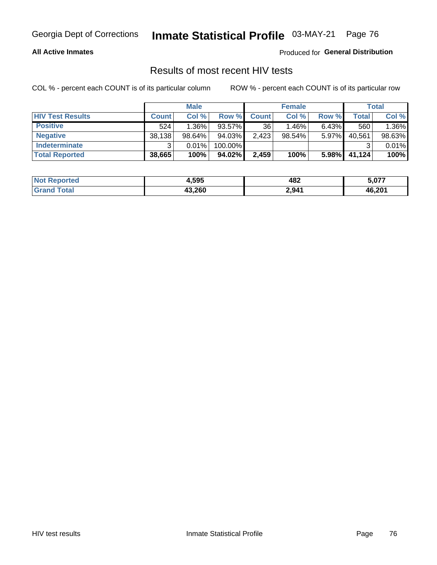#### **All Active Inmates**

Produced for **General Distribution**

### Results of most recent HIV tests

|                         | <b>Male</b>  |           | <b>Female</b> |              |        | <b>Total</b> |        |        |
|-------------------------|--------------|-----------|---------------|--------------|--------|--------------|--------|--------|
| <b>HIV Test Results</b> | <b>Count</b> | Col %     | Row %I        | <b>Count</b> | Col %  | Row %        | Total  | Col %  |
| <b>Positive</b>         | 524          | $1.36\%$  | 93.57%        | 36           | 1.46%  | $6.43\%$     | 560    | 1.36%  |
| <b>Negative</b>         | 38,138       | $98.64\%$ | 94.03%        | 2,423        | 98.54% | 5.97%        | 40,561 | 98.63% |
| <b>Indeterminate</b>    | ີ            | 0.01%     | 100.00%       |              |        |              |        | 0.01%  |
| <b>Total Reported</b>   | 38,665       | 100%      | 94.02%        | 2,459        | 100%   | 5.98%        | 41,124 | 100%   |

| <b>Not Reported</b> | 4,595  | 482   | 5,077  |
|---------------------|--------|-------|--------|
| Total               | 43,260 | 2,941 | 46,201 |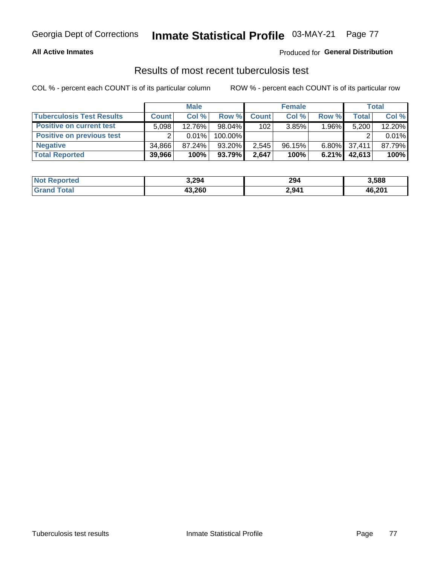#### **All Active Inmates**

#### Produced for **General Distribution**

### Results of most recent tuberculosis test

|                                  | <b>Male</b>  |           | <b>Female</b> |              |        | Total    |        |        |
|----------------------------------|--------------|-----------|---------------|--------------|--------|----------|--------|--------|
| <b>Tuberculosis Test Results</b> | <b>Count</b> | Col%      | Row %         | <b>Count</b> | Col %  | Row %    | Total  | Col %  |
| <b>Positive on current test</b>  | 5.098        | 12.76%    | $98.04\%$     | 102          | 3.85%  | 1.96%    | 5,200  | 12.20% |
| <b>Positive on previous test</b> | ົ            | $0.01\%$  | 100.00%       |              |        |          |        | 0.01%  |
| <b>Negative</b>                  | 34.866       | $87.24\%$ | $93.20\%$     | 2,545        | 96.15% | $6.80\%$ | 37,411 | 87.79% |
| <b>Total Reported</b>            | 39,966       | 100%      | $93.79\%$     | 2,647        | 100%   | $6.21\%$ | 42,613 | 100%   |

| <b>Not Reported</b>   | 3,294  | 294   | 3,588  |
|-----------------------|--------|-------|--------|
| <b>Total</b><br>Grand | 43,260 | 2,941 | 46,201 |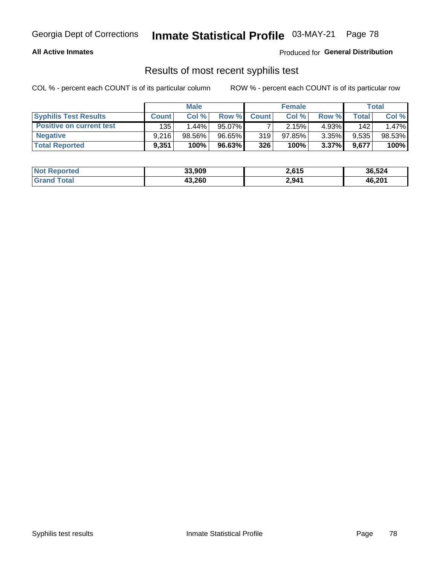#### **All Active Inmates**

Produced for **General Distribution**

### Results of most recent syphilis test

|                                 | <b>Male</b>  |          | <b>Female</b> |              |           | Total    |       |        |
|---------------------------------|--------------|----------|---------------|--------------|-----------|----------|-------|--------|
| <b>Syphilis Test Results</b>    | <b>Count</b> | Col%     | Row %         | <b>Count</b> | Col %     | Row %    | Total | Col %  |
| <b>Positive on current test</b> | 135          | $1.44\%$ | 95.07%        |              | 2.15%     | $4.93\%$ | 142   | 1.47%  |
| <b>Negative</b>                 | 9.216        | 98.56%   | 96.65%        | 319          | $97.85\%$ | $3.35\%$ | 9,535 | 98.53% |
| <b>Total Reported</b>           | 9,351        | 100%     | 96.63%        | 326          | 100%      | $3.37\%$ | 9,677 | 100%   |

| <b>Not Reported</b> | 33,909 | 2,615 | 36,524 |
|---------------------|--------|-------|--------|
| <b>Grand Total</b>  | 43,260 | 2,941 | 46,201 |